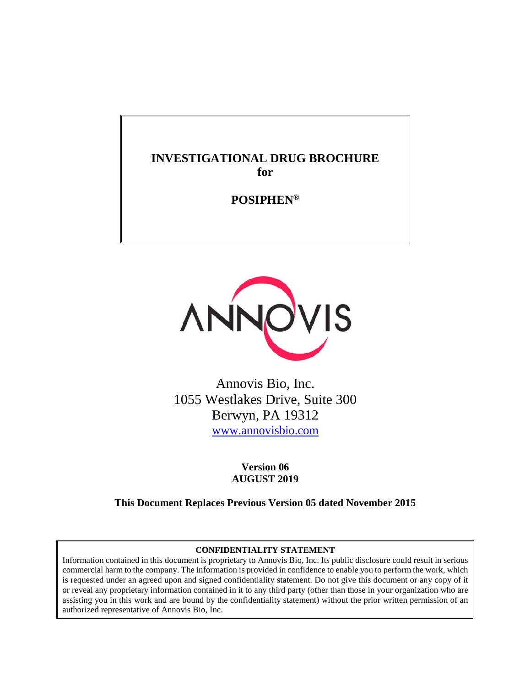# **INVESTIGATIONAL DRUG BROCHURE for**

**POSIPHEN®**



Annovis Bio, Inc. 1055 Westlakes Drive, Suite 300 Berwyn, PA 19312 [www.annovisbio.com](http://www.annovisbio.com/)

> **Version 06 AUGUST 2019**

**This Document Replaces Previous Version 05 dated November 2015**

#### **CONFIDENTIALITY STATEMENT**

Information contained in this document is proprietary to Annovis Bio, Inc. Its public disclosure could result in serious commercial harm to the company. The information is provided in confidence to enable you to perform the work, which is requested under an agreed upon and signed confidentiality statement. Do not give this document or any copy of it or reveal any proprietary information contained in it to any third party (other than those in your organization who are assisting you in this work and are bound by the confidentiality statement) without the prior written permission of an authorized representative of Annovis Bio, Inc.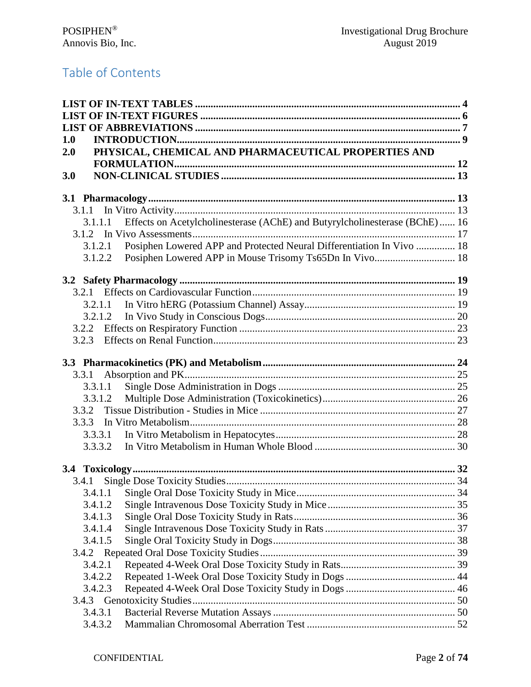# Table of Contents

| 1.0<br>PHYSICAL, CHEMICAL AND PHARMACEUTICAL PROPERTIES AND<br>2.0<br>3.0<br>Effects on Acetylcholinesterase (AChE) and Butyrylcholinesterase (BChE)  16<br>3.1.1.1<br>Posiphen Lowered APP and Protected Neural Differentiation In Vivo  18<br>3.1.2.1<br>Posiphen Lowered APP in Mouse Trisomy Ts65Dn In Vivo 18<br>3.1.2.2<br>3.2.1.2<br>3.2.3 |
|---------------------------------------------------------------------------------------------------------------------------------------------------------------------------------------------------------------------------------------------------------------------------------------------------------------------------------------------------|
|                                                                                                                                                                                                                                                                                                                                                   |
|                                                                                                                                                                                                                                                                                                                                                   |
|                                                                                                                                                                                                                                                                                                                                                   |
|                                                                                                                                                                                                                                                                                                                                                   |
|                                                                                                                                                                                                                                                                                                                                                   |
|                                                                                                                                                                                                                                                                                                                                                   |
|                                                                                                                                                                                                                                                                                                                                                   |
|                                                                                                                                                                                                                                                                                                                                                   |
|                                                                                                                                                                                                                                                                                                                                                   |
|                                                                                                                                                                                                                                                                                                                                                   |
|                                                                                                                                                                                                                                                                                                                                                   |
|                                                                                                                                                                                                                                                                                                                                                   |
|                                                                                                                                                                                                                                                                                                                                                   |
|                                                                                                                                                                                                                                                                                                                                                   |
|                                                                                                                                                                                                                                                                                                                                                   |
|                                                                                                                                                                                                                                                                                                                                                   |
|                                                                                                                                                                                                                                                                                                                                                   |
|                                                                                                                                                                                                                                                                                                                                                   |
|                                                                                                                                                                                                                                                                                                                                                   |
|                                                                                                                                                                                                                                                                                                                                                   |
| 3.3.1                                                                                                                                                                                                                                                                                                                                             |
| 3.3.1.1                                                                                                                                                                                                                                                                                                                                           |
| 3.3.1.2                                                                                                                                                                                                                                                                                                                                           |
| 3.3.2                                                                                                                                                                                                                                                                                                                                             |
| 3.3.3                                                                                                                                                                                                                                                                                                                                             |
|                                                                                                                                                                                                                                                                                                                                                   |
| 3.3.3.1                                                                                                                                                                                                                                                                                                                                           |
| 3.3.3.2                                                                                                                                                                                                                                                                                                                                           |
|                                                                                                                                                                                                                                                                                                                                                   |
| 3.4.1                                                                                                                                                                                                                                                                                                                                             |
| 3.4.1.1                                                                                                                                                                                                                                                                                                                                           |
| 3.4.1.2                                                                                                                                                                                                                                                                                                                                           |
| 3.4.1.3                                                                                                                                                                                                                                                                                                                                           |
| 3.4.1.4                                                                                                                                                                                                                                                                                                                                           |
| 3.4.1.5                                                                                                                                                                                                                                                                                                                                           |
|                                                                                                                                                                                                                                                                                                                                                   |
| 3.4.2.1                                                                                                                                                                                                                                                                                                                                           |
| 3.4.2.2                                                                                                                                                                                                                                                                                                                                           |
| 3.4.2.3                                                                                                                                                                                                                                                                                                                                           |
|                                                                                                                                                                                                                                                                                                                                                   |
| 3.4.3.1                                                                                                                                                                                                                                                                                                                                           |
| 3.4.3.2                                                                                                                                                                                                                                                                                                                                           |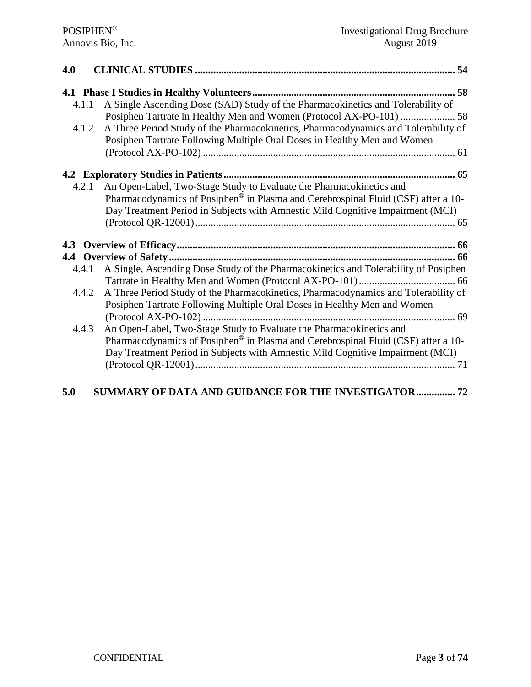| 4.0   |                                                                                                                                                                |
|-------|----------------------------------------------------------------------------------------------------------------------------------------------------------------|
|       |                                                                                                                                                                |
| 4.1.1 | A Single Ascending Dose (SAD) Study of the Pharmacokinetics and Tolerability of                                                                                |
|       | Posiphen Tartrate in Healthy Men and Women (Protocol AX-PO-101)  58                                                                                            |
| 4.1.2 | A Three Period Study of the Pharmacokinetics, Pharmacodynamics and Tolerability of<br>Posiphen Tartrate Following Multiple Oral Doses in Healthy Men and Women |
|       |                                                                                                                                                                |
|       |                                                                                                                                                                |
| 4.2.1 | An Open-Label, Two-Stage Study to Evaluate the Pharmacokinetics and                                                                                            |
|       | Pharmacodynamics of Posiphen <sup>®</sup> in Plasma and Cerebrospinal Fluid (CSF) after a 10-                                                                  |
|       | Day Treatment Period in Subjects with Amnestic Mild Cognitive Impairment (MCI)                                                                                 |
|       |                                                                                                                                                                |
|       |                                                                                                                                                                |
|       |                                                                                                                                                                |
|       |                                                                                                                                                                |
| 4.4.1 | A Single, Ascending Dose Study of the Pharmacokinetics and Tolerability of Posiphen                                                                            |
|       |                                                                                                                                                                |
| 4.4.2 | A Three Period Study of the Pharmacokinetics, Pharmacodynamics and Tolerability of                                                                             |
|       | Posiphen Tartrate Following Multiple Oral Doses in Healthy Men and Women                                                                                       |
|       |                                                                                                                                                                |
| 4.4.3 | An Open-Label, Two-Stage Study to Evaluate the Pharmacokinetics and                                                                                            |
|       | Pharmacodynamics of Posiphen® in Plasma and Cerebrospinal Fluid (CSF) after a 10-                                                                              |
|       | Day Treatment Period in Subjects with Amnestic Mild Cognitive Impairment (MCI)                                                                                 |
|       |                                                                                                                                                                |
|       |                                                                                                                                                                |
|       |                                                                                                                                                                |

# **[5.0 SUMMARY OF DATA AND GUIDANCE FOR THE INVESTIGATOR...............](#page-71-0) 72**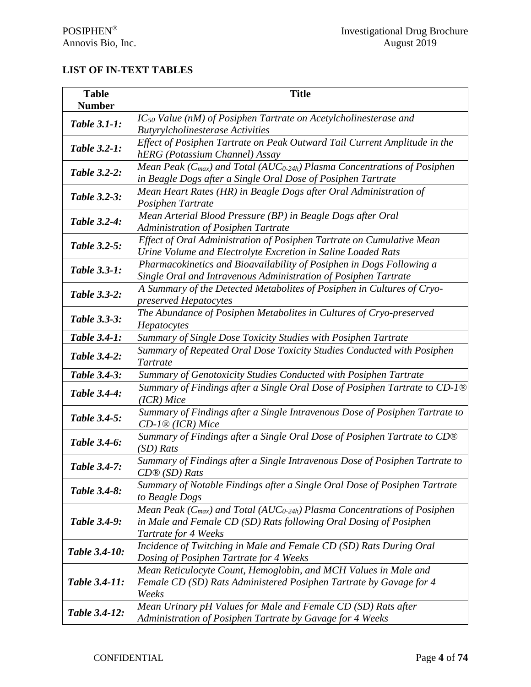# <span id="page-3-0"></span>**LIST OF IN-TEXT TABLES**

| <b>Table</b><br><b>Number</b>                                                                                                           | <b>Title</b>                                                                                                                                                                             |  |  |
|-----------------------------------------------------------------------------------------------------------------------------------------|------------------------------------------------------------------------------------------------------------------------------------------------------------------------------------------|--|--|
| $IC_{50}$ Value (nM) of Posiphen Tartrate on Acetylcholinesterase and<br><b>Table 3.1-1:</b><br><b>Butyrylcholinesterase Activities</b> |                                                                                                                                                                                          |  |  |
| <b>Table 3.2-1:</b>                                                                                                                     | Effect of Posiphen Tartrate on Peak Outward Tail Current Amplitude in the<br>hERG (Potassium Channel) Assay                                                                              |  |  |
| <b>Table 3.2-2:</b>                                                                                                                     | Mean Peak ( $C_{max}$ ) and Total (AUC <sub>0-24h</sub> ) Plasma Concentrations of Posiphen<br>in Beagle Dogs after a Single Oral Dose of Posiphen Tartrate                              |  |  |
| <b>Table 3.2-3:</b>                                                                                                                     | Mean Heart Rates (HR) in Beagle Dogs after Oral Administration of<br>Posiphen Tartrate                                                                                                   |  |  |
| Table 3.2-4:                                                                                                                            | Mean Arterial Blood Pressure (BP) in Beagle Dogs after Oral<br>Administration of Posiphen Tartrate                                                                                       |  |  |
| <b>Table 3.2-5:</b>                                                                                                                     | Effect of Oral Administration of Posiphen Tartrate on Cumulative Mean<br>Urine Volume and Electrolyte Excretion in Saline Loaded Rats                                                    |  |  |
| <b>Table 3.3-1:</b>                                                                                                                     | Pharmacokinetics and Bioavailability of Posiphen in Dogs Following a<br>Single Oral and Intravenous Administration of Posiphen Tartrate                                                  |  |  |
| A Summary of the Detected Metabolites of Posiphen in Cultures of Cryo-<br><b>Table 3.3-2:</b><br>preserved Hepatocytes                  |                                                                                                                                                                                          |  |  |
| Table 3.3-3:                                                                                                                            | The Abundance of Posiphen Metabolites in Cultures of Cryo-preserved<br>Hepatocytes                                                                                                       |  |  |
| <b>Table 3.4-1:</b>                                                                                                                     | Summary of Single Dose Toxicity Studies with Posiphen Tartrate                                                                                                                           |  |  |
| Table 3.4-2:                                                                                                                            | Summary of Repeated Oral Dose Toxicity Studies Conducted with Posiphen<br>Tartrate                                                                                                       |  |  |
| Table 3.4-3:                                                                                                                            | Summary of Genotoxicity Studies Conducted with Posiphen Tartrate                                                                                                                         |  |  |
| Table 3.4-4:                                                                                                                            | Summary of Findings after a Single Oral Dose of Posiphen Tartrate to CD-1 <sup>®</sup><br>$(ICR)$ Mice                                                                                   |  |  |
| Table 3.4-5:                                                                                                                            | Summary of Findings after a Single Intravenous Dose of Posiphen Tartrate to<br>$CD$ -1 <sup>®</sup> (ICR) Mice                                                                           |  |  |
| Table 3.4-6:                                                                                                                            | Summary of Findings after a Single Oral Dose of Posiphen Tartrate to CD®<br>$(SD)$ Rats                                                                                                  |  |  |
| Table 3.4-7:                                                                                                                            | Summary of Findings after a Single Intravenous Dose of Posiphen Tartrate to<br>$CD@(SD)$ Rats                                                                                            |  |  |
| Table 3.4-8:                                                                                                                            | Summary of Notable Findings after a Single Oral Dose of Posiphen Tartrate<br>to Beagle Dogs                                                                                              |  |  |
| Table 3.4-9:                                                                                                                            | Mean Peak ( $C_{max}$ ) and Total (AUC <sub>0-24h</sub> ) Plasma Concentrations of Posiphen<br>in Male and Female CD (SD) Rats following Oral Dosing of Posiphen<br>Tartrate for 4 Weeks |  |  |
| Table 3.4-10:                                                                                                                           | Incidence of Twitching in Male and Female CD (SD) Rats During Oral<br>Dosing of Posiphen Tartrate for 4 Weeks                                                                            |  |  |
| Table 3.4-11:                                                                                                                           | Mean Reticulocyte Count, Hemoglobin, and MCH Values in Male and<br>Female CD (SD) Rats Administered Posiphen Tartrate by Gavage for 4<br>Weeks                                           |  |  |
| Table 3.4-12:                                                                                                                           | Mean Urinary pH Values for Male and Female CD (SD) Rats after<br>Administration of Posiphen Tartrate by Gavage for 4 Weeks                                                               |  |  |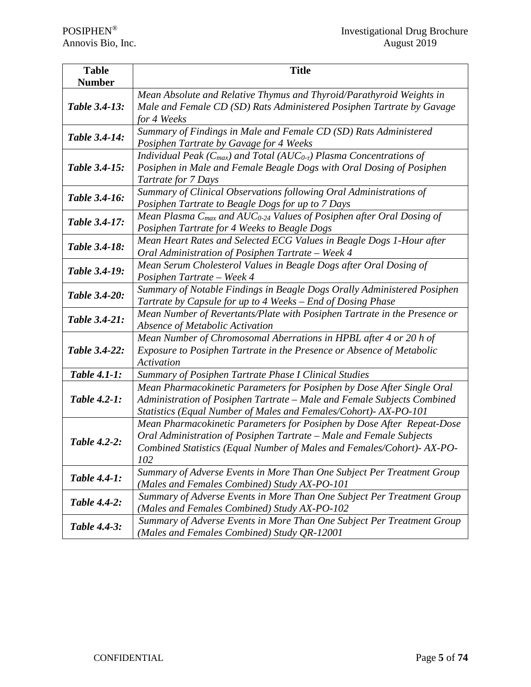| <b>Table</b>                                                                                                                                                              | <b>Title</b>                                                                                                                                                                                                                  |  |  |  |  |
|---------------------------------------------------------------------------------------------------------------------------------------------------------------------------|-------------------------------------------------------------------------------------------------------------------------------------------------------------------------------------------------------------------------------|--|--|--|--|
| <b>Number</b>                                                                                                                                                             |                                                                                                                                                                                                                               |  |  |  |  |
| Table 3.4-13:                                                                                                                                                             | Mean Absolute and Relative Thymus and Thyroid/Parathyroid Weights in<br>Male and Female CD (SD) Rats Administered Posiphen Tartrate by Gavage<br>for 4 Weeks                                                                  |  |  |  |  |
| Table 3.4-14:                                                                                                                                                             | Summary of Findings in Male and Female CD (SD) Rats Administered<br>Posiphen Tartrate by Gavage for 4 Weeks                                                                                                                   |  |  |  |  |
| Table 3.4-15:                                                                                                                                                             | Individual Peak ( $C_{max}$ ) and Total (AU $C_{0-t}$ ) Plasma Concentrations of<br>Posiphen in Male and Female Beagle Dogs with Oral Dosing of Posiphen<br>Tartrate for 7 Days                                               |  |  |  |  |
| Table 3.4-16:                                                                                                                                                             | Summary of Clinical Observations following Oral Administrations of<br>Posiphen Tartrate to Beagle Dogs for up to 7 Days                                                                                                       |  |  |  |  |
| Table 3.4-17:                                                                                                                                                             | Mean Plasma $C_{max}$ and AUC <sub>0-24</sub> Values of Posiphen after Oral Dosing of<br>Posiphen Tartrate for 4 Weeks to Beagle Dogs                                                                                         |  |  |  |  |
| Mean Heart Rates and Selected ECG Values in Beagle Dogs 1-Hour after<br>Table 3.4-18:<br>Oral Administration of Posiphen Tartrate - Week 4                                |                                                                                                                                                                                                                               |  |  |  |  |
| Table 3.4-19:                                                                                                                                                             | Mean Serum Cholesterol Values in Beagle Dogs after Oral Dosing of<br>Posiphen Tartrate - Week 4                                                                                                                               |  |  |  |  |
| Summary of Notable Findings in Beagle Dogs Orally Administered Posiphen<br>Table 3.4-20:<br>Tartrate by Capsule for up to 4 Weeks – End of Dosing Phase                   |                                                                                                                                                                                                                               |  |  |  |  |
| Table 3.4-21:                                                                                                                                                             | Mean Number of Revertants/Plate with Posiphen Tartrate in the Presence or<br>Absence of Metabolic Activation                                                                                                                  |  |  |  |  |
| Mean Number of Chromosomal Aberrations in HPBL after 4 or 20 h of<br>Table 3.4-22:<br>Exposure to Posiphen Tartrate in the Presence or Absence of Metabolic<br>Activation |                                                                                                                                                                                                                               |  |  |  |  |
| <b>Table 4.1-1:</b>                                                                                                                                                       | Summary of Posiphen Tartrate Phase I Clinical Studies                                                                                                                                                                         |  |  |  |  |
| <b>Table 4.2-1:</b>                                                                                                                                                       | Mean Pharmacokinetic Parameters for Posiphen by Dose After Single Oral<br>Administration of Posiphen Tartrate - Male and Female Subjects Combined<br>Statistics (Equal Number of Males and Females/Cohort)-AX-PO-101          |  |  |  |  |
| <b>Table 4.2-2:</b>                                                                                                                                                       | Mean Pharmacokinetic Parameters for Posiphen by Dose After Repeat-Dose<br>Oral Administration of Posiphen Tartrate - Male and Female Subjects<br>Combined Statistics (Equal Number of Males and Females/Cohort)-AX-PO-<br>102 |  |  |  |  |
| Table 4.4-1:                                                                                                                                                              | Summary of Adverse Events in More Than One Subject Per Treatment Group<br>(Males and Females Combined) Study AX-PO-101                                                                                                        |  |  |  |  |
| Table 4.4-2:                                                                                                                                                              | Summary of Adverse Events in More Than One Subject Per Treatment Group<br>(Males and Females Combined) Study AX-PO-102                                                                                                        |  |  |  |  |
| <b>Table 4.4-3:</b>                                                                                                                                                       | Summary of Adverse Events in More Than One Subject Per Treatment Group<br>(Males and Females Combined) Study QR-12001                                                                                                         |  |  |  |  |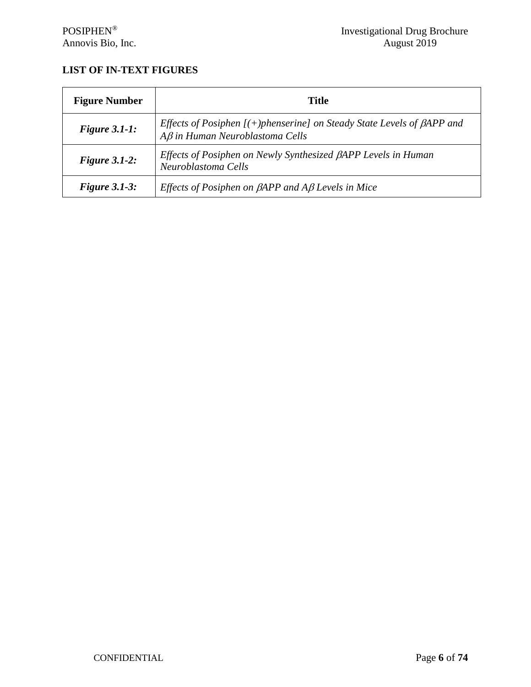# <span id="page-5-0"></span>**LIST OF IN-TEXT FIGURES**

| <b>Figure Number</b> | <b>Title</b>                                                                                                               |
|----------------------|----------------------------------------------------------------------------------------------------------------------------|
| Figure $3.1-1$ :     | Effects of Posiphen $[ (+)$ phenserine] on Steady State Levels of $\beta$ APP and<br>$A\beta$ in Human Neuroblastoma Cells |
| Figure $3.1-2$ :     | Effects of Posiphen on Newly Synthesized BAPP Levels in Human<br>Neuroblastoma Cells                                       |
| Figure $3.1-3$ :     | Effects of Posiphen on $\beta$ APP and A $\beta$ Levels in Mice                                                            |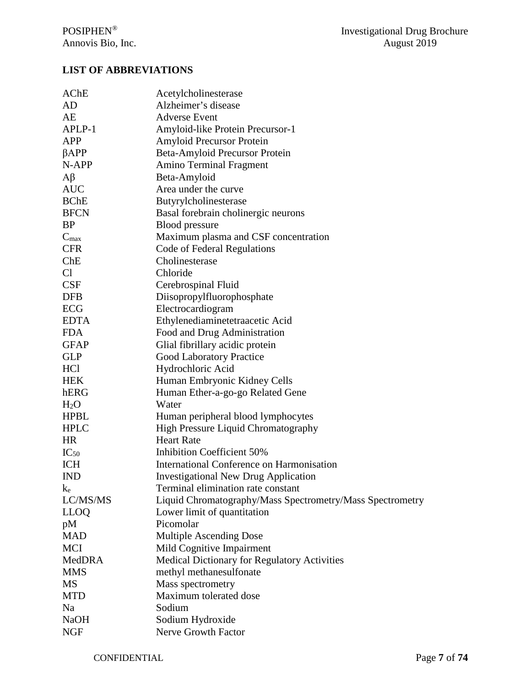# <span id="page-6-0"></span>**LIST OF ABBREVIATIONS**

| AChE             | Acetylcholinesterase                                      |
|------------------|-----------------------------------------------------------|
| AD               | Alzheimer's disease                                       |
| AE               | <b>Adverse Event</b>                                      |
| APLP-1           | Amyloid-like Protein Precursor-1                          |
| <b>APP</b>       | <b>Amyloid Precursor Protein</b>                          |
| $\beta$ APP      | Beta-Amyloid Precursor Protein                            |
| N-APP            | <b>Amino Terminal Fragment</b>                            |
| $A\beta$         | Beta-Amyloid                                              |
| <b>AUC</b>       | Area under the curve                                      |
| <b>BChE</b>      | Butyrylcholinesterase                                     |
| <b>BFCN</b>      | Basal forebrain cholinergic neurons                       |
| <b>BP</b>        | <b>Blood</b> pressure                                     |
| $C_{\text{max}}$ | Maximum plasma and CSF concentration                      |
| <b>CFR</b>       | Code of Federal Regulations                               |
| ChE              | Cholinesterase                                            |
| C <sub>1</sub>   | Chloride                                                  |
| <b>CSF</b>       | Cerebrospinal Fluid                                       |
| <b>DFB</b>       | Diisopropylfluorophosphate                                |
| <b>ECG</b>       | Electrocardiogram                                         |
| <b>EDTA</b>      | Ethylenediaminetetraacetic Acid                           |
| <b>FDA</b>       | Food and Drug Administration                              |
| <b>GFAP</b>      | Glial fibrillary acidic protein                           |
| <b>GLP</b>       | <b>Good Laboratory Practice</b>                           |
| HCl              | Hydrochloric Acid                                         |
| <b>HEK</b>       | Human Embryonic Kidney Cells                              |
| hERG             | Human Ether-a-go-go Related Gene                          |
| H <sub>2</sub> O | Water                                                     |
| <b>HPBL</b>      | Human peripheral blood lymphocytes                        |
| <b>HPLC</b>      | High Pressure Liquid Chromatography                       |
| <b>HR</b>        | <b>Heart Rate</b>                                         |
| $IC_{50}$        | <b>Inhibition Coefficient 50%</b>                         |
| <b>ICH</b>       | International Conference on Harmonisation                 |
| <b>IND</b>       | <b>Investigational New Drug Application</b>               |
| $k_{e}$          | Terminal elimination rate constant                        |
| LC/MS/MS         | Liquid Chromatography/Mass Spectrometry/Mass Spectrometry |
| <b>LLOQ</b>      | Lower limit of quantitation                               |
| pM               | Picomolar                                                 |
| <b>MAD</b>       | Multiple Ascending Dose                                   |
| <b>MCI</b>       | Mild Cognitive Impairment                                 |
| MedDRA           | Medical Dictionary for Regulatory Activities              |
| <b>MMS</b>       | methyl methanesulfonate                                   |
| MS               | Mass spectrometry                                         |
| <b>MTD</b>       | Maximum tolerated dose                                    |
| Na               | Sodium                                                    |
| <b>NaOH</b>      | Sodium Hydroxide                                          |
| <b>NGF</b>       | Nerve Growth Factor                                       |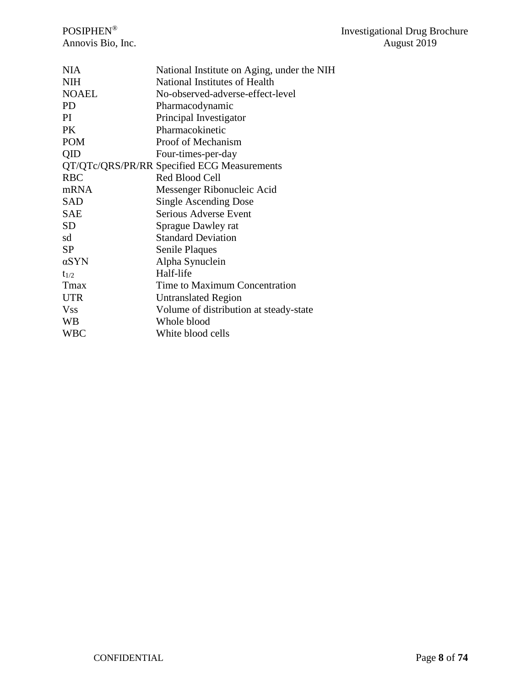| <b>NIA</b>   | National Institute on Aging, under the NIH  |
|--------------|---------------------------------------------|
| <b>NIH</b>   | National Institutes of Health               |
| <b>NOAEL</b> | No-observed-adverse-effect-level            |
| PD.          | Pharmacodynamic                             |
| PI           | Principal Investigator                      |
| <b>PK</b>    | Pharmacokinetic                             |
| <b>POM</b>   | Proof of Mechanism                          |
| QID          | Four-times-per-day                          |
|              | QT/QTc/QRS/PR/RR Specified ECG Measurements |
| <b>RBC</b>   | Red Blood Cell                              |
| mRNA         | Messenger Ribonucleic Acid                  |
| <b>SAD</b>   | <b>Single Ascending Dose</b>                |
| <b>SAE</b>   | Serious Adverse Event                       |
| <b>SD</b>    | Sprague Dawley rat                          |
| sd           | <b>Standard Deviation</b>                   |
| <b>SP</b>    | Senile Plaques                              |
| $\alpha$ SYN | Alpha Synuclein                             |
| $t_{1/2}$    | Half-life                                   |
| Tmax         | Time to Maximum Concentration               |
| <b>UTR</b>   | <b>Untranslated Region</b>                  |
| <b>Vss</b>   | Volume of distribution at steady-state      |
| WB           | Whole blood                                 |
| WBC          | White blood cells                           |
|              |                                             |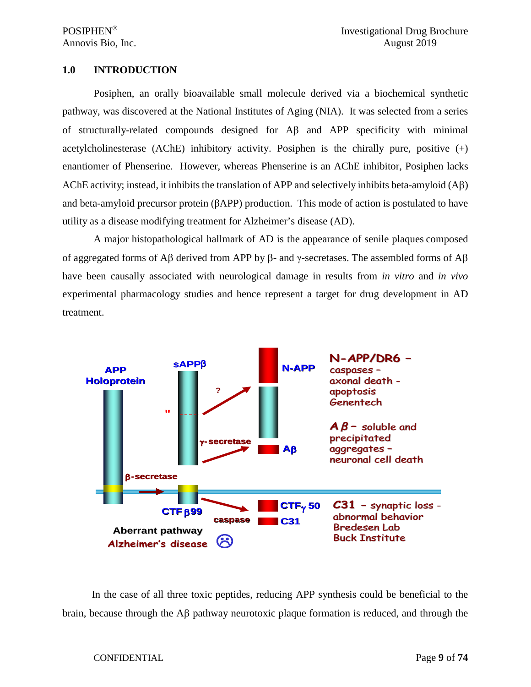#### <span id="page-8-0"></span>**1.0 INTRODUCTION**

Posiphen, an orally bioavailable small molecule derived via a biochemical synthetic pathway, was discovered at the National Institutes of Aging (NIA). It was selected from a series of structurally-related compounds designed for Aβ and APP specificity with minimal acetylcholinesterase (AChE) inhibitory activity. Posiphen is the chirally pure, positive  $(+)$ enantiomer of Phenserine. However, whereas Phenserine is an AChE inhibitor, Posiphen lacks AChE activity; instead, it inhibits the translation of APP and selectively inhibits beta-amyloid (Aβ) and beta-amyloid precursor protein (βAPP) production. This mode of action is postulated to have utility as a disease modifying treatment for Alzheimer's disease (AD).

A major histopathological hallmark of AD is the appearance of senile plaques composed of aggregated forms of Aβ derived from APP by β- and γ-secretases. The assembled forms of Aβ have been causally associated with neurological damage in results from *in vitro* and *in vivo* experimental pharmacology studies and hence represent a target for drug development in AD treatment.



In the case of all three toxic peptides, reducing APP synthesis could be beneficial to the brain, because through the Aβ pathway neurotoxic plaque formation is reduced, and through the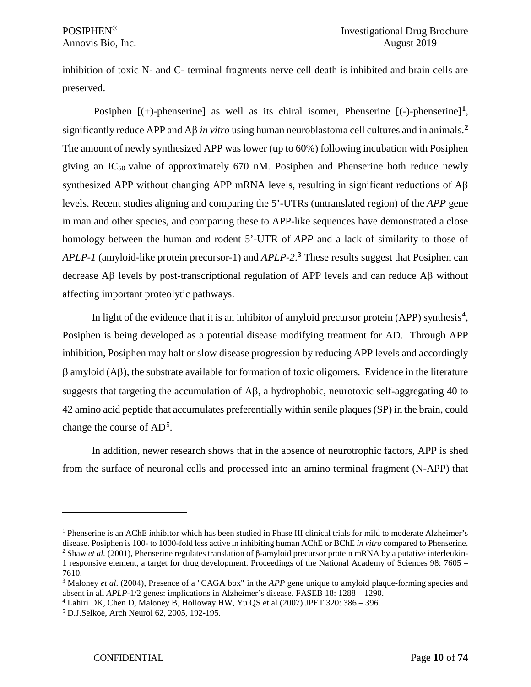inhibition of toxic N- and C- terminal fragments nerve cell death is inhibited and brain cells are preserved.

Posiphen [(+)-phenserine] as well as its chiral isomer, Phenserine [(-)-phenserine]**[1](#page-9-0)**, significantly reduce APP and Aβ *in vitro* using human neuroblastoma cell cultures and in animals.**[2](#page-9-1)** The amount of newly synthesized APP was lower (up to 60%) following incubation with Posiphen giving an  $IC_{50}$  value of approximately 670 nM. Posiphen and Phenserine both reduce newly synthesized APP without changing APP mRNA levels, resulting in significant reductions of  $A\beta$ levels. Recent studies aligning and comparing the 5'-UTRs (untranslated region) of the *APP* gene in man and other species, and comparing these to APP-like sequences have demonstrated a close homology between the human and rodent 5'-UTR of *APP* and a lack of similarity to those of *APLP-1* (amyloid-like protein precursor-1) and *APLP-2*. **[3](#page-9-2)** These results suggest that Posiphen can decrease Aβ levels by post-transcriptional regulation of APP levels and can reduce Aβ without affecting important proteolytic pathways.

In light of the evidence that it is an inhibitor of amyloid precursor protein (APP) synthesis<sup>[4](#page-9-3)</sup>, Posiphen is being developed as a potential disease modifying treatment for AD. Through APP inhibition, Posiphen may halt or slow disease progression by reducing APP levels and accordingly β amyloid (Aβ), the substrate available for formation of toxic oligomers. Evidence in the literature suggests that targeting the accumulation of Aβ, a hydrophobic, neurotoxic self-aggregating 40 to 42 amino acid peptide that accumulates preferentially within senile plaques (SP) in the brain, could change the course of  $AD^5$  $AD^5$ .

In addition, newer research shows that in the absence of neurotrophic factors, APP is shed from the surface of neuronal cells and processed into an amino terminal fragment (N-APP) that

<span id="page-9-1"></span><span id="page-9-0"></span><sup>1</sup> Phenserine is an AChE inhibitor which has been studied in Phase III clinical trials for mild to moderate Alzheimer's disease. Posiphen is 100- to 1000-fold less active in inhibiting human AChE or BChE *in vitro* compared to Phenserine. <sup>2</sup> Shaw *et al.* (2001), Phenserine regulates translation of β-amyloid precursor protein mRNA by a putative interleukin-1 responsive element, a target for drug development. Proceedings of the National Academy of Sciences 98: 7605 – 7610.

<span id="page-9-2"></span><sup>3</sup> Maloney *et al*. (2004), Presence of a "CAGA box" in the *APP* gene unique to amyloid plaque-forming species and absent in all *APLP*-1/2 genes: implications in Alzheimer's disease. FASEB 18: 1288 – 1290.

<span id="page-9-3"></span><sup>4</sup> Lahiri DK, Chen D, Maloney B, Holloway HW, Yu QS et al (2007) JPET 320: 386 – 396.

<span id="page-9-4"></span><sup>5</sup> D.J.Selkoe, Arch Neurol 62, 2005, 192-195.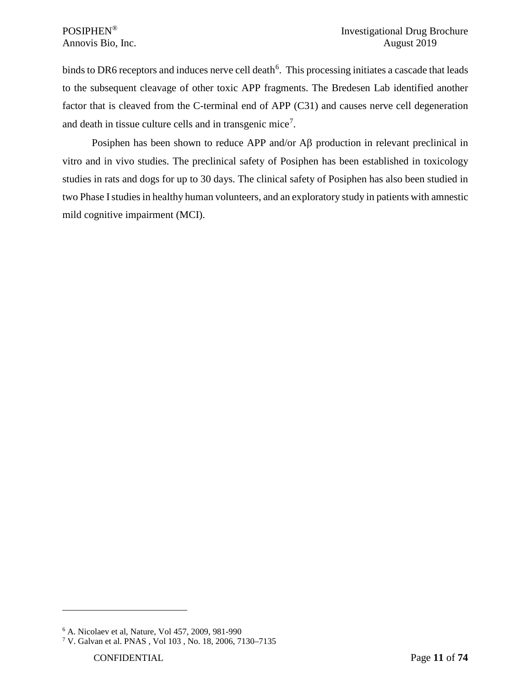binds to DR[6](#page-10-0) receptors and induces nerve cell death<sup>6</sup>. This processing initiates a cascade that leads to the subsequent cleavage of other toxic APP fragments. The Bredesen Lab identified another factor that is cleaved from the C-terminal end of APP (C31) and causes nerve cell degeneration and death in tissue culture cells and in transgenic mice<sup>[7](#page-10-1)</sup>.

Posiphen has been shown to reduce APP and/or Aβ production in relevant preclinical in vitro and in vivo studies. The preclinical safety of Posiphen has been established in toxicology studies in rats and dogs for up to 30 days. The clinical safety of Posiphen has also been studied in two Phase Istudies in healthy human volunteers, and an exploratory study in patients with amnestic mild cognitive impairment (MCI).

<span id="page-10-0"></span><sup>6</sup> A. Nicolaev et al, Nature, Vol 457, 2009, 981-990

<span id="page-10-1"></span><sup>7</sup> V. Galvan et al. PNAS , Vol 103 , No. 18, 2006, 7130–7135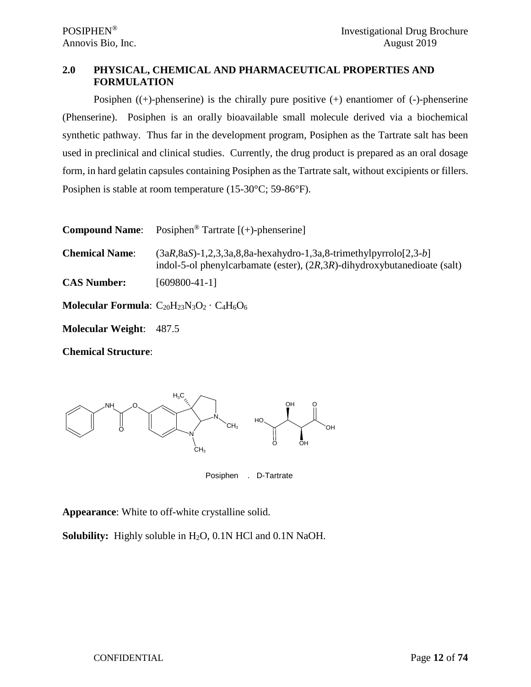# <span id="page-11-0"></span>**2.0 PHYSICAL, CHEMICAL AND PHARMACEUTICAL PROPERTIES AND FORMULATION**

Posiphen  $((+)$ -phenserine) is the chirally pure positive  $(+)$  enantiomer of  $(-)$ -phenserine (Phenserine). Posiphen is an orally bioavailable small molecule derived via a biochemical synthetic pathway. Thus far in the development program, Posiphen as the Tartrate salt has been used in preclinical and clinical studies. Currently, the drug product is prepared as an oral dosage form, in hard gelatin capsules containing Posiphen as the Tartrate salt, without excipients or fillers. Posiphen is stable at room temperature (15-30°C; 59-86°F).

| <b>Compound Name:</b>          | Posiphen <sup>®</sup> Tartrate $[ (+)-$ phenserine]                                                                                                    |
|--------------------------------|--------------------------------------------------------------------------------------------------------------------------------------------------------|
| <b>Chemical Name:</b>          | $(3aR, 8aS)$ -1,2,3,3a,8,8a-hexahydro-1,3a,8-trimethylpyrrolo $[2,3-b]$<br>indol-5-ol phenylcarbamate (ester), $(2R,3R)$ -dihydroxybutanedioate (salt) |
| <b>CAS Number:</b>             | $[609800-41-1]$                                                                                                                                        |
|                                | <b>Molecular Formula:</b> $C_{20}H_{23}N_3O_2 \cdot C_4H_6O_6$                                                                                         |
| <b>Molecular Weight: 487.5</b> |                                                                                                                                                        |

**Chemical Structure**:



Posiphen . D-Tartrate

**Appearance**: White to off-white crystalline solid.

**Solubility:** Highly soluble in H<sub>2</sub>O, 0.1N HCl and 0.1N NaOH.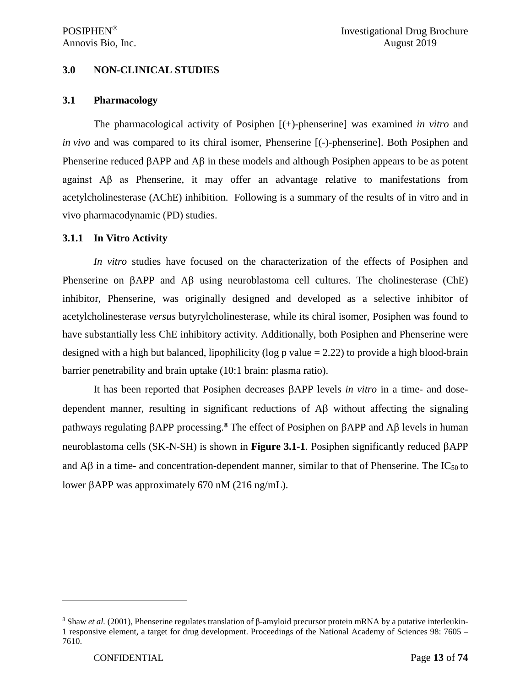## <span id="page-12-0"></span>**3.0 NON-CLINICAL STUDIES**

#### <span id="page-12-1"></span>**3.1 Pharmacology**

The pharmacological activity of Posiphen [(+)-phenserine] was examined *in vitro* and *in vivo* and was compared to its chiral isomer, Phenserine [(-)-phenserine]. Both Posiphen and Phenserine reduced βAPP and Aβ in these models and although Posiphen appears to be as potent against Aβ as Phenserine, it may offer an advantage relative to manifestations from acetylcholinesterase (AChE) inhibition. Following is a summary of the results of in vitro and in vivo pharmacodynamic (PD) studies.

#### <span id="page-12-2"></span>**3.1.1 In Vitro Activity**

*In vitro* studies have focused on the characterization of the effects of Posiphen and Phenserine on βAPP and Aβ using neuroblastoma cell cultures. The cholinesterase (ChE) inhibitor, Phenserine, was originally designed and developed as a selective inhibitor of acetylcholinesterase *versus* butyrylcholinesterase, while its chiral isomer, Posiphen was found to have substantially less ChE inhibitory activity. Additionally, both Posiphen and Phenserine were designed with a high but balanced, lipophilicity (log p value = 2.22) to provide a high blood-brain barrier penetrability and brain uptake (10:1 brain: plasma ratio).

It has been reported that Posiphen decreases βAPP levels *in vitro* in a time- and dosedependent manner, resulting in significant reductions of Aβ without affecting the signaling pathways regulating βAPP processing.**[8](#page-12-3)** The effect of Posiphen on βAPP and Aβ levels in human neuroblastoma cells (SK-N-SH) is shown in **Figure 3.1-1**. Posiphen significantly reduced βAPP and Aβ in a time- and concentration-dependent manner, similar to that of Phenserine. The IC50 to lower βAPP was approximately 670 nM (216 ng/mL).

<span id="page-12-3"></span><sup>8</sup> Shaw *et al.* (2001), Phenserine regulates translation of β-amyloid precursor protein mRNA by a putative interleukin-1 responsive element, a target for drug development. Proceedings of the National Academy of Sciences 98: 7605 – 7610.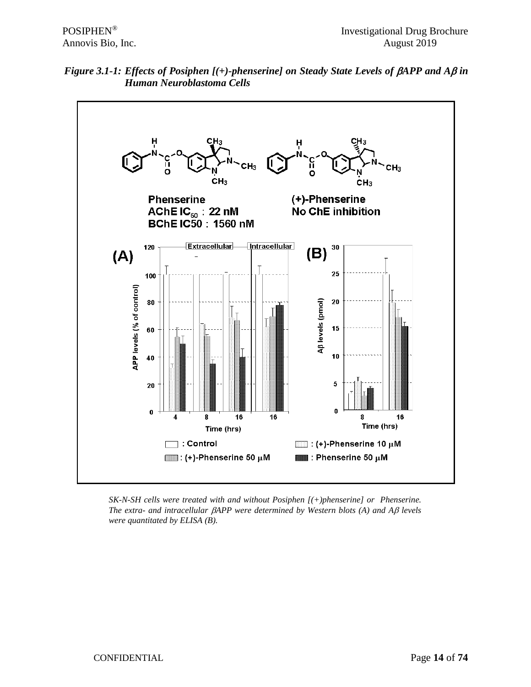



*SK-N-SH cells were treated with and without Posiphen [(+)phenserine] or Phenserine. The extra- and intracellular* β*APP were determined by Western blots (A) and A*β *levels were quantitated by ELISA (B).*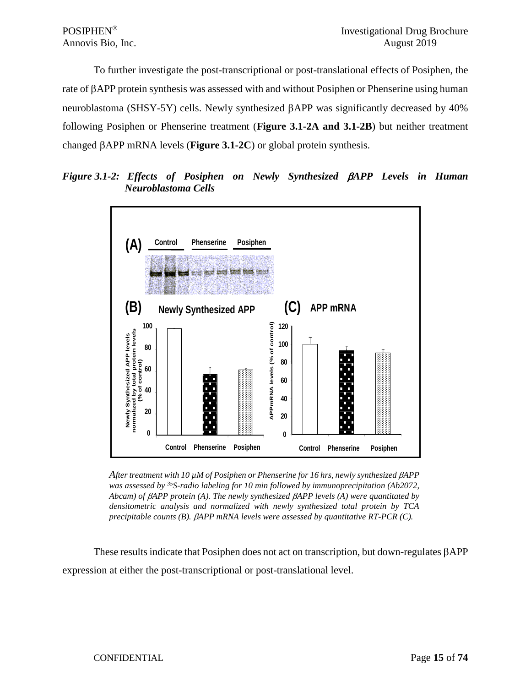To further investigate the post-transcriptional or post-translational effects of Posiphen, the rate of βAPP protein synthesis was assessed with and without Posiphen or Phenserine using human neuroblastoma (SHSY-5Y) cells. Newly synthesized βAPP was significantly decreased by 40% following Posiphen or Phenserine treatment (**Figure 3.1-2A and 3.1-2B**) but neither treatment changed βAPP mRNA levels (**Figure 3.1-2C**) or global protein synthesis.

*Figure 3.1-2: Effects of Posiphen on Newly Synthesized* β*APP Levels in Human Neuroblastoma Cells*



*After treatment with 10 µM of Posiphen or Phenserine for 16 hrs, newly synthesized* β*APP was assessed by 35S-radio labeling for 10 min followed by immunoprecipitation (Ab2072, Abcam) of* β*APP protein (A). The newly synthesized* β*APP levels (A) were quantitated by densitometric analysis and normalized with newly synthesized total protein by TCA precipitable counts (B).* β*APP mRNA levels were assessed by quantitative RT-PCR (C).*

These results indicate that Posiphen does not act on transcription, but down-regulates βAPP expression at either the post-transcriptional or post-translational level.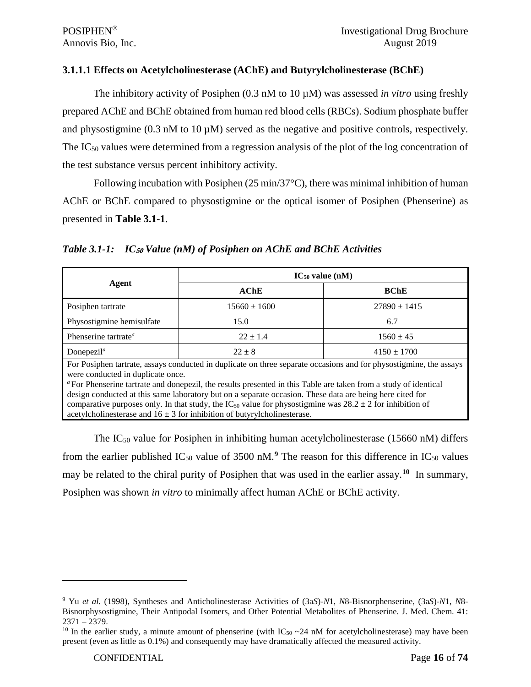#### <span id="page-15-0"></span>**3.1.1.1 Effects on Acetylcholinesterase (AChE) and Butyrylcholinesterase (BChE)**

The inhibitory activity of Posiphen (0.3 nM to 10 µM) was assessed *in vitro* using freshly prepared AChE and BChE obtained from human red blood cells (RBCs). Sodium phosphate buffer and physostigmine  $(0.3 \text{ nM to } 10 \mu \text{M})$  served as the negative and positive controls, respectively. The IC<sub>50</sub> values were determined from a regression analysis of the plot of the log concentration of the test substance versus percent inhibitory activity.

Following incubation with Posiphen  $(25 \text{ min}/37^{\circ}\text{C})$ , there was minimal inhibition of human AChE or BChE compared to physostigmine or the optical isomer of Posiphen (Phenserine) as presented in **Table 3.1-1**.

|                                                                                                                                                                                                                                                                                                                                                                                                                                                                                                                                                                                                       | $IC_{50}$ value (nM)                 |                 |  |
|-------------------------------------------------------------------------------------------------------------------------------------------------------------------------------------------------------------------------------------------------------------------------------------------------------------------------------------------------------------------------------------------------------------------------------------------------------------------------------------------------------------------------------------------------------------------------------------------------------|--------------------------------------|-----------------|--|
| Agent                                                                                                                                                                                                                                                                                                                                                                                                                                                                                                                                                                                                 | AChE                                 | <b>BChE</b>     |  |
| Posiphen tartrate                                                                                                                                                                                                                                                                                                                                                                                                                                                                                                                                                                                     | $15660 \pm 1600$<br>$27890 \pm 1415$ |                 |  |
| Physostigmine hemisulfate                                                                                                                                                                                                                                                                                                                                                                                                                                                                                                                                                                             | 15.0                                 | 6.7             |  |
| Phenserine tartrate <sup>a</sup>                                                                                                                                                                                                                                                                                                                                                                                                                                                                                                                                                                      | $22 \pm 1.4$<br>$1560 \pm 45$        |                 |  |
| Donepezil <sup><math>a</math></sup>                                                                                                                                                                                                                                                                                                                                                                                                                                                                                                                                                                   | $22 + 8$                             | $4150 \pm 1700$ |  |
| For Posiphen tartrate, assays conducted in duplicate on three separate occasions and for physostigmine, the assays<br>were conducted in duplicate once.<br>" For Phenserine tartrate and done pezil, the results presented in this Table are taken from a study of identical<br>design conducted at this same laboratory but on a separate occasion. These data are being here cited for<br>comparative purposes only. In that study, the IC <sub>50</sub> value for physostigmine was $28.2 \pm 2$ for inhibition of<br>acetylcholinesterase and $16 \pm 3$ for inhibition of butyrylcholinesterase. |                                      |                 |  |

The  $IC_{50}$  value for Posiphen in inhibiting human acetylcholinesterase (15660 nM) differs from the earlier published  $IC_{50}$  value of 3500 nM.<sup>[9](#page-15-1)</sup> The reason for this difference in  $IC_{50}$  values may be related to the chiral purity of Posiphen that was used in the earlier assay.**[10](#page-15-2)** In summary, Posiphen was shown *in vitro* to minimally affect human AChE or BChE activity.

<span id="page-15-1"></span><sup>9</sup> Yu *et al.* (1998), Syntheses and Anticholinesterase Activities of (3a*S*)-*N*1, *N*8-Bisnorphenserine, (3a*S*)-*N*1, *N*8- Bisnorphysostigmine, Their Antipodal Isomers, and Other Potential Metabolites of Phenserine. J. Med. Chem. 41:  $2371 - 2379.$ 

<span id="page-15-2"></span><sup>&</sup>lt;sup>10</sup> In the earlier study, a minute amount of phenserine (with  $IC_{50} \sim 24$  nM for acetylcholinesterase) may have been present (even as little as 0.1%) and consequently may have dramatically affected the measured activity.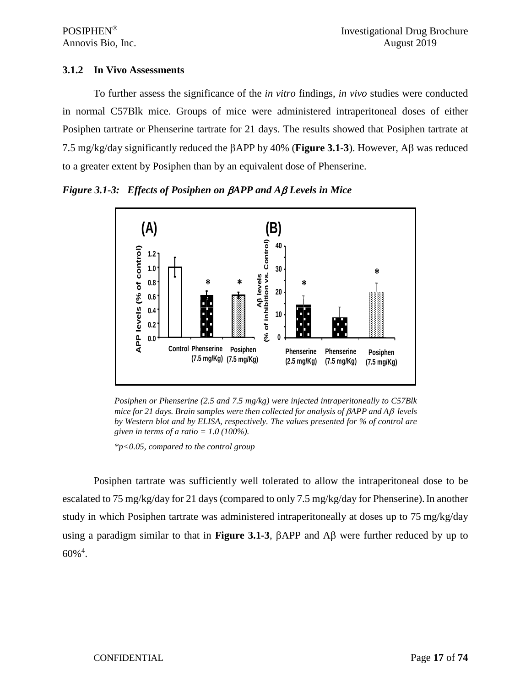## <span id="page-16-0"></span>**3.1.2 In Vivo Assessments**

To further assess the significance of the *in vitro* findings, *in vivo* studies were conducted in normal C57Blk mice. Groups of mice were administered intraperitoneal doses of either Posiphen tartrate or Phenserine tartrate for 21 days. The results showed that Posiphen tartrate at 7.5 mg/kg/day significantly reduced the βAPP by 40% (**Figure 3.1-3**). However, Aβ was reduced to a greater extent by Posiphen than by an equivalent dose of Phenserine.

*Figure 3.1-3: Effects of Posiphen on* β*APP and A*β *Levels in Mice*



*Posiphen or Phenserine (2.5 and 7.5 mg/kg) were injected intraperitoneally to C57Blk mice for 21 days. Brain samples were then collected for analysis of* β*APP and A*β *levels by Western blot and by ELISA, respectively. The values presented for % of control are given in terms of a ratio = 1.0 (100%).*

*\*p<0.05, compared to the control group*

Posiphen tartrate was sufficiently well tolerated to allow the intraperitoneal dose to be escalated to 75 mg/kg/day for 21 days (compared to only 7.5 mg/kg/day for Phenserine). In another study in which Posiphen tartrate was administered intraperitoneally at doses up to 75 mg/kg/day using a paradigm similar to that in **Figure 3.1-3**, βAPP and Aβ were further reduced by up to  $60\%$ <sup>4</sup>.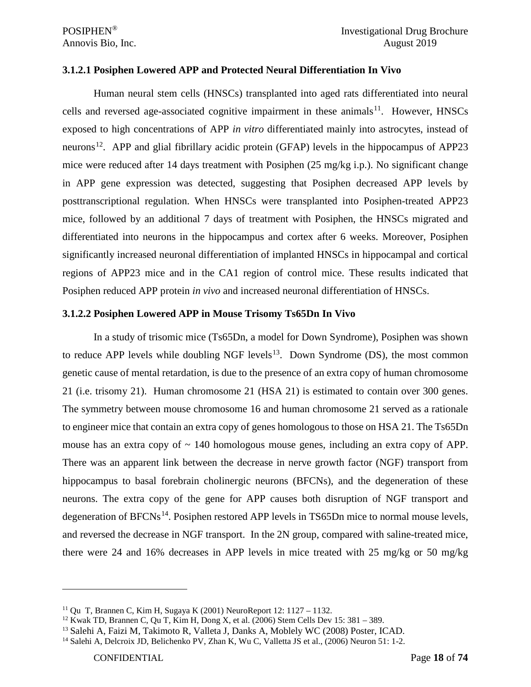#### <span id="page-17-0"></span>**3.1.2.1 Posiphen Lowered APP and Protected Neural Differentiation In Vivo**

Human neural stem cells (HNSCs) transplanted into aged rats differentiated into neural cells and reversed age-associated cognitive impairment in these animals<sup>[11](#page-17-2)</sup>. However, HNSCs exposed to high concentrations of APP *in vitro* differentiated mainly into astrocytes, instead of neurons<sup>12</sup>. APP and glial fibrillary acidic protein (GFAP) levels in the hippocampus of APP23 mice were reduced after 14 days treatment with Posiphen (25 mg/kg i.p.). No significant change in APP gene expression was detected, suggesting that Posiphen decreased APP levels by posttranscriptional regulation. When HNSCs were transplanted into Posiphen-treated APP23 mice, followed by an additional 7 days of treatment with Posiphen, the HNSCs migrated and differentiated into neurons in the hippocampus and cortex after 6 weeks. Moreover, Posiphen significantly increased neuronal differentiation of implanted HNSCs in hippocampal and cortical regions of APP23 mice and in the CA1 region of control mice. These results indicated that Posiphen reduced APP protein *in vivo* and increased neuronal differentiation of HNSCs.

#### <span id="page-17-1"></span>**3.1.2.2 Posiphen Lowered APP in Mouse Trisomy Ts65Dn In Vivo**

In a study of trisomic mice (Ts65Dn, a model for Down Syndrome), Posiphen was shown to reduce APP levels while doubling NGF levels<sup>13</sup>. Down Syndrome (DS), the most common genetic cause of mental retardation, is due to the presence of an extra copy of human chromosome 21 (i.e. trisomy 21). Human chromosome 21 (HSA 21) is estimated to contain over 300 genes. The symmetry between mouse chromosome 16 and human chromosome 21 served as a rationale to engineer mice that contain an extra copy of genes homologous to those on HSA 21. The Ts65Dn mouse has an extra copy of  $\sim$  140 homologous mouse genes, including an extra copy of APP. There was an apparent link between the decrease in nerve growth factor (NGF) transport from hippocampus to basal forebrain cholinergic neurons (BFCNs), and the degeneration of these neurons. The extra copy of the gene for APP causes both disruption of NGF transport and degeneration of  $BFCNs^{14}$  $BFCNs^{14}$  $BFCNs^{14}$ . Posiphen restored APP levels in TS65Dn mice to normal mouse levels, and reversed the decrease in NGF transport. In the 2N group, compared with saline-treated mice, there were 24 and 16% decreases in APP levels in mice treated with 25 mg/kg or 50 mg/kg

<span id="page-17-2"></span><sup>11</sup> Qu T, Brannen C, Kim H, Sugaya K (2001) NeuroReport 12: 1127 – 1132.

<span id="page-17-3"></span><sup>&</sup>lt;sup>12</sup> Kwak TD, Brannen C, Qu T, Kim H, Dong X, et al. (2006) Stem Cells Dev 15: 381 – 389.

<span id="page-17-4"></span><sup>13</sup> Salehi A, Faizi M, Takimoto R, Valleta J, Danks A, Moblely WC (2008) Poster, ICAD.

<span id="page-17-5"></span><sup>&</sup>lt;sup>14</sup> Salehi A, Delcroix JD, Belichenko PV, Zhan K, Wu C, Valletta JS et al., (2006) Neuron 51: 1-2.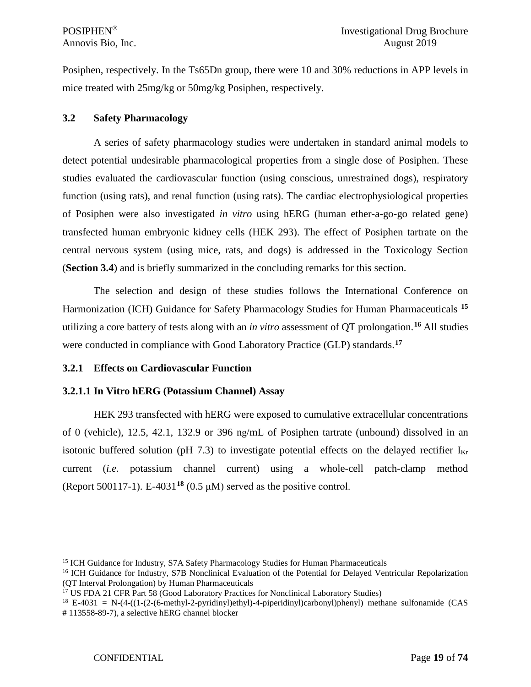Posiphen, respectively. In the Ts65Dn group, there were 10 and 30% reductions in APP levels in mice treated with 25mg/kg or 50mg/kg Posiphen, respectively.

## <span id="page-18-0"></span>**3.2 Safety Pharmacology**

A series of safety pharmacology studies were undertaken in standard animal models to detect potential undesirable pharmacological properties from a single dose of Posiphen. These studies evaluated the cardiovascular function (using conscious, unrestrained dogs), respiratory function (using rats), and renal function (using rats). The cardiac electrophysiological properties of Posiphen were also investigated *in vitro* using hERG (human ether-a-go-go related gene) transfected human embryonic kidney cells (HEK 293). The effect of Posiphen tartrate on the central nervous system (using mice, rats, and dogs) is addressed in the Toxicology Section (**Section 3.4**) and is briefly summarized in the concluding remarks for this section.

The selection and design of these studies follows the International Conference on Harmonization (ICH) Guidance for Safety Pharmacology Studies for Human Pharmaceuticals **[15](#page-18-3)** utilizing a core battery of tests along with an *in vitro* assessment of QT prolongation.**[16](#page-18-4)** All studies were conducted in compliance with Good Laboratory Practice (GLP) standards.**[17](#page-18-5)**

## <span id="page-18-1"></span>**3.2.1 Effects on Cardiovascular Function**

# <span id="page-18-2"></span>**3.2.1.1 In Vitro hERG (Potassium Channel) Assay**

HEK 293 transfected with hERG were exposed to cumulative extracellular concentrations of 0 (vehicle), 12.5, 42.1, 132.9 or 396 ng/mL of Posiphen tartrate (unbound) dissolved in an isotonic buffered solution (pH 7.3) to investigate potential effects on the delayed rectifier  $I_{Kr}$ current (*i.e.* potassium channel current) using a whole-cell patch-clamp method (Report 500117-1). E-4031**[18](#page-18-6)** (0.5 μM) served as the positive control.

<span id="page-18-4"></span><span id="page-18-3"></span><sup>&</sup>lt;sup>15</sup> ICH Guidance for Industry, S7A Safety Pharmacology Studies for Human Pharmaceuticals<br><sup>16</sup> ICH Guidance for Industry, S7B Nonclinical Evaluation of the Potential for Delayed Ventricular Repolarization (QT Interval Prolongation) by Human Pharmaceuticals

<sup>&</sup>lt;sup>17</sup> US FDA 21 CFR Part 58 (Good Laboratory Practices for Nonclinical Laboratory Studies)

<span id="page-18-6"></span><span id="page-18-5"></span> $18$  E-4031 = N-(4-((1-(2-(6-methyl-2-pyridinyl)ethyl)-4-piperidinyl)carbonyl)phenyl) methane sulfonamide (CAS # 113558-89-7), a selective hERG channel blocker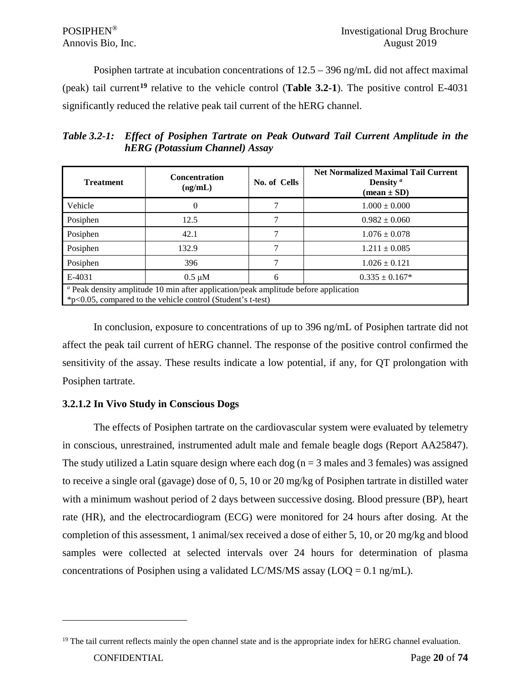Posiphen tartrate at incubation concentrations of 12.5 – 396 ng/mL did not affect maximal (peak) tail current**[19](#page-19-1)** relative to the vehicle control (**Table 3.2-1**). The positive control E-4031 significantly reduced the relative peak tail current of the hERG channel.

*Table 3.2-1: Effect of Posiphen Tartrate on Peak Outward Tail Current Amplitude in the hERG (Potassium Channel) Assay*

| <b>Treatment</b>                                                                                                                                                     | <b>Concentration</b><br>(ng/mL) | No. of Cells | <b>Net Normalized Maximal Tail Current</b><br>Density $a$<br>$(\text{mean} \pm \text{SD})$ |
|----------------------------------------------------------------------------------------------------------------------------------------------------------------------|---------------------------------|--------------|--------------------------------------------------------------------------------------------|
| Vehicle                                                                                                                                                              | $\theta$                        |              | $1.000 \pm 0.000$                                                                          |
| Posiphen                                                                                                                                                             | 12.5                            |              | $0.982 \pm 0.060$                                                                          |
| Posiphen                                                                                                                                                             | 42.1                            |              | $1.076 \pm 0.078$                                                                          |
| Posiphen                                                                                                                                                             | 132.9                           |              | $1.211 \pm 0.085$                                                                          |
| Posiphen                                                                                                                                                             | 396                             |              | $1.026 \pm 0.121$                                                                          |
| E-4031                                                                                                                                                               | $0.5 \mu M$                     | 6            | $0.335 \pm 0.167*$                                                                         |
| <sup><i>a</i></sup> Peak density amplitude 10 min after application/peak amplitude before application<br>*p<0.05, compared to the vehicle control (Student's t-test) |                                 |              |                                                                                            |

In conclusion, exposure to concentrations of up to 396 ng/mL of Posiphen tartrate did not affect the peak tail current of hERG channel. The response of the positive control confirmed the sensitivity of the assay. These results indicate a low potential, if any, for QT prolongation with Posiphen tartrate.

# <span id="page-19-0"></span>**3.2.1.2 In Vivo Study in Conscious Dogs**

The effects of Posiphen tartrate on the cardiovascular system were evaluated by telemetry in conscious, unrestrained, instrumented adult male and female beagle dogs (Report AA25847). The study utilized a Latin square design where each dog ( $n = 3$  males and 3 females) was assigned to receive a single oral (gavage) dose of 0, 5, 10 or 20 mg/kg of Posiphen tartrate in distilled water with a minimum washout period of 2 days between successive dosing. Blood pressure (BP), heart rate (HR), and the electrocardiogram (ECG) were monitored for 24 hours after dosing. At the completion of this assessment, 1 animal/sex received a dose of either 5, 10, or 20 mg/kg and blood samples were collected at selected intervals over 24 hours for determination of plasma concentrations of Posiphen using a validated LC/MS/MS assay ( $\text{LOQ} = 0.1 \text{ ng/mL}$ ).

<span id="page-19-1"></span> $19$  The tail current reflects mainly the open channel state and is the appropriate index for hERG channel evaluation.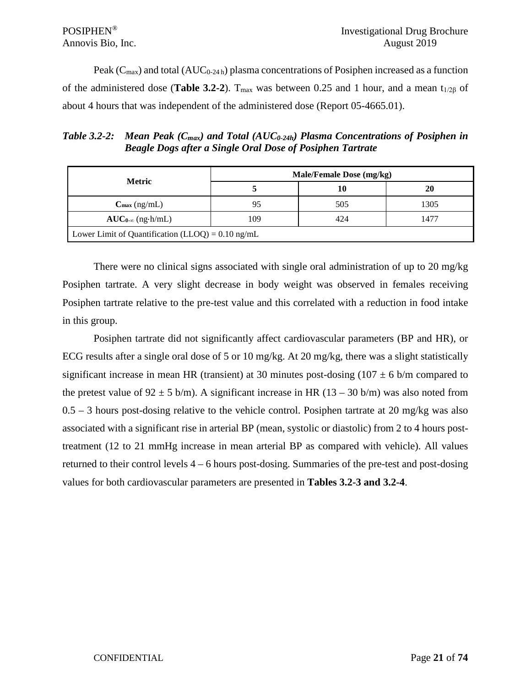Peak ( $C_{\text{max}}$ ) and total (AUC<sub>0-24 h</sub>) plasma concentrations of Posiphen increased as a function of the administered dose (**Table 3.2-2**). T<sub>max</sub> was between 0.25 and 1 hour, and a mean t<sub>1/2β</sub> of about 4 hours that was independent of the administered dose (Report 05-4665.01).

*Table 3.2-2: Mean Peak (C<sub>max</sub>) and Total (AUC<sub>0-24h</sub>) Plasma Concentrations of Posiphen in Beagle Dogs after a Single Oral Dose of Posiphen Tartrate*

|                                                     | Male/Female Dose (mg/kg) |     |      |  |
|-----------------------------------------------------|--------------------------|-----|------|--|
| <b>Metric</b>                                       |                          | 10  | 20   |  |
| $C_{\text{max}}$ (ng/mL)                            | 95                       | 505 | 1305 |  |
| $AUC_{0-\infty}$ (ng·h/mL)                          | 109                      | 424 | 1477 |  |
| Lower Limit of Quantification (LLOQ) = $0.10$ ng/mL |                          |     |      |  |

There were no clinical signs associated with single oral administration of up to 20 mg/kg Posiphen tartrate. A very slight decrease in body weight was observed in females receiving Posiphen tartrate relative to the pre-test value and this correlated with a reduction in food intake in this group.

Posiphen tartrate did not significantly affect cardiovascular parameters (BP and HR), or ECG results after a single oral dose of 5 or 10 mg/kg. At 20 mg/kg, there was a slight statistically significant increase in mean HR (transient) at 30 minutes post-dosing (107  $\pm$  6 b/m compared to the pretest value of  $92 \pm 5$  b/m). A significant increase in HR (13 – 30 b/m) was also noted from  $0.5 - 3$  hours post-dosing relative to the vehicle control. Posiphen tartrate at 20 mg/kg was also associated with a significant rise in arterial BP (mean, systolic or diastolic) from 2 to 4 hours posttreatment (12 to 21 mmHg increase in mean arterial BP as compared with vehicle). All values returned to their control levels 4 – 6 hours post-dosing. Summaries of the pre-test and post-dosing values for both cardiovascular parameters are presented in **Tables 3.2-3 and 3.2-4**.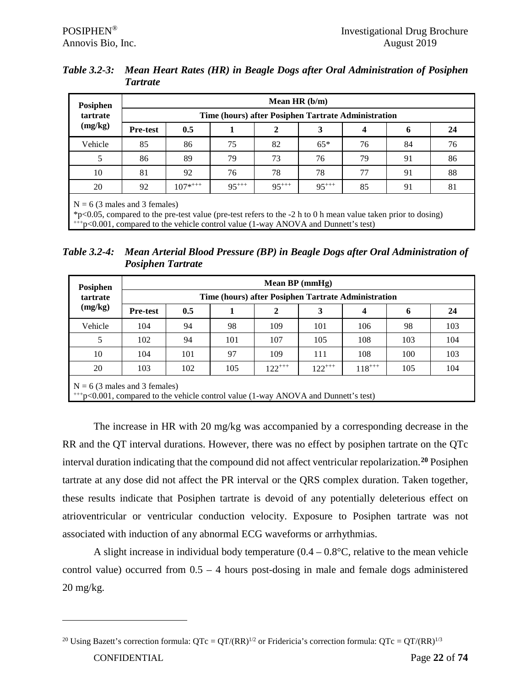| Table 3.2-3: Mean Heart Rates (HR) in Beagle Dogs after Oral Administration of Posiphen |
|-----------------------------------------------------------------------------------------|
| Tartrate                                                                                |

| Time (hours) after Posiphen Tartrate Administration |                           |  |  |  |  |  |  |  |  |
|-----------------------------------------------------|---------------------------|--|--|--|--|--|--|--|--|
| 6                                                   | 24                        |  |  |  |  |  |  |  |  |
| 84                                                  | 76                        |  |  |  |  |  |  |  |  |
| 91                                                  | 86                        |  |  |  |  |  |  |  |  |
| 91                                                  | 88                        |  |  |  |  |  |  |  |  |
| 91                                                  | 81                        |  |  |  |  |  |  |  |  |
|                                                     | 4<br>76<br>79<br>77<br>85 |  |  |  |  |  |  |  |  |

 $N = 6$  (3 males and 3 females)

\*p<0.05, compared to the pre-test value (pre-test refers to the -2 h to 0 h mean value taken prior to dosing)  $+p<0.001$ , compared to the vehicle control value (1-way ANOVA and Dunnett's test)

*Table 3.2-4: Mean Arterial Blood Pressure (BP) in Beagle Dogs after Oral Administration of Posiphen Tartrate*

| Posiphen |                                                                                                                                    | Mean $BP$ (mmHg)                                                     |     |     |     |     |     |     |  |  |  |  |  |
|----------|------------------------------------------------------------------------------------------------------------------------------------|----------------------------------------------------------------------|-----|-----|-----|-----|-----|-----|--|--|--|--|--|
| tartrate |                                                                                                                                    | Time (hours) after Posiphen Tartrate Administration                  |     |     |     |     |     |     |  |  |  |  |  |
| (mg/kg)  | <b>Pre-test</b>                                                                                                                    | 0.5                                                                  |     | 2   | 3   | 4   | 6   | 24  |  |  |  |  |  |
| Vehicle  | 104                                                                                                                                | 94                                                                   | 98  | 109 | 101 | 106 | 98  | 103 |  |  |  |  |  |
| 5        | 102                                                                                                                                | 94                                                                   | 101 | 107 | 105 | 108 | 103 | 104 |  |  |  |  |  |
| 10       | 104                                                                                                                                | 101                                                                  | 97  | 109 | 111 | 108 | 100 | 103 |  |  |  |  |  |
| 20       | 103                                                                                                                                | $122^{+++}$<br>$122^{+++}$<br>$118^{++}$<br>102<br>105<br>104<br>105 |     |     |     |     |     |     |  |  |  |  |  |
|          | $N = 6$ (3 males and 3 females)<br>$^{+++p}$ $\leq 0.001$ , compared to the vehicle control value (1-way ANOVA and Dunnett's test) |                                                                      |     |     |     |     |     |     |  |  |  |  |  |

The increase in HR with 20 mg/kg was accompanied by a corresponding decrease in the RR and the QT interval durations. However, there was no effect by posiphen tartrate on the QTc interval duration indicating that the compound did not affect ventricular repolarization.**[20](#page-21-0)** Posiphen tartrate at any dose did not affect the PR interval or the QRS complex duration. Taken together, these results indicate that Posiphen tartrate is devoid of any potentially deleterious effect on atrioventricular or ventricular conduction velocity. Exposure to Posiphen tartrate was not associated with induction of any abnormal ECG waveforms or arrhythmias.

A slight increase in individual body temperature  $(0.4 - 0.8^{\circ}C)$ , relative to the mean vehicle control value) occurred from  $0.5 - 4$  hours post-dosing in male and female dogs administered 20 mg/kg.

<span id="page-21-0"></span>CONFIDENTIAL Page **22** of **74** <sup>20</sup> Using Bazett's correction formula:  $QTc = QT/(RR)^{1/2}$  or Fridericia's correction formula:  $QTc = QT/(RR)^{1/3}$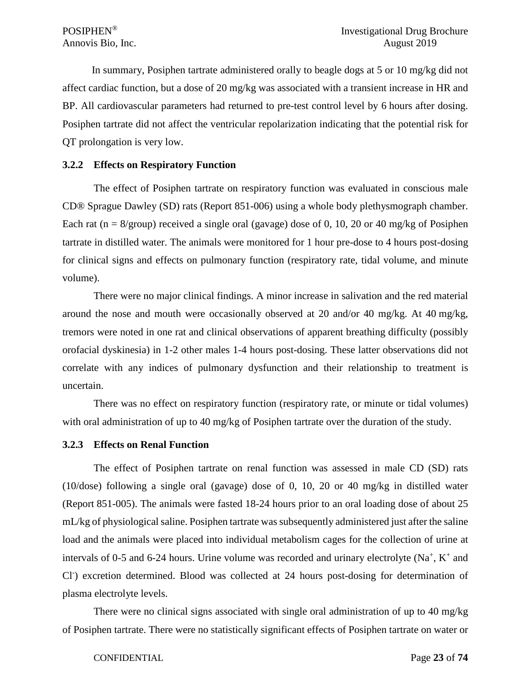In summary, Posiphen tartrate administered orally to beagle dogs at 5 or 10 mg/kg did not affect cardiac function, but a dose of 20 mg/kg was associated with a transient increase in HR and BP. All cardiovascular parameters had returned to pre-test control level by 6 hours after dosing. Posiphen tartrate did not affect the ventricular repolarization indicating that the potential risk for QT prolongation is very low.

## <span id="page-22-0"></span>**3.2.2 Effects on Respiratory Function**

The effect of Posiphen tartrate on respiratory function was evaluated in conscious male CD® Sprague Dawley (SD) rats (Report 851-006) using a whole body plethysmograph chamber. Each rat ( $n = 8$ /group) received a single oral (gavage) dose of 0, 10, 20 or 40 mg/kg of Posiphen tartrate in distilled water. The animals were monitored for 1 hour pre-dose to 4 hours post-dosing for clinical signs and effects on pulmonary function (respiratory rate, tidal volume, and minute volume).

There were no major clinical findings. A minor increase in salivation and the red material around the nose and mouth were occasionally observed at 20 and/or 40 mg/kg. At 40 mg/kg, tremors were noted in one rat and clinical observations of apparent breathing difficulty (possibly orofacial dyskinesia) in 1-2 other males 1-4 hours post-dosing. These latter observations did not correlate with any indices of pulmonary dysfunction and their relationship to treatment is uncertain.

There was no effect on respiratory function (respiratory rate, or minute or tidal volumes) with oral administration of up to 40 mg/kg of Posiphen tartrate over the duration of the study.

## <span id="page-22-1"></span>**3.2.3 Effects on Renal Function**

The effect of Posiphen tartrate on renal function was assessed in male CD (SD) rats (10/dose) following a single oral (gavage) dose of 0, 10, 20 or 40 mg/kg in distilled water (Report 851-005). The animals were fasted 18-24 hours prior to an oral loading dose of about 25 mL/kg of physiological saline. Posiphen tartrate was subsequently administered just after the saline load and the animals were placed into individual metabolism cages for the collection of urine at intervals of 0-5 and 6-24 hours. Urine volume was recorded and urinary electrolyte  $(Na^+, K^+)$  and Cl- ) excretion determined. Blood was collected at 24 hours post-dosing for determination of plasma electrolyte levels.

There were no clinical signs associated with single oral administration of up to 40 mg/kg of Posiphen tartrate. There were no statistically significant effects of Posiphen tartrate on water or

#### CONFIDENTIAL Page **23** of **74**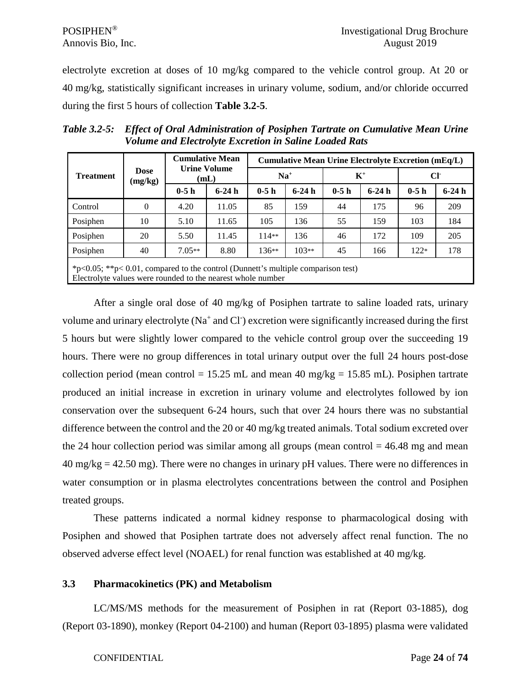electrolyte excretion at doses of 10 mg/kg compared to the vehicle control group. At 20 or 40 mg/kg, statistically significant increases in urinary volume, sodium, and/or chloride occurred during the first 5 hours of collection **Table 3.2-5**.

|                  |                                                                                      |                             | <b>Cumulative Mean</b> | <b>Cumulative Mean Urine Electrolyte Excretion (mEq/L)</b> |         |        |         |              |         |  |  |
|------------------|--------------------------------------------------------------------------------------|-----------------------------|------------------------|------------------------------------------------------------|---------|--------|---------|--------------|---------|--|--|
| <b>Treatment</b> | <b>Dose</b><br>(mg/kg)                                                               | <b>Urine Volume</b><br>(mL) |                        | $Na+$                                                      |         | $K^+$  |         | $Cl^{\cdot}$ |         |  |  |
|                  |                                                                                      | $0-5h$                      | $6-24h$                | $0-5h$                                                     | $6-24h$ | $0-5h$ | $6-24h$ | $0-5h$       | $6-24h$ |  |  |
| Control          | $\Omega$                                                                             | 4.20                        | 11.05                  | 85                                                         | 159     | 44     | 175     | 96           | 209     |  |  |
| Posiphen         | 10                                                                                   | 5.10                        | 11.65                  | 105                                                        | 136     | 55     | 159     | 103          | 184     |  |  |
| Posiphen         | 20                                                                                   | 5.50                        | 11.45                  | $114**$                                                    | 136     | 46     | 172     | 109          | 205     |  |  |
| Posiphen         | 40                                                                                   | $7.05**$                    | 8.80                   | $136**$                                                    | $103**$ | 45     | 166     | $122*$       | 178     |  |  |
|                  | $*p<0.05$ ; $*p<0.01$ , compared to the control (Dunnett's multiple comparison test) |                             |                        |                                                            |         |        |         |              |         |  |  |

*Table 3.2-5: Effect of Oral Administration of Posiphen Tartrate on Cumulative Mean Urine Volume and Electrolyte Excretion in Saline Loaded Rats*

Electrolyte values were rounded to the nearest whole number

After a single oral dose of 40 mg/kg of Posiphen tartrate to saline loaded rats, urinary volume and urinary electrolyte (Na<sup>+</sup> and Cl<sup>-</sup>) excretion were significantly increased during the first 5 hours but were slightly lower compared to the vehicle control group over the succeeding 19 hours. There were no group differences in total urinary output over the full 24 hours post-dose collection period (mean control = 15.25 mL and mean 40 mg/kg = 15.85 mL). Posiphen tartrate produced an initial increase in excretion in urinary volume and electrolytes followed by ion conservation over the subsequent 6-24 hours, such that over 24 hours there was no substantial difference between the control and the 20 or 40 mg/kg treated animals. Total sodium excreted over the 24 hour collection period was similar among all groups (mean control  $=$  46.48 mg and mean  $40 \text{ mg/kg} = 42.50 \text{ mg}$ . There were no changes in urinary pH values. There were no differences in water consumption or in plasma electrolytes concentrations between the control and Posiphen treated groups.

These patterns indicated a normal kidney response to pharmacological dosing with Posiphen and showed that Posiphen tartrate does not adversely affect renal function. The no observed adverse effect level (NOAEL) for renal function was established at 40 mg/kg.

# <span id="page-23-0"></span>**3.3 Pharmacokinetics (PK) and Metabolism**

LC/MS/MS methods for the measurement of Posiphen in rat (Report 03-1885), dog (Report 03-1890), monkey (Report 04-2100) and human (Report 03-1895) plasma were validated

#### CONFIDENTIAL Page **24** of **74**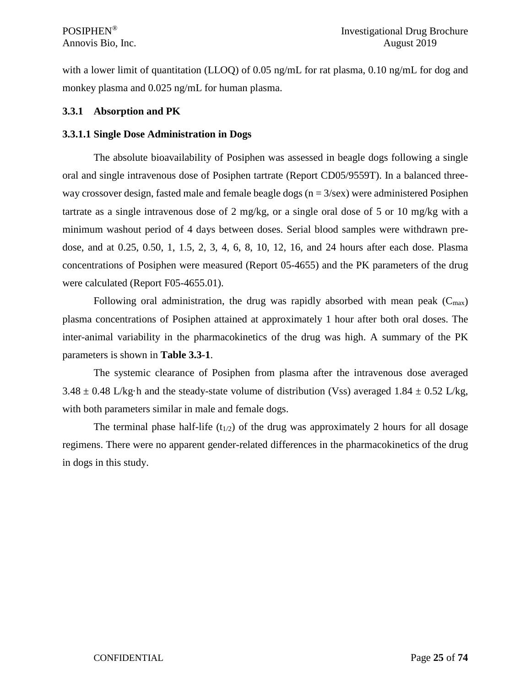with a lower limit of quantitation (LLOQ) of 0.05 ng/mL for rat plasma, 0.10 ng/mL for dog and monkey plasma and 0.025 ng/mL for human plasma.

## <span id="page-24-0"></span>**3.3.1 Absorption and PK**

## <span id="page-24-1"></span>**3.3.1.1 Single Dose Administration in Dogs**

The absolute bioavailability of Posiphen was assessed in beagle dogs following a single oral and single intravenous dose of Posiphen tartrate (Report CD05/9559T). In a balanced threeway crossover design, fasted male and female beagle dogs ( $n = 3$ /sex) were administered Posiphen tartrate as a single intravenous dose of 2 mg/kg, or a single oral dose of 5 or 10 mg/kg with a minimum washout period of 4 days between doses. Serial blood samples were withdrawn predose, and at 0.25, 0.50, 1, 1.5, 2, 3, 4, 6, 8, 10, 12, 16, and 24 hours after each dose. Plasma concentrations of Posiphen were measured (Report 05-4655) and the PK parameters of the drug were calculated (Report F05-4655.01).

Following oral administration, the drug was rapidly absorbed with mean peak  $(C_{\text{max}})$ plasma concentrations of Posiphen attained at approximately 1 hour after both oral doses. The inter-animal variability in the pharmacokinetics of the drug was high. A summary of the PK parameters is shown in **Table 3.3-1**.

The systemic clearance of Posiphen from plasma after the intravenous dose averaged  $3.48 \pm 0.48$  L/kg·h and the steady-state volume of distribution (Vss) averaged 1.84  $\pm$  0.52 L/kg, with both parameters similar in male and female dogs.

The terminal phase half-life  $(t_{1/2})$  of the drug was approximately 2 hours for all dosage regimens. There were no apparent gender-related differences in the pharmacokinetics of the drug in dogs in this study.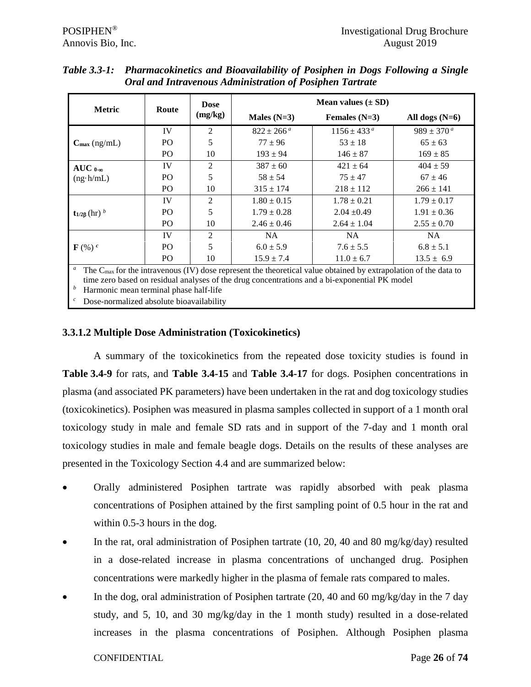|                                |                | <b>Dose</b> |                       | Mean values $(\pm SD)$ |                       |  |  |
|--------------------------------|----------------|-------------|-----------------------|------------------------|-----------------------|--|--|
| <b>Metric</b>                  | Route          | (mg/kg)     | Males $(N=3)$         | Females $(N=3)$        | All dogs $(N=6)$      |  |  |
|                                | IV             | 2           | $822 \pm 266^{\circ}$ | $1156 \pm 433^{\circ}$ | $989 \pm 370^{\circ}$ |  |  |
| $C_{\text{max}}$ (ng/mL)       | P <sub>O</sub> | 5           | $77 + 96$             | $53 + 18$              | $65 \pm 63$           |  |  |
|                                | P <sub>O</sub> | 10          | $193 \pm 94$          | $146 \pm 87$           | $169 \pm 85$          |  |  |
| $AUC_{0-\infty}$               | IV             | 2           | $387 \pm 60$          | $421 \pm 64$           | $404 \pm 59$          |  |  |
| $(ng \cdot h/mL)$              | P <sub>O</sub> | 5           | $58 \pm 54$           | $75 + 47$              | $67 \pm 46$           |  |  |
|                                | P <sub>O</sub> | 10          | $315 \pm 174$         | $218 \pm 112$          | $266 \pm 141$         |  |  |
|                                | IV             | 2           | $1.80 \pm 0.15$       | $1.78 \pm 0.21$        | $1.79 \pm 0.17$       |  |  |
| $t_{1/2β}$ (hr) $^b$           | PO.            | 5           | $1.79 \pm 0.28$       | $2.04 \pm 0.49$        | $1.91 \pm 0.36$       |  |  |
|                                | P <sub>O</sub> | 10          | $2.46 \pm 0.46$       | $2.64 \pm 1.04$        | $2.55 \pm 0.70$       |  |  |
|                                | IV             | 2           | <b>NA</b>             | <b>NA</b>              | NA.                   |  |  |
| $\mathbf{F}(\mathcal{C})$ $^c$ | PO.            | 5           | $6.0 \pm 5.9$         | $7.6 \pm 5.5$          | $6.8 \pm 5.1$         |  |  |
|                                | PO             | 10          | $15.9 \pm 7.4$        | $11.0 \pm 6.7$         | $13.5 \pm 6.9$        |  |  |

| Table 3.3-1: Pharmacokinetics and Bioavailability of Posiphen in Dogs Following a Single |
|------------------------------------------------------------------------------------------|
| <b>Oral and Intravenous Administration of Posiphen Tartrate</b>                          |

<sup>a</sup> The C<sub>max</sub> for the intravenous (IV) dose represent the theoretical value obtained by extrapolation of the data to time zero based on residual analyses of the drug concentrations and a bi-exponential PK model

*<sup>b</sup>* Harmonic mean terminal phase half-life

Dose-normalized absolute bioavailability

# <span id="page-25-0"></span>**3.3.1.2 Multiple Dose Administration (Toxicokinetics)**

A summary of the toxicokinetics from the repeated dose toxicity studies is found in **Table 3.4-9** for rats, and **Table 3.4-15** and **Table 3.4-17** for dogs. Posiphen concentrations in plasma (and associated PK parameters) have been undertaken in the rat and dog toxicology studies (toxicokinetics). Posiphen was measured in plasma samples collected in support of a 1 month oral toxicology study in male and female SD rats and in support of the 7-day and 1 month oral toxicology studies in male and female beagle dogs. Details on the results of these analyses are presented in the Toxicology Section 4.4 and are summarized below:

- Orally administered Posiphen tartrate was rapidly absorbed with peak plasma concentrations of Posiphen attained by the first sampling point of 0.5 hour in the rat and within 0.5-3 hours in the dog.
- In the rat, oral administration of Posiphen tartrate (10, 20, 40 and 80 mg/kg/day) resulted in a dose-related increase in plasma concentrations of unchanged drug. Posiphen concentrations were markedly higher in the plasma of female rats compared to males.
- In the dog, oral administration of Posiphen tartrate (20, 40 and 60 mg/kg/day in the 7 day study, and 5, 10, and 30 mg/kg/day in the 1 month study) resulted in a dose-related increases in the plasma concentrations of Posiphen. Although Posiphen plasma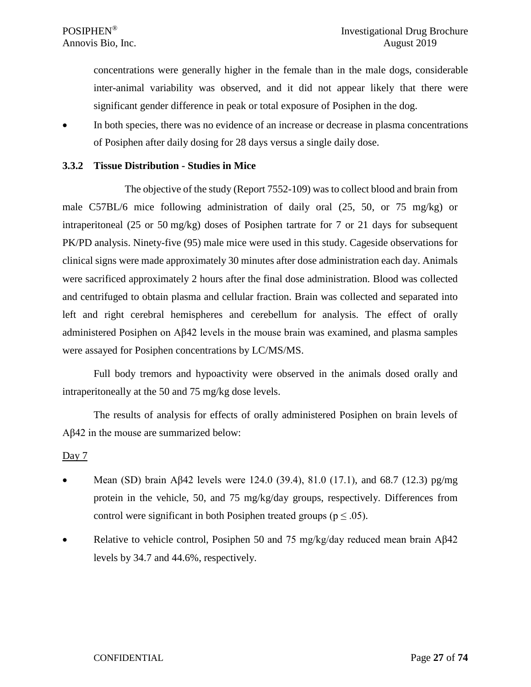concentrations were generally higher in the female than in the male dogs, considerable inter-animal variability was observed, and it did not appear likely that there were significant gender difference in peak or total exposure of Posiphen in the dog.

• In both species, there was no evidence of an increase or decrease in plasma concentrations of Posiphen after daily dosing for 28 days versus a single daily dose.

## <span id="page-26-0"></span>**3.3.2 Tissue Distribution - Studies in Mice**

The objective of the study (Report 7552-109) was to collect blood and brain from male C57BL/6 mice following administration of daily oral (25, 50, or 75 mg/kg) or intraperitoneal (25 or 50 mg/kg) doses of Posiphen tartrate for 7 or 21 days for subsequent PK/PD analysis. Ninety-five (95) male mice were used in this study. Cageside observations for clinical signs were made approximately 30 minutes after dose administration each day. Animals were sacrificed approximately 2 hours after the final dose administration. Blood was collected and centrifuged to obtain plasma and cellular fraction. Brain was collected and separated into left and right cerebral hemispheres and cerebellum for analysis. The effect of orally administered Posiphen on Aβ42 levels in the mouse brain was examined, and plasma samples were assayed for Posiphen concentrations by LC/MS/MS.

Full body tremors and hypoactivity were observed in the animals dosed orally and intraperitoneally at the 50 and 75 mg/kg dose levels.

The results of analysis for effects of orally administered Posiphen on brain levels of Aβ42 in the mouse are summarized below:

#### Day  $7$

- Mean (SD) brain Aβ42 levels were 124.0 (39.4), 81.0 (17.1), and 68.7 (12.3) pg/mg protein in the vehicle, 50, and 75 mg/kg/day groups, respectively. Differences from control were significant in both Posiphen treated groups ( $p \leq .05$ ).
- Relative to vehicle control, Posiphen 50 and 75 mg/kg/day reduced mean brain Aβ42 levels by 34.7 and 44.6%, respectively.

#### CONFIDENTIAL Page **27** of **74**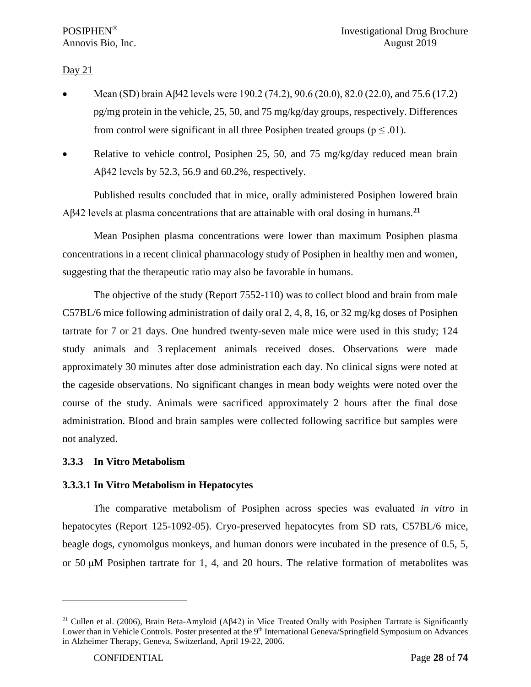# Day  $21$

- Mean (SD) brain Aβ42 levels were 190.2 (74.2), 90.6 (20.0), 82.0 (22.0), and 75.6 (17.2) pg/mg protein in the vehicle, 25, 50, and 75 mg/kg/day groups, respectively. Differences from control were significant in all three Posiphen treated groups ( $p \le 0.01$ ).
- Relative to vehicle control, Posiphen 25, 50, and 75 mg/kg/day reduced mean brain Aβ42 levels by 52.3, 56.9 and 60.2%, respectively.

Published results concluded that in mice, orally administered Posiphen lowered brain Aβ42 levels at plasma concentrations that are attainable with oral dosing in humans.**[21](#page-27-2)**

Mean Posiphen plasma concentrations were lower than maximum Posiphen plasma concentrations in a recent clinical pharmacology study of Posiphen in healthy men and women, suggesting that the therapeutic ratio may also be favorable in humans.

The objective of the study (Report 7552-110) was to collect blood and brain from male C57BL/6 mice following administration of daily oral 2, 4, 8, 16, or 32 mg/kg doses of Posiphen tartrate for 7 or 21 days. One hundred twenty-seven male mice were used in this study; 124 study animals and 3 replacement animals received doses. Observations were made approximately 30 minutes after dose administration each day. No clinical signs were noted at the cageside observations. No significant changes in mean body weights were noted over the course of the study. Animals were sacrificed approximately 2 hours after the final dose administration. Blood and brain samples were collected following sacrifice but samples were not analyzed.

# <span id="page-27-0"></span>**3.3.3 In Vitro Metabolism**

# <span id="page-27-1"></span>**3.3.3.1 In Vitro Metabolism in Hepatocytes**

The comparative metabolism of Posiphen across species was evaluated *in vitro* in hepatocytes (Report 125-1092-05). Cryo-preserved hepatocytes from SD rats, C57BL/6 mice, beagle dogs, cynomolgus monkeys, and human donors were incubated in the presence of 0.5, 5, or 50 µM Posiphen tartrate for 1, 4, and 20 hours. The relative formation of metabolites was

<span id="page-27-2"></span><sup>&</sup>lt;sup>21</sup> Cullen et al. (2006), Brain Beta-Amyloid (A $\beta$ 42) in Mice Treated Orally with Posiphen Tartrate is Significantly Lower than in Vehicle Controls. Poster presented at the 9<sup>th</sup> International Geneva/Springfield Symposium on Advances in Alzheimer Therapy, Geneva, Switzerland, April 19-22, 2006.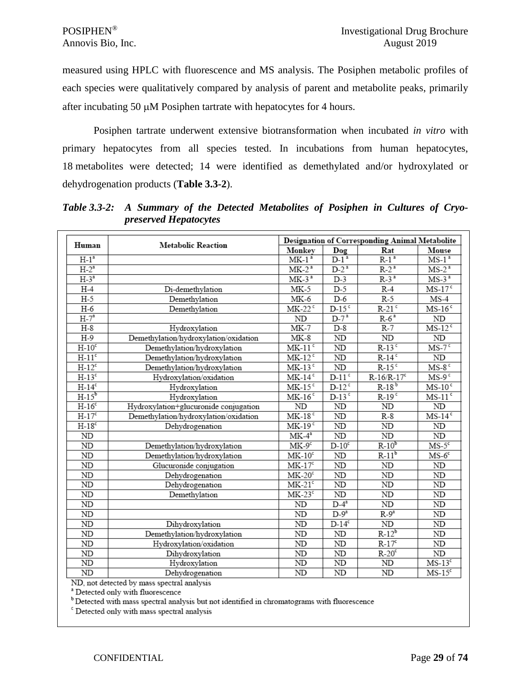measured using HPLC with fluorescence and MS analysis. The Posiphen metabolic profiles of each species were qualitatively compared by analysis of parent and metabolite peaks, primarily after incubating 50 µM Posiphen tartrate with hepatocytes for 4 hours.

Posiphen tartrate underwent extensive biotransformation when incubated *in vitro* with primary hepatocytes from all species tested. In incubations from human hepatocytes, 18 metabolites were detected; 14 were identified as demethylated and/or hydroxylated or dehydrogenation products (**Table 3.3-2**).

| Human      | <b>Metabolic Reaction</b>             |                      |                     | Designation of Corresponding Animal Metabolite |                      |
|------------|---------------------------------------|----------------------|---------------------|------------------------------------------------|----------------------|
|            |                                       | Monkey               | Dog                 | Rat                                            | Mouse                |
| $H-1a$     |                                       | $MK-13$              | $D-1^3$             | $R-1a$                                         | $MS-1^a$             |
| $H-2^a$    |                                       | $MK-2a$              | $D-2^a$             | $R-2^a$                                        | $MS-2^a$             |
| $H-3^a$    |                                       | $MK-3a$              | $D-3$               | $R-3^a$                                        | $MS-3a$              |
| $H-4$      | Di-demethylation                      | $MK-5$               | $D-5$               | $R-4$                                          | $MS-17c$             |
| $H-5$      | Demethylation                         | $MK-6$               | $D-6$               | $R-5$                                          | $MS-4$               |
| $H-6$      | Demethylation                         | $MK-22$ <sup>c</sup> | $D-15c$             | $R-21$ <sup>c</sup>                            | $MS-16c$             |
| $H-7^a$    |                                       | ND                   | $D-7^*$             | $R-6a$                                         | ND                   |
| $H-8$      | Hydroxylation                         | $MK-7$               | $D-8$               | $R-7$                                          | $MS-12^c$            |
| $H-9$      | Demethylation/hydroxylation/oxidation | $MK-8$               | ND                  | ND                                             | ND                   |
| $H-10c$    | Demethylation/hydroxylation           | $MK-11c$             | $\overline{ND}$     | $R-13$ c                                       | $MS-7$ <sup>c</sup>  |
| $H-11c$    | Demethylation/hydroxylation           | $MK-12$ <sup>c</sup> | ND                  | $R-14$                                         | ND                   |
| $H-12c$    | Demethylation/hydroxylation           | $MK-13c$             | ND                  | $R-15$ <sup>c</sup>                            | $MS-8c$              |
| $H-13c$    | Hydroxylation/oxidation               | $MK-14c$             | $D-11c$             | $R-16/R-17c$                                   | $MS-9c$              |
| $H-14c$    | Hydroxylation                         | $MK-15c$             | $D-12c$             | $R-18^{b}$                                     | $MS-10c$             |
| $H-15^b$   | Hydroxylation                         | $MK-16$ <sup>c</sup> | $D-13$ <sup>c</sup> | $R-19$ <sup>c</sup>                            | $MS-11$ <sup>c</sup> |
| $H-16c$    | Hydroxylation+glucuronide conjugation | ND                   | ND                  | <b>ND</b>                                      | ND                   |
| $H-17c$    | Demethylation/hydroxylation/oxidation | $MK-18c$             | ND                  | $R-8$                                          | $MS-14c$             |
| $H-18c$    | Dehydrogenation                       | $MK-19c$             | ND                  | ND                                             | ND                   |
| ND         |                                       | $MK-4^a$             | ND                  | ND                                             | ND                   |
| ND         | Demethylation/hydroxylation           | $MK-9c$              | $D-10^c$            | $R-10^b$                                       | $MS-5c$              |
| ND         | Demethylation/hydroxylation           | $MK-10c$             | ND                  | $R-11b$                                        | $MS-6$ <sup>c</sup>  |
| ${\rm ND}$ | Glucuronide conjugation               | $MK-17c$             | ND                  | ND                                             | ND                   |
| $\rm ND$   | Dehydrogenation                       | $MK-20c$             | ${\rm ND}$          | ND                                             | ND                   |
| ND         | Dehydrogenation                       | $MK-21c$             | ND                  | ND                                             | ND                   |
| ND         | Demethylation                         | $MK-23c$             | $\overline{ND}$     | ND                                             | ND                   |
| <b>ND</b>  |                                       | ND                   | $D-4^a$             | ND                                             | ND                   |
| ND         |                                       | ND                   | $D-9^a$             | $R-9a$                                         | ND                   |
| ND         | Dihydroxylation                       | ND                   | $D-14^c$            | ND                                             | ND                   |
| ND         | Demethylation/hydroxylation           | $\rm ND$             | ND                  | $R-12^b$                                       | ND                   |
| ND         | Hydroxylation/oxidation               | ND                   | ND                  | $R-17c$                                        | ND                   |
| ND         | Dihydroxylation                       | ND                   | ND                  | $R-20c$                                        | $\rm ND$             |
| <b>ND</b>  | Hydroxylation                         | ND                   | <b>ND</b>           | ND                                             | $MS-13c$             |
| <b>ND</b>  | Dehydrogenation                       | ND                   | ND                  | <b>ND</b>                                      | $MS-15c$             |

*Table 3.3-2: A Summary of the Detected Metabolites of Posiphen in Cultures of Cryopreserved Hepatocytes* 

ND, not detected by mass spectral analysis

<sup>a</sup> Detected only with fluorescence

<sup>b</sup> Detected with mass spectral analysis but not identified in chromatograms with fluorescence

<sup>c</sup> Detected only with mass spectral analysis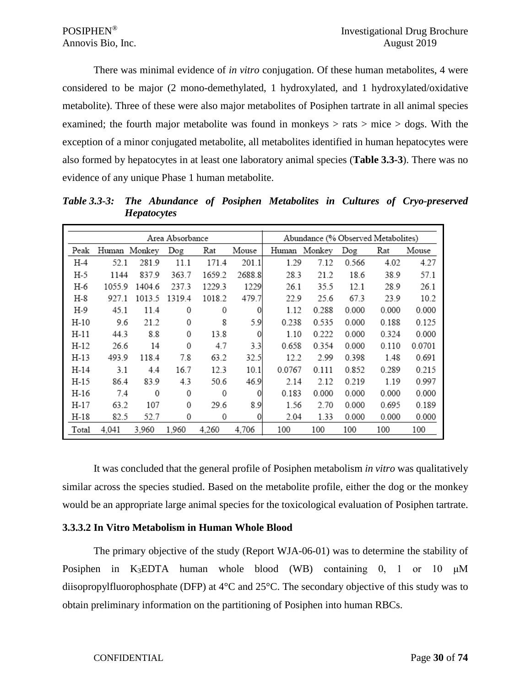There was minimal evidence of *in vitro* conjugation. Of these human metabolites, 4 were considered to be major (2 mono-demethylated, 1 hydroxylated, and 1 hydroxylated/oxidative metabolite). Three of these were also major metabolites of Posiphen tartrate in all animal species examined; the fourth major metabolite was found in monkeys  $>$  rats  $>$  mice  $>$  dogs. With the exception of a minor conjugated metabolite, all metabolites identified in human hepatocytes were also formed by hepatocytes in at least one laboratory animal species (**Table 3.3-3**). There was no evidence of any unique Phase 1 human metabolite.

|       |              |        | Area Absorbance |        |        | Abundance (% Observed Metabolites) |        |       |       |        |
|-------|--------------|--------|-----------------|--------|--------|------------------------------------|--------|-------|-------|--------|
| Peak  | Human Monkey |        | Dog             | Rat    | Mouse  | Human                              | Monkey | Dog   | Rat   | Mouse  |
| H-4   | 52.1         | 281.9  | 11.1            | 171.4  | 201.1  | 1.29                               | 7.12   | 0.566 | 4.02  | 4.27   |
| H-5   | 1144         | 837.9  | 363.7           | 1659.2 | 2688.8 | 28.3                               | 21.2   | 18.6  | 38.9  | 57.1   |
| H-6   | 1055.9       | 1404.6 | 237.3           | 1229.3 | 1229   | 26.1                               | 35.5   | 12.1  | 28.9  | 26.1   |
| H-8   | 927.1        | 1013.5 | 1319.4          | 1018.2 | 479.7  | 22.9                               | 25.6   | 67.3  | 23.9  | 10.2   |
| H-9   | 45.1         | 11.4   | 0               | 0      | 0      | 1.12                               | 0.288  | 0.000 | 0.000 | 0.000  |
| H-10  | 9.6          | 21.2   | 0               | 8      | 5.9    | 0.238                              | 0.535  | 0.000 | 0.188 | 0.125  |
| H-11  | 44.3         | 8.8    | $\mathbf{0}$    | 13.8   | 0      | 1.10                               | 0.222  | 0.000 | 0.324 | 0.000  |
| H-12  | 26.6         | 14     | $\Omega$        | 4.7    | 3.3    | 0.658                              | 0.354  | 0.000 | 0.110 | 0.0701 |
| H-13  | 493.9        | 118.4  | 7.8             | 63.2   | 32.5   | 12.2                               | 2.99   | 0.398 | 1.48  | 0.691  |
| H-14  | 3.1          | 4.4    | 16.7            | 12.3   | 10.1   | 0.0767                             | 0.111  | 0.852 | 0.289 | 0.215  |
| H-15  | 86.4         | 83.9   | 4.3             | 50.6   | 46.9   | 2.14                               | 2.12   | 0.219 | 1.19  | 0.997  |
| H-16  | 7.4          | 0      | $\mathbf 0$     | 0      | 0      | 0.183                              | 0.000  | 0.000 | 0.000 | 0.000  |
| H-17  | 63.2         | 107    | 0               | 29.6   | 8.9    | 1.56                               | 2.70   | 0.000 | 0.695 | 0.189  |
| H-18  | 82.5         | 52.7   | 0               | 0      | 0      | 2.04                               | 1.33   | 0.000 | 0.000 | 0.000  |
| Total | 4,041        | 3.960  | 1,960           | 4.260  | 4.706  | 100                                | 100    | 100   | 100   | 100    |

*Table 3.3-3: The Abundance of Posiphen Metabolites in Cultures of Cryo-preserved Hepatocytes*

It was concluded that the general profile of Posiphen metabolism *in vitro* was qualitatively similar across the species studied. Based on the metabolite profile, either the dog or the monkey would be an appropriate large animal species for the toxicological evaluation of Posiphen tartrate.

## <span id="page-29-0"></span>**3.3.3.2 In Vitro Metabolism in Human Whole Blood**

The primary objective of the study (Report WJA-06-01) was to determine the stability of Posiphen in K3EDTA human whole blood (WB) containing 0, 1 or 10 μM diisopropylfluorophosphate (DFP) at 4°C and 25°C. The secondary objective of this study was to obtain preliminary information on the partitioning of Posiphen into human RBCs.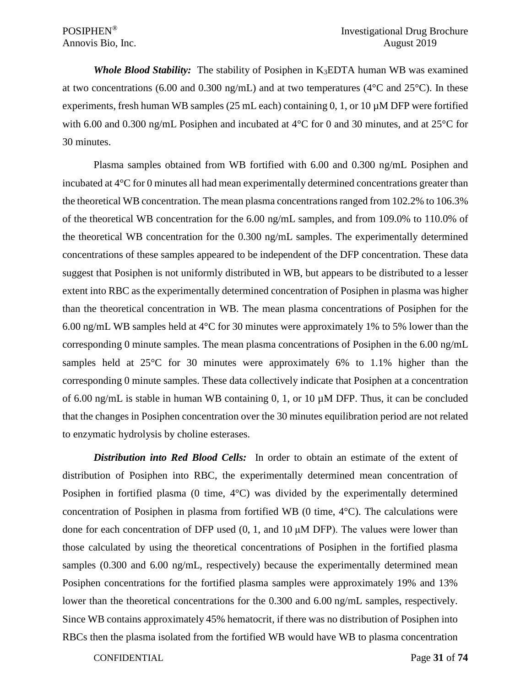*Whole Blood Stability:*The stability of Posiphen in K3EDTA human WB was examined at two concentrations (6.00 and 0.300 ng/mL) and at two temperatures ( $4^{\circ}$ C and  $25^{\circ}$ C). In these experiments, fresh human WB samples (25 mL each) containing 0, 1, or 10 µM DFP were fortified with 6.00 and 0.300 ng/mL Posiphen and incubated at 4<sup>o</sup>C for 0 and 30 minutes, and at 25<sup>o</sup>C for 30 minutes.

Plasma samples obtained from WB fortified with 6.00 and 0.300 ng/mL Posiphen and incubated at 4°C for 0 minutes all had mean experimentally determined concentrations greater than the theoretical WB concentration. The mean plasma concentrations ranged from 102.2% to 106.3% of the theoretical WB concentration for the 6.00 ng/mL samples, and from 109.0% to 110.0% of the theoretical WB concentration for the 0.300 ng/mL samples. The experimentally determined concentrations of these samples appeared to be independent of the DFP concentration. These data suggest that Posiphen is not uniformly distributed in WB, but appears to be distributed to a lesser extent into RBC as the experimentally determined concentration of Posiphen in plasma was higher than the theoretical concentration in WB. The mean plasma concentrations of Posiphen for the 6.00 ng/mL WB samples held at 4°C for 30 minutes were approximately 1% to 5% lower than the corresponding 0 minute samples. The mean plasma concentrations of Posiphen in the 6.00 ng/mL samples held at  $25^{\circ}$ C for 30 minutes were approximately 6% to 1.1% higher than the corresponding 0 minute samples. These data collectively indicate that Posiphen at a concentration of 6.00 ng/mL is stable in human WB containing  $0, 1$ , or 10  $\mu$ M DFP. Thus, it can be concluded that the changes in Posiphen concentration over the 30 minutes equilibration period are not related to enzymatic hydrolysis by choline esterases.

*Distribution into Red Blood Cells:*In order to obtain an estimate of the extent of distribution of Posiphen into RBC, the experimentally determined mean concentration of Posiphen in fortified plasma (0 time,  $4^{\circ}$ C) was divided by the experimentally determined concentration of Posiphen in plasma from fortified WB (0 time, 4°C). The calculations were done for each concentration of DFP used (0, 1, and 10 μM DFP). The values were lower than those calculated by using the theoretical concentrations of Posiphen in the fortified plasma samples (0.300 and 6.00 ng/mL, respectively) because the experimentally determined mean Posiphen concentrations for the fortified plasma samples were approximately 19% and 13% lower than the theoretical concentrations for the 0.300 and 6.00 ng/mL samples, respectively. Since WB contains approximately 45% hematocrit, if there was no distribution of Posiphen into RBCs then the plasma isolated from the fortified WB would have WB to plasma concentration

CONFIDENTIAL Page **31** of **74**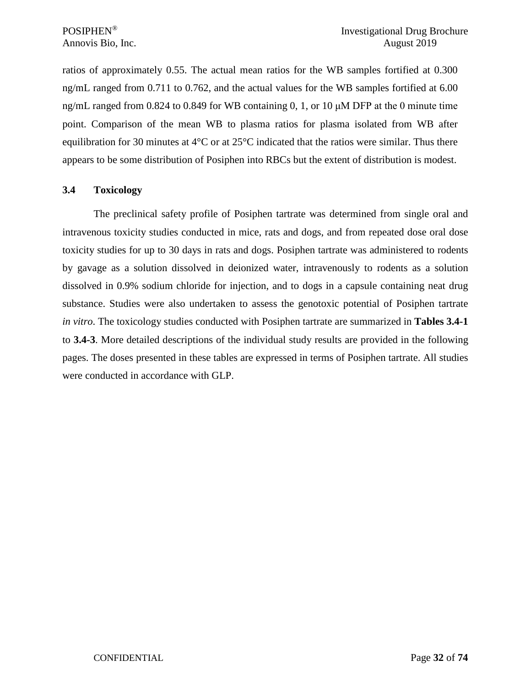ratios of approximately 0.55. The actual mean ratios for the WB samples fortified at 0.300 ng/mL ranged from 0.711 to 0.762, and the actual values for the WB samples fortified at 6.00 ng/mL ranged from 0.824 to 0.849 for WB containing 0, 1, or 10  $\mu$ M DFP at the 0 minute time point. Comparison of the mean WB to plasma ratios for plasma isolated from WB after equilibration for 30 minutes at 4°C or at 25°C indicated that the ratios were similar. Thus there appears to be some distribution of Posiphen into RBCs but the extent of distribution is modest.

## <span id="page-31-0"></span>**3.4 Toxicology**

The preclinical safety profile of Posiphen tartrate was determined from single oral and intravenous toxicity studies conducted in mice, rats and dogs, and from repeated dose oral dose toxicity studies for up to 30 days in rats and dogs. Posiphen tartrate was administered to rodents by gavage as a solution dissolved in deionized water, intravenously to rodents as a solution dissolved in 0.9% sodium chloride for injection, and to dogs in a capsule containing neat drug substance. Studies were also undertaken to assess the genotoxic potential of Posiphen tartrate *in vitro*. The toxicology studies conducted with Posiphen tartrate are summarized in **Tables 3.4-1** to **3.4-3**. More detailed descriptions of the individual study results are provided in the following pages. The doses presented in these tables are expressed in terms of Posiphen tartrate. All studies were conducted in accordance with GLP.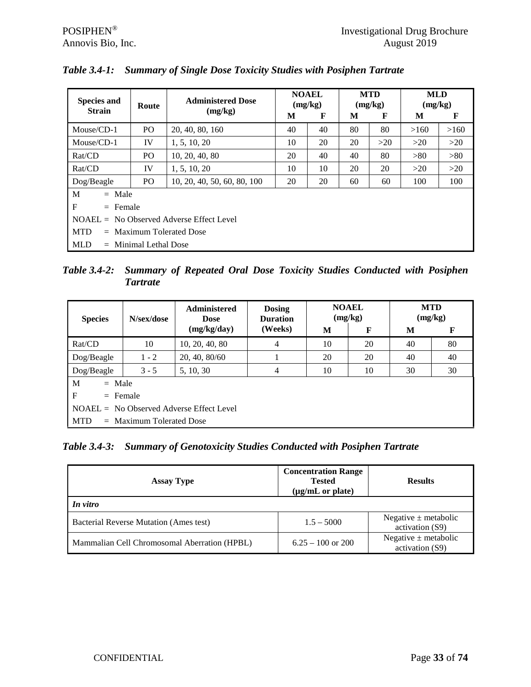| <b>Species and</b><br><b>Strain</b>        | Route                      | <b>Administered Dose</b><br>(mg/kg) | М  | <b>NOAEL</b><br>(mg/kg)<br>F | M  | <b>MTD</b><br>(mg/kg)<br>F | <b>MLD</b><br>(mg/kg)<br>M | F    |  |  |
|--------------------------------------------|----------------------------|-------------------------------------|----|------------------------------|----|----------------------------|----------------------------|------|--|--|
| Mouse/CD-1                                 | P <sub>O</sub>             | 20, 40, 80, 160                     | 40 | 40                           | 80 | 80                         | >160                       | >160 |  |  |
| Mouse/CD-1                                 | IV                         | 1, 5, 10, 20                        | 10 | 20                           | 20 | >20                        | >20                        | >20  |  |  |
| Rat/CD                                     | P <sub>O</sub>             | 10, 20, 40, 80                      | 20 | 40                           | 40 | 80                         | >80                        | >80  |  |  |
| Rat/CD                                     | IV                         | 1, 5, 10, 20                        | 10 | 10                           | 20 | 20                         | >20                        | >20  |  |  |
| Dog/Beagle                                 | PO                         | 10, 20, 40, 50, 60, 80, 100         | 20 | 20                           | 60 | 60                         | 100                        | 100  |  |  |
| M<br>$=$ Male                              |                            |                                     |    |                              |    |                            |                            |      |  |  |
| F<br>$=$ Female                            |                            |                                     |    |                              |    |                            |                            |      |  |  |
| $NOAEL = No Observed Adverse Effect Level$ |                            |                                     |    |                              |    |                            |                            |      |  |  |
| <b>MTD</b>                                 | $=$ Maximum Tolerated Dose |                                     |    |                              |    |                            |                            |      |  |  |
| <b>MLD</b>                                 | $=$ Minimal Lethal Dose    |                                     |    |                              |    |                            |                            |      |  |  |

*Table 3.4-1: Summary of Single Dose Toxicity Studies with Posiphen Tartrate*

*Table 3.4-2: Summary of Repeated Oral Dose Toxicity Studies Conducted with Posiphen Tartrate*

| <b>Species</b>                             | N/sex/dose                 | <b>Administered</b><br><b>Dose</b> | <b>Dosing</b><br><b>Duration</b> |    | <b>NOAEL</b><br>(mg/kg) | <b>MTD</b><br>(mg/kg) |    |  |  |  |  |
|--------------------------------------------|----------------------------|------------------------------------|----------------------------------|----|-------------------------|-----------------------|----|--|--|--|--|
|                                            |                            | (mg/kg/day)                        | (Weeks)                          | M  | F                       | M                     | F  |  |  |  |  |
| Rat/CD                                     | 10                         | 10, 20, 40, 80                     | 4                                | 10 | 20                      | 40                    | 80 |  |  |  |  |
| Dog/Beagle                                 | $1 - 2$                    | 20, 40, 80/60                      |                                  | 20 | 20                      | 40                    | 40 |  |  |  |  |
| Dog/Beagle                                 | $3 - 5$                    | 5, 10, 30                          | 4                                | 10 | 10                      | 30                    | 30 |  |  |  |  |
| M<br>$=$ Male                              |                            |                                    |                                  |    |                         |                       |    |  |  |  |  |
| F                                          | $=$ Female                 |                                    |                                  |    |                         |                       |    |  |  |  |  |
| $NOAEL = No Observed Adverse Effect Level$ |                            |                                    |                                  |    |                         |                       |    |  |  |  |  |
| <b>MTD</b>                                 | $=$ Maximum Tolerated Dose |                                    |                                  |    |                         |                       |    |  |  |  |  |

*Table 3.4-3: Summary of Genotoxicity Studies Conducted with Posiphen Tartrate*

| <b>Assay Type</b>                             | <b>Concentration Range</b><br><b>Tested</b><br>$(\mu g/mL \text{ or plate})$ | <b>Results</b>                              |
|-----------------------------------------------|------------------------------------------------------------------------------|---------------------------------------------|
| In vitro                                      |                                                                              |                                             |
| <b>Bacterial Reverse Mutation (Ames test)</b> | $1.5 - 5000$                                                                 | Negative $\pm$ metabolic<br>activation (S9) |
| Mammalian Cell Chromosomal Aberration (HPBL)  | $6.25 - 100$ or 200                                                          | Negative $\pm$ metabolic<br>activation (S9) |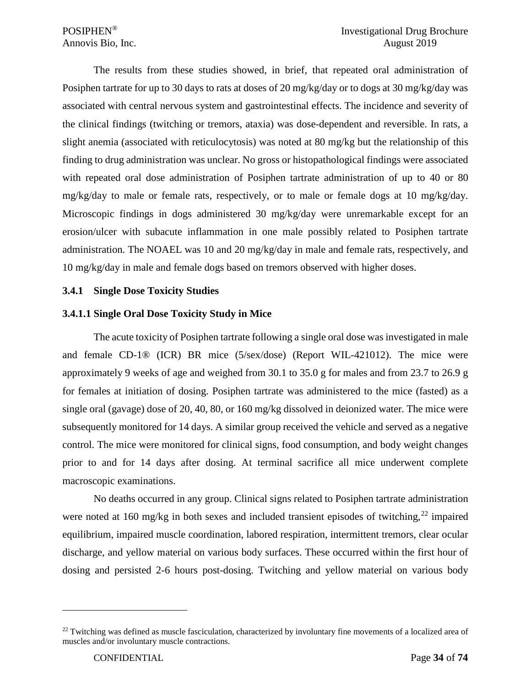The results from these studies showed, in brief, that repeated oral administration of Posiphen tartrate for up to 30 days to rats at doses of 20 mg/kg/day or to dogs at 30 mg/kg/day was associated with central nervous system and gastrointestinal effects. The incidence and severity of the clinical findings (twitching or tremors, ataxia) was dose-dependent and reversible. In rats, a slight anemia (associated with reticulocytosis) was noted at 80 mg/kg but the relationship of this finding to drug administration was unclear. No gross or histopathological findings were associated with repeated oral dose administration of Posiphen tartrate administration of up to 40 or 80 mg/kg/day to male or female rats, respectively, or to male or female dogs at 10 mg/kg/day. Microscopic findings in dogs administered 30 mg/kg/day were unremarkable except for an erosion/ulcer with subacute inflammation in one male possibly related to Posiphen tartrate administration. The NOAEL was 10 and 20 mg/kg/day in male and female rats, respectively, and 10 mg/kg/day in male and female dogs based on tremors observed with higher doses.

## <span id="page-33-0"></span>**3.4.1 Single Dose Toxicity Studies**

## <span id="page-33-1"></span>**3.4.1.1 Single Oral Dose Toxicity Study in Mice**

The acute toxicity of Posiphen tartrate following a single oral dose was investigated in male and female CD-1® (ICR) BR mice (5/sex/dose) (Report WIL-421012). The mice were approximately 9 weeks of age and weighed from 30.1 to 35.0 g for males and from 23.7 to 26.9 g for females at initiation of dosing. Posiphen tartrate was administered to the mice (fasted) as a single oral (gavage) dose of 20, 40, 80, or 160 mg/kg dissolved in deionized water. The mice were subsequently monitored for 14 days. A similar group received the vehicle and served as a negative control. The mice were monitored for clinical signs, food consumption, and body weight changes prior to and for 14 days after dosing. At terminal sacrifice all mice underwent complete macroscopic examinations.

No deaths occurred in any group. Clinical signs related to Posiphen tartrate administration were noted at 160 mg/kg in both sexes and included transient episodes of twitching,<sup>[22](#page-33-2)</sup> impaired equilibrium, impaired muscle coordination, labored respiration, intermittent tremors, clear ocular discharge, and yellow material on various body surfaces. These occurred within the first hour of dosing and persisted 2-6 hours post-dosing. Twitching and yellow material on various body

<span id="page-33-2"></span> $^{22}$  Twitching was defined as muscle fasciculation, characterized by involuntary fine movements of a localized area of muscles and/or involuntary muscle contractions.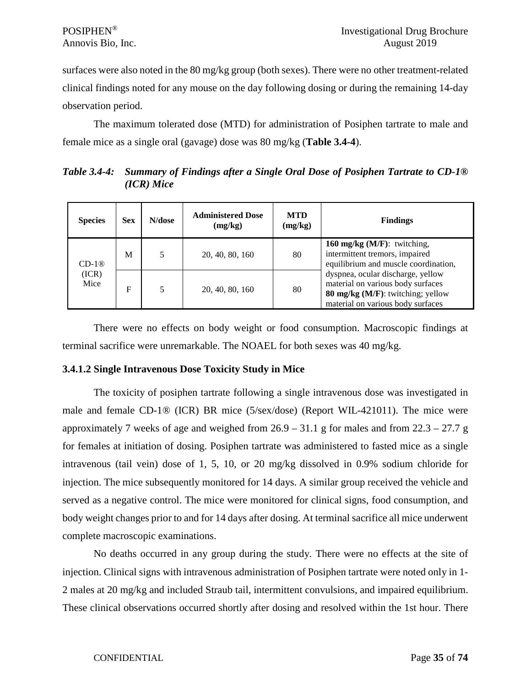surfaces were also noted in the 80 mg/kg group (both sexes). There were no other treatment-related clinical findings noted for any mouse on the day following dosing or during the remaining 14-day observation period.

The maximum tolerated dose (MTD) for administration of Posiphen tartrate to male and female mice as a single oral (gavage) dose was 80 mg/kg (**Table 3.4-4**).

*Table 3.4-4: Summary of Findings after a Single Oral Dose of Posiphen Tartrate to CD-1® (ICR) Mice*

| <b>Species</b> | <b>Sex</b> | N/dose | <b>Administered Dose</b><br>(mg/kg) | <b>MTD</b><br>(mg/kg) | <b>Findings</b>                                                                                                                                  |
|----------------|------------|--------|-------------------------------------|-----------------------|--------------------------------------------------------------------------------------------------------------------------------------------------|
| $CD-1@$        | M          | 5      | 20, 40, 80, 160                     | 80                    | 160 mg/kg $(M/F)$ : twitching,<br>intermittent tremors, impaired<br>equilibrium and muscle coordination,                                         |
| (ICR)<br>Mice  | F          | 5      | 20, 40, 80, 160                     | 80                    | dyspnea, ocular discharge, yellow<br>material on various body surfaces<br>80 mg/kg (M/F): twitching; yellow<br>material on various body surfaces |

There were no effects on body weight or food consumption. Macroscopic findings at terminal sacrifice were unremarkable. The NOAEL for both sexes was 40 mg/kg.

## <span id="page-34-0"></span>**3.4.1.2 Single Intravenous Dose Toxicity Study in Mice**

The toxicity of posiphen tartrate following a single intravenous dose was investigated in male and female CD-1® (ICR) BR mice (5/sex/dose) (Report WIL-421011). The mice were approximately 7 weeks of age and weighed from  $26.9 - 31.1$  g for males and from  $22.3 - 27.7$  g for females at initiation of dosing. Posiphen tartrate was administered to fasted mice as a single intravenous (tail vein) dose of 1, 5, 10, or 20 mg/kg dissolved in 0.9% sodium chloride for injection. The mice subsequently monitored for 14 days. A similar group received the vehicle and served as a negative control. The mice were monitored for clinical signs, food consumption, and body weight changes prior to and for 14 days after dosing. At terminal sacrifice all mice underwent complete macroscopic examinations.

No deaths occurred in any group during the study. There were no effects at the site of injection. Clinical signs with intravenous administration of Posiphen tartrate were noted only in 1- 2 males at 20 mg/kg and included Straub tail, intermittent convulsions, and impaired equilibrium. These clinical observations occurred shortly after dosing and resolved within the 1st hour. There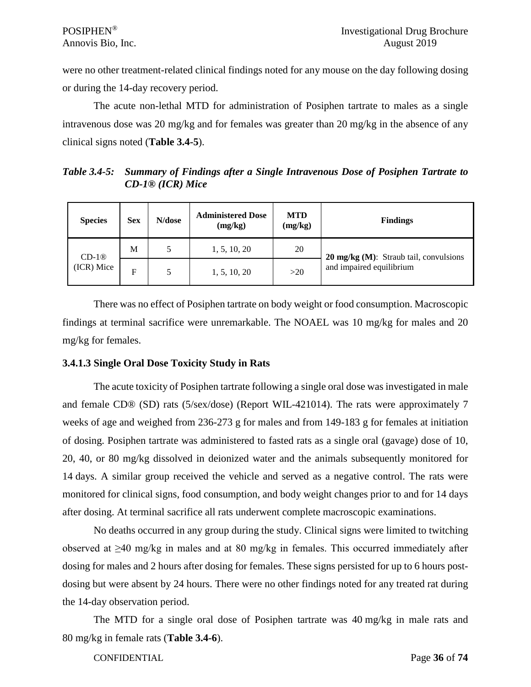were no other treatment-related clinical findings noted for any mouse on the day following dosing or during the 14-day recovery period.

The acute non-lethal MTD for administration of Posiphen tartrate to males as a single intravenous dose was 20 mg/kg and for females was greater than 20 mg/kg in the absence of any clinical signs noted (**Table 3.4-5**).

*Table 3.4-5: Summary of Findings after a Single Intravenous Dose of Posiphen Tartrate to CD-1® (ICR) Mice*

| <b>Species</b>        | <b>Sex</b> | N/dose | <b>Administered Dose</b><br>(mg/kg) | <b>MTD</b><br>(mg/kg) | <b>Findings</b>                                                              |
|-----------------------|------------|--------|-------------------------------------|-----------------------|------------------------------------------------------------------------------|
| $CD-1@$<br>(ICR) Mice | М          |        | 1, 5, 10, 20                        | 20                    | $20 \text{ mg/kg}$ (M): Straub tail, convulsions<br>and impaired equilibrium |
|                       | F          | 5      | 1, 5, 10, 20                        | >20                   |                                                                              |

There was no effect of Posiphen tartrate on body weight or food consumption. Macroscopic findings at terminal sacrifice were unremarkable. The NOAEL was 10 mg/kg for males and 20 mg/kg for females.

## <span id="page-35-0"></span>**3.4.1.3 Single Oral Dose Toxicity Study in Rats**

The acute toxicity of Posiphen tartrate following a single oral dose was investigated in male and female CD® (SD) rats (5/sex/dose) (Report WIL-421014). The rats were approximately 7 weeks of age and weighed from 236-273 g for males and from 149-183 g for females at initiation of dosing. Posiphen tartrate was administered to fasted rats as a single oral (gavage) dose of 10, 20, 40, or 80 mg/kg dissolved in deionized water and the animals subsequently monitored for 14 days. A similar group received the vehicle and served as a negative control. The rats were monitored for clinical signs, food consumption, and body weight changes prior to and for 14 days after dosing. At terminal sacrifice all rats underwent complete macroscopic examinations.

No deaths occurred in any group during the study. Clinical signs were limited to twitching observed at ≥40 mg/kg in males and at 80 mg/kg in females. This occurred immediately after dosing for males and 2 hours after dosing for females. These signs persisted for up to 6 hours postdosing but were absent by 24 hours. There were no other findings noted for any treated rat during the 14-day observation period.

The MTD for a single oral dose of Posiphen tartrate was 40 mg/kg in male rats and 80 mg/kg in female rats (**Table 3.4-6**).

CONFIDENTIAL Page **36** of **74**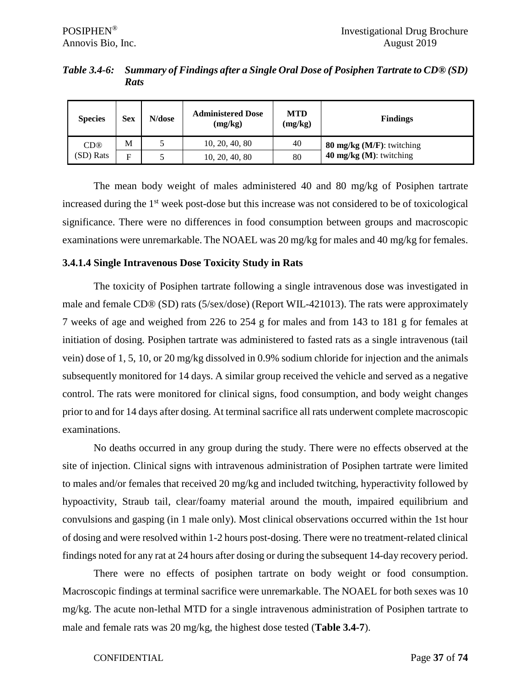| Table 3.4-6: Summary of Findings after a Single Oral Dose of Posiphen Tartrate to CD® (SD) |
|--------------------------------------------------------------------------------------------|
| <b>Rats</b>                                                                                |

| <b>Species</b>  | <b>Sex</b> | N/dose | <b>Administered Dose</b><br>(mg/kg) | <b>MTD</b><br>(mg/kg) | <b>Findings</b>              |
|-----------------|------------|--------|-------------------------------------|-----------------------|------------------------------|
| CD <sup>®</sup> | M          |        | 10, 20, 40, 80                      | 40                    | 80 mg/kg $(M/F)$ : twitching |
| (SD) Rats       | Е          |        | 10, 20, 40, 80                      | 80                    | 40 $mg/kg$ (M): twitching    |

The mean body weight of males administered 40 and 80 mg/kg of Posiphen tartrate increased during the 1<sup>st</sup> week post-dose but this increase was not considered to be of toxicological significance. There were no differences in food consumption between groups and macroscopic examinations were unremarkable. The NOAEL was 20 mg/kg for males and 40 mg/kg for females.

#### **3.4.1.4 Single Intravenous Dose Toxicity Study in Rats**

The toxicity of Posiphen tartrate following a single intravenous dose was investigated in male and female CD® (SD) rats (5/sex/dose) (Report WIL-421013). The rats were approximately 7 weeks of age and weighed from 226 to 254 g for males and from 143 to 181 g for females at initiation of dosing. Posiphen tartrate was administered to fasted rats as a single intravenous (tail vein) dose of 1, 5, 10, or 20 mg/kg dissolved in 0.9% sodium chloride for injection and the animals subsequently monitored for 14 days. A similar group received the vehicle and served as a negative control. The rats were monitored for clinical signs, food consumption, and body weight changes prior to and for 14 days after dosing. At terminal sacrifice all rats underwent complete macroscopic examinations.

No deaths occurred in any group during the study. There were no effects observed at the site of injection. Clinical signs with intravenous administration of Posiphen tartrate were limited to males and/or females that received 20 mg/kg and included twitching, hyperactivity followed by hypoactivity, Straub tail, clear/foamy material around the mouth, impaired equilibrium and convulsions and gasping (in 1 male only). Most clinical observations occurred within the 1st hour of dosing and were resolved within 1-2 hours post-dosing. There were no treatment-related clinical findings noted for any rat at 24 hours after dosing or during the subsequent 14-day recovery period.

There were no effects of posiphen tartrate on body weight or food consumption. Macroscopic findings at terminal sacrifice were unremarkable. The NOAEL for both sexes was 10 mg/kg. The acute non-lethal MTD for a single intravenous administration of Posiphen tartrate to male and female rats was 20 mg/kg, the highest dose tested (**Table 3.4-7**).

#### CONFIDENTIAL Page **37** of **74**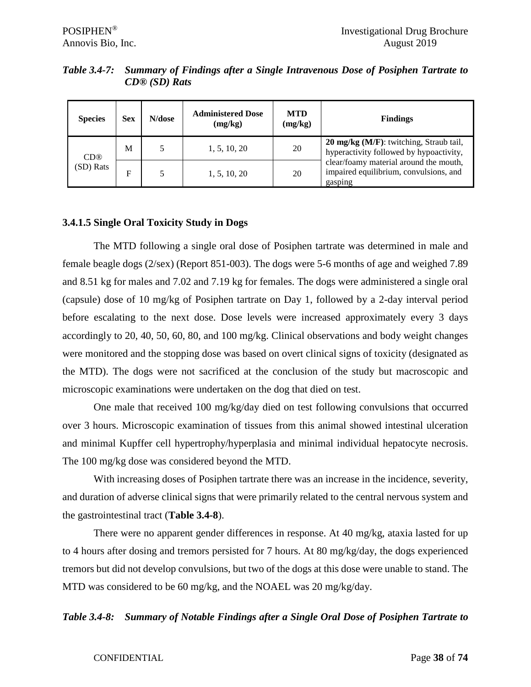| <b>Species</b>  | <b>Sex</b>  | N/dose | <b>Administered Dose</b><br>(mg/kg) | <b>MTD</b><br>(mg/kg) | <b>Findings</b>                                                                             |
|-----------------|-------------|--------|-------------------------------------|-----------------------|---------------------------------------------------------------------------------------------|
| CD <sup>®</sup> | M           |        | 1, 5, 10, 20                        | 20                    | 20 mg/kg (M/F): twitching, Straub tail,<br>hyperactivity followed by hypoactivity,          |
| (SD) Rats       | $\mathbf F$ |        | 1, 5, 10, 20                        | 20                    | clear/foamy material around the mouth,<br>impaired equilibrium, convulsions, and<br>gasping |

*Table 3.4-7: Summary of Findings after a Single Intravenous Dose of Posiphen Tartrate to CD® (SD) Rats*

#### **3.4.1.5 Single Oral Toxicity Study in Dogs**

The MTD following a single oral dose of Posiphen tartrate was determined in male and female beagle dogs (2/sex) (Report 851-003). The dogs were 5-6 months of age and weighed 7.89 and 8.51 kg for males and 7.02 and 7.19 kg for females. The dogs were administered a single oral (capsule) dose of 10 mg/kg of Posiphen tartrate on Day 1, followed by a 2-day interval period before escalating to the next dose. Dose levels were increased approximately every 3 days accordingly to 20, 40, 50, 60, 80, and 100 mg/kg. Clinical observations and body weight changes were monitored and the stopping dose was based on overt clinical signs of toxicity (designated as the MTD). The dogs were not sacrificed at the conclusion of the study but macroscopic and microscopic examinations were undertaken on the dog that died on test.

One male that received 100 mg/kg/day died on test following convulsions that occurred over 3 hours. Microscopic examination of tissues from this animal showed intestinal ulceration and minimal Kupffer cell hypertrophy/hyperplasia and minimal individual hepatocyte necrosis. The 100 mg/kg dose was considered beyond the MTD.

With increasing doses of Posiphen tartrate there was an increase in the incidence, severity, and duration of adverse clinical signs that were primarily related to the central nervous system and the gastrointestinal tract (**Table 3.4-8**).

There were no apparent gender differences in response. At 40 mg/kg, ataxia lasted for up to 4 hours after dosing and tremors persisted for 7 hours. At 80 mg/kg/day, the dogs experienced tremors but did not develop convulsions, but two of the dogs at this dose were unable to stand. The MTD was considered to be 60 mg/kg, and the NOAEL was 20 mg/kg/day.

*Table 3.4-8: Summary of Notable Findings after a Single Oral Dose of Posiphen Tartrate to* 

#### CONFIDENTIAL Page **38** of **74**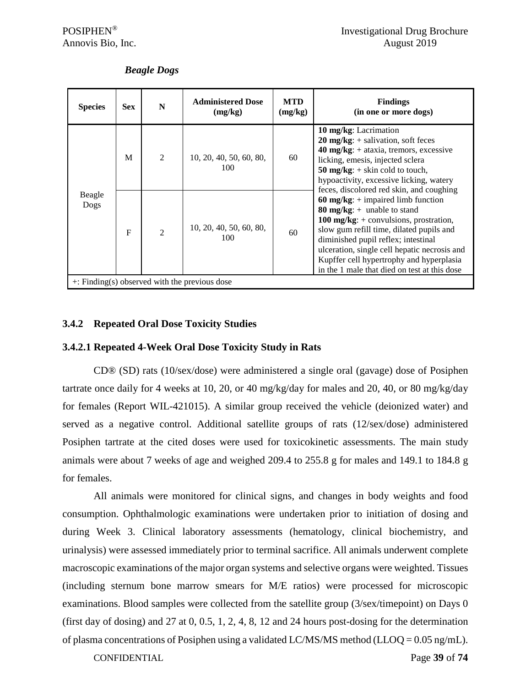| <b>Species</b> | <b>Sex</b>   | N                      | <b>Administered Dose</b><br>(mg/kg) | <b>MTD</b><br>(mg/kg) | <b>Findings</b><br>(in one or more dogs)                                                                                                                                                                                                                                                                                                         |
|----------------|--------------|------------------------|-------------------------------------|-----------------------|--------------------------------------------------------------------------------------------------------------------------------------------------------------------------------------------------------------------------------------------------------------------------------------------------------------------------------------------------|
|                | M            | $\mathfrak{D}$         | 10, 20, 40, 50, 60, 80,<br>100      | 60                    | 10 mg/kg: Lacrimation<br>$20 \text{ mg/kg}: + \text{salivation}, \text{soft feces}$<br>$40 \text{ mg/kg}: + \text{ataxia, tremors, excessive}$<br>licking, emesis, injected sclera<br>50 mg/kg: $+$ skin cold to touch,<br>hypoactivity, excessive licking, watery<br>feces, discolored red skin, and coughing                                   |
| Beagle<br>Dogs | $\mathbf{F}$ | $\mathcal{D}_{\alpha}$ | 10, 20, 40, 50, 60, 80,<br>100      | 60                    | 60 mg/kg: $+$ impaired limb function<br>80 mg/kg: $+$ unable to stand<br>100 mg/kg: $+$ convulsions, prostration,<br>slow gum refill time, dilated pupils and<br>diminished pupil reflex; intestinal<br>ulceration, single cell hepatic necrosis and<br>Kupffer cell hypertrophy and hyperplasia<br>in the 1 male that died on test at this dose |

#### *Beagle Dogs*

#### **3.4.2 Repeated Oral Dose Toxicity Studies**

#### **3.4.2.1 Repeated 4-Week Oral Dose Toxicity Study in Rats**

CD® (SD) rats (10/sex/dose) were administered a single oral (gavage) dose of Posiphen tartrate once daily for 4 weeks at 10, 20, or 40 mg/kg/day for males and 20, 40, or 80 mg/kg/day for females (Report WIL-421015). A similar group received the vehicle (deionized water) and served as a negative control. Additional satellite groups of rats (12/sex/dose) administered Posiphen tartrate at the cited doses were used for toxicokinetic assessments. The main study animals were about 7 weeks of age and weighed 209.4 to 255.8 g for males and 149.1 to 184.8 g for females.

All animals were monitored for clinical signs, and changes in body weights and food consumption. Ophthalmologic examinations were undertaken prior to initiation of dosing and during Week 3. Clinical laboratory assessments (hematology, clinical biochemistry, and urinalysis) were assessed immediately prior to terminal sacrifice. All animals underwent complete macroscopic examinations of the major organ systems and selective organs were weighted. Tissues (including sternum bone marrow smears for M/E ratios) were processed for microscopic examinations. Blood samples were collected from the satellite group (3/sex/timepoint) on Days 0 (first day of dosing) and 27 at  $0, 0.5, 1, 2, 4, 8, 12$  and 24 hours post-dosing for the determination of plasma concentrations of Posiphen using a validated LC/MS/MS method (LLOQ =  $0.05$  ng/mL).

CONFIDENTIAL Page **39** of **74**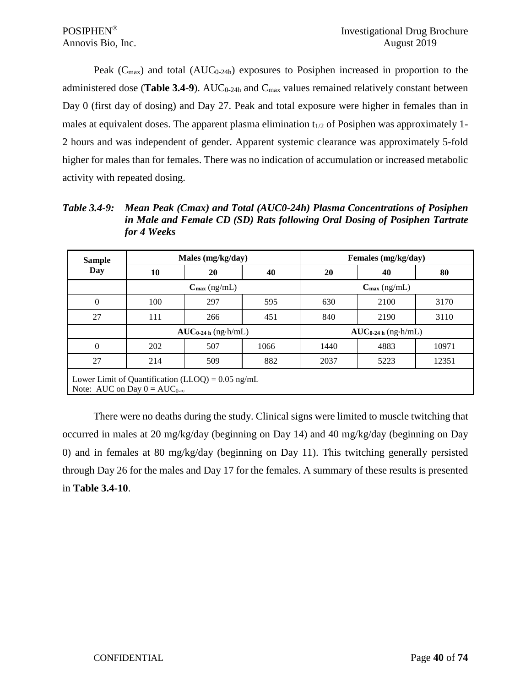Peak  $(C_{\text{max}})$  and total  $(AUC_{0.24h})$  exposures to Posiphen increased in proportion to the administered dose (**Table 3.4-9**). AUC<sub>0-24h</sub> and C<sub>max</sub> values remained relatively constant between Day 0 (first day of dosing) and Day 27. Peak and total exposure were higher in females than in males at equivalent doses. The apparent plasma elimination  $t_{1/2}$  of Posiphen was approximately 1-2 hours and was independent of gender. Apparent systemic clearance was approximately 5-fold higher for males than for females. There was no indication of accumulation or increased metabolic activity with repeated dosing.

| Table 3.4-9: | Mean Peak (Cmax) and Total (AUC0-24h) Plasma Concentrations of Posiphen    |
|--------------|----------------------------------------------------------------------------|
|              | in Male and Female CD (SD) Rats following Oral Dosing of Posiphen Tartrate |
|              | for 4 Weeks                                                                |

| <b>Sample</b> |                                                                                              | Males (mg/kg/day)        |                          | Females (mg/kg/day)      |      |       |  |  |  |  |
|---------------|----------------------------------------------------------------------------------------------|--------------------------|--------------------------|--------------------------|------|-------|--|--|--|--|
| Day           | 10                                                                                           | 20                       | 40                       | 20                       | 40   | 80    |  |  |  |  |
|               |                                                                                              | $C_{\text{max}}$ (ng/mL) | $C_{\text{max}}$ (ng/mL) |                          |      |       |  |  |  |  |
| $\Omega$      | 100                                                                                          | 297                      | 595                      | 630                      | 2100 | 3170  |  |  |  |  |
| 27            | 111                                                                                          | 266                      | 451                      | 840                      | 2190 | 3110  |  |  |  |  |
|               |                                                                                              | $AUC_{0-24 h}$ (ng·h/mL) |                          | $AUC_{0-24 h}$ (ng-h/mL) |      |       |  |  |  |  |
| $\Omega$      | 202                                                                                          | 507                      | 1066                     | 1440                     | 4883 | 10971 |  |  |  |  |
| 27            | 214                                                                                          | 509                      | 882                      | 2037                     | 5223 | 12351 |  |  |  |  |
|               | Lower Limit of Quantification (LLOQ) = $0.05$ ng/mL<br>Note: AUC on Day $0 = AUC_{0-\infty}$ |                          |                          |                          |      |       |  |  |  |  |

There were no deaths during the study. Clinical signs were limited to muscle twitching that occurred in males at 20 mg/kg/day (beginning on Day 14) and 40 mg/kg/day (beginning on Day 0) and in females at 80 mg/kg/day (beginning on Day 11). This twitching generally persisted through Day 26 for the males and Day 17 for the females. A summary of these results is presented in **Table 3.4-10**.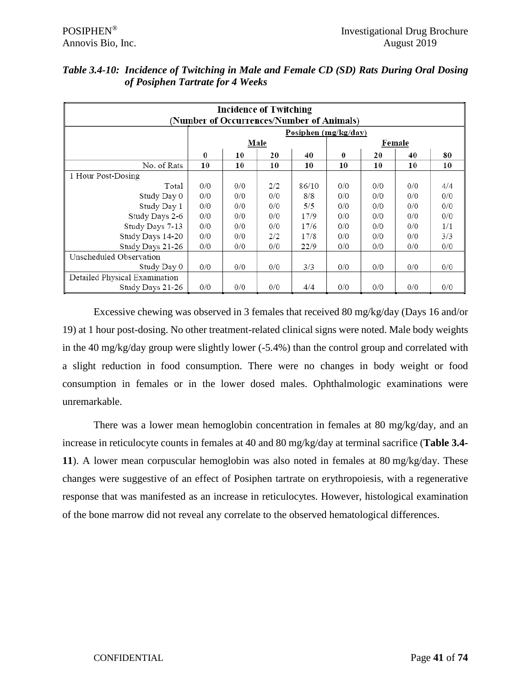| <b>Incidence of Twitching</b><br>(Number of Occurrences/Number of Animals) |          |     |      |                      |                  |     |        |     |  |  |  |
|----------------------------------------------------------------------------|----------|-----|------|----------------------|------------------|-----|--------|-----|--|--|--|
|                                                                            |          |     |      | Posiphen (mg/kg/day) |                  |     |        |     |  |  |  |
|                                                                            |          |     | Male |                      |                  |     | Female |     |  |  |  |
|                                                                            | $\bf{0}$ | 10  | 20   | 40                   | $\boldsymbol{0}$ | 20  | 40     | 80  |  |  |  |
| No. of Rats                                                                | 10       | 10  | 10   | 10                   | 10               | 10  | 10     | 10  |  |  |  |
| 1 Hour Post-Dosing                                                         |          |     |      |                      |                  |     |        |     |  |  |  |
| Total                                                                      | 0/0      | 0/0 | 2/2  | 86/10                | 0/0              | 0/0 | 0/0    | 4/4 |  |  |  |
| Study Day 0                                                                | 0/0      | 0/0 | 0/0  | 8/8                  | 0/0              | 0/0 | 0/0    | 0/0 |  |  |  |
| Study Day 1                                                                | 0/0      | 0/0 | 0/0  | 5/5                  | 0/0              | 0/0 | 0/0    | 0/0 |  |  |  |
| Study Days 2-6                                                             | 0/0      | 0/0 | 0/0  | 17/9                 | 0/0              | 0/0 | 0/0    | 0/0 |  |  |  |
| Study Days 7-13                                                            | 0/0      | 0/0 | 0/0  | 17/6                 | 0/0              | 0/0 | 0/0    | 1/1 |  |  |  |
| Study Days 14-20                                                           | 0/0      | 0/0 | 2/2  | 17/8                 | 0/0              | 0/0 | 0/0    | 3/3 |  |  |  |
| Study Days 21-26                                                           | 0/0      | 0/0 | 0/0  | 22/9                 | 0/0              | 0/0 | 0/0    | 0/0 |  |  |  |
| Unscheduled Observation                                                    |          |     |      |                      |                  |     |        |     |  |  |  |
| Study Day 0                                                                | 0/0      | 0/0 | 0/0  | 3/3                  | 0/0              | 0/0 | 0/0    | 0/0 |  |  |  |
| Detailed Physical Examination                                              |          |     |      |                      |                  |     |        |     |  |  |  |
| Study Days 21-26                                                           | 0/0      | 0/0 | 0/0  | 4/4                  | 0/0              | 0/0 | 0/0    | 0/0 |  |  |  |

# *Table 3.4-10: Incidence of Twitching in Male and Female CD (SD) Rats During Oral Dosing of Posiphen Tartrate for 4 Weeks*

Excessive chewing was observed in 3 females that received 80 mg/kg/day (Days 16 and/or 19) at 1 hour post-dosing. No other treatment-related clinical signs were noted. Male body weights in the 40 mg/kg/day group were slightly lower (-5.4%) than the control group and correlated with a slight reduction in food consumption. There were no changes in body weight or food consumption in females or in the lower dosed males. Ophthalmologic examinations were unremarkable.

There was a lower mean hemoglobin concentration in females at 80 mg/kg/day, and an increase in reticulocyte counts in females at 40 and 80 mg/kg/day at terminal sacrifice (**Table 3.4- 11**). A lower mean corpuscular hemoglobin was also noted in females at 80 mg/kg/day. These changes were suggestive of an effect of Posiphen tartrate on erythropoiesis, with a regenerative response that was manifested as an increase in reticulocytes. However, histological examination of the bone marrow did not reveal any correlate to the observed hematological differences.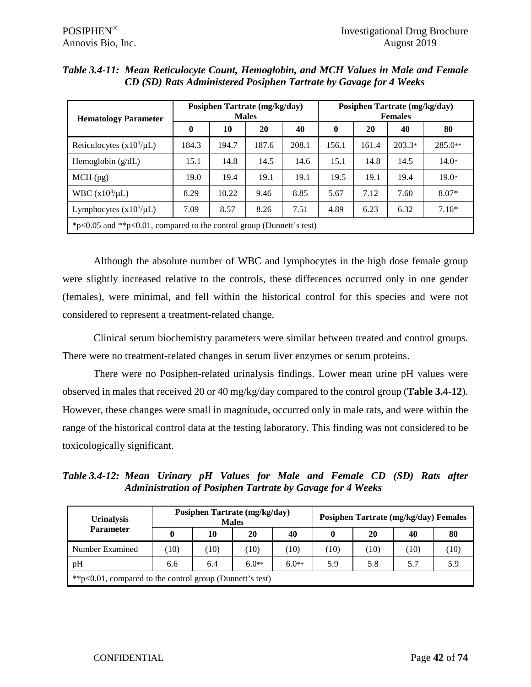| <b>Hematology Parameter</b>                                          | Posiphen Tartrate (mg/kg/day)<br><b>Males</b> |       |       |       | Posiphen Tartrate (mg/kg/day)<br><b>Females</b> |       |          |           |
|----------------------------------------------------------------------|-----------------------------------------------|-------|-------|-------|-------------------------------------------------|-------|----------|-----------|
|                                                                      | $\mathbf{0}$                                  | 10    | 20    | 40    | $\mathbf{0}$                                    | 20    | 40       | 80        |
| Reticulocytes $(x10^3/\mu L)$                                        | 184.3                                         | 194.7 | 187.6 | 208.1 | 156.1                                           | 161.4 | $203.3*$ | $285.0**$ |
| Hemoglobin $(g/dL)$                                                  | 15.1                                          | 14.8  | 14.5  | 14.6  | 15.1                                            | 14.8  | 14.5     | $14.0*$   |
| $MCH$ (pg)                                                           | 19.0                                          | 19.4  | 19.1  | 19.1  | 19.5                                            | 19.1  | 19.4     | $19.0*$   |
| WBC $(x10^3/\mu L)$                                                  | 8.29                                          | 10.22 | 9.46  | 8.85  | 5.67                                            | 7.12  | 7.60     | $8.07*$   |
| Lymphocytes $(x10^3/\mu L)$                                          | 7.09                                          | 8.57  | 8.26  | 7.51  | 4.89                                            | 6.23  | 6.32     | $7.16*$   |
| *p<0.05 and **p<0.01, compared to the control group (Dunnett's test) |                                               |       |       |       |                                                 |       |          |           |

*Table 3.4-11: Mean Reticulocyte Count, Hemoglobin, and MCH Values in Male and Female CD (SD) Rats Administered Posiphen Tartrate by Gavage for 4 Weeks*

Although the absolute number of WBC and lymphocytes in the high dose female group were slightly increased relative to the controls, these differences occurred only in one gender (females), were minimal, and fell within the historical control for this species and were not considered to represent a treatment-related change.

Clinical serum biochemistry parameters were similar between treated and control groups. There were no treatment-related changes in serum liver enzymes or serum proteins.

There were no Posiphen-related urinalysis findings. Lower mean urine pH values were observed in males that received 20 or 40 mg/kg/day compared to the control group (**Table 3.4-12**). However, these changes were small in magnitude, occurred only in male rats, and were within the range of the historical control data at the testing laboratory. This finding was not considered to be toxicologically significant.

*Table 3.4-12: Mean Urinary pH Values for Male and Female CD (SD) Rats after Administration of Posiphen Tartrate by Gavage for 4 Weeks*

| <b>Urinalysis</b>                                            |     |      | Posiphen Tartrate (mg/kg/day)<br><b>Males</b> |         | Posiphen Tartrate (mg/kg/day) Females |      |     |      |  |  |
|--------------------------------------------------------------|-----|------|-----------------------------------------------|---------|---------------------------------------|------|-----|------|--|--|
| <b>Parameter</b>                                             |     | 10   | 20                                            | 40      |                                       | 20   | 40  | 80   |  |  |
| Number Examined                                              | 10) | (10) | 10)                                           | (10)    | (10)                                  | (10) | 10) | (10) |  |  |
| pH                                                           | 6.6 | 6.4  | $6.0**$                                       | $6.0**$ | 5.9                                   | 5.8  | 5.7 | 5.9  |  |  |
| ** $p<0.01$ , compared to the control group (Dunnett's test) |     |      |                                               |         |                                       |      |     |      |  |  |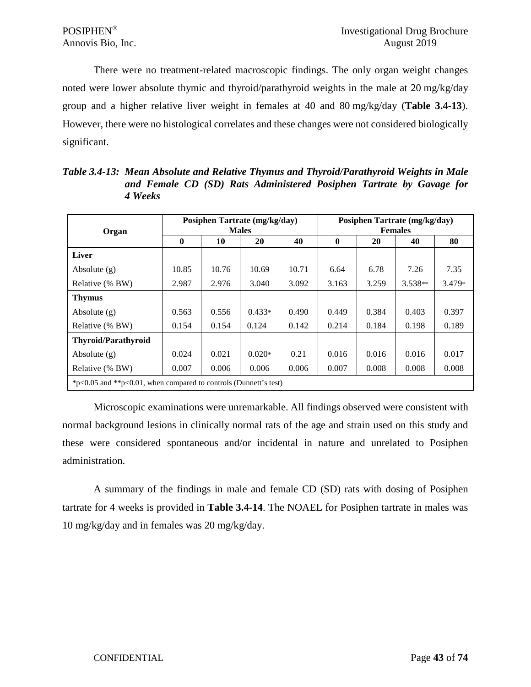There were no treatment-related macroscopic findings. The only organ weight changes noted were lower absolute thymic and thyroid/parathyroid weights in the male at 20 mg/kg/day group and a higher relative liver weight in females at 40 and 80 mg/kg/day (**Table 3.4-13**). However, there were no histological correlates and these changes were not considered biologically significant.

**Organ Posiphen Tartrate (mg/kg/day) Males Posiphen Tartrate (mg/kg/day) Females**  $0$  **10 20 40 0 20 40 40 80 Liver** Absolute (g) 10.85 | 10.76 | 10.69 | 10.71 | 6.64 | 6.78 | 7.26 | 7.35 Relative (% BW) 2.987 | 2.976 | 3.040 | 3.092 | 3.163 | 3.259 | 3.538\*\* | 3.479\* **Thymus** Absolute (g) 0.563 0.556 0.433\* 0.490 0.449 0.384 0.403 0.397 Relative (% BW) 0.154 0.154 0.124 0.142 0.214 0.184 0.198 0.189 **Thyroid/Parathyroid** Absolute (g)  $\begin{array}{|c|c|c|c|c|c|c|c|c|} \hline 0.024 & 0.021 & 0.020* & 0.21 & 0.016 & 0.016 & 0.016 & 0.017 \hline \end{array}$ Relative (% BW) 0.007 0.006 0.006 0.006 0.007 0.008 0.008 0.008 \*p<0.05 and \*\*p<0.01, when compared to controls (Dunnett's test)

*Table 3.4-13: Mean Absolute and Relative Thymus and Thyroid/Parathyroid Weights in Male and Female CD (SD) Rats Administered Posiphen Tartrate by Gavage for 4 Weeks*

Microscopic examinations were unremarkable. All findings observed were consistent with normal background lesions in clinically normal rats of the age and strain used on this study and these were considered spontaneous and/or incidental in nature and unrelated to Posiphen administration.

A summary of the findings in male and female CD (SD) rats with dosing of Posiphen tartrate for 4 weeks is provided in **Table 3.4-14**. The NOAEL for Posiphen tartrate in males was 10 mg/kg/day and in females was 20 mg/kg/day.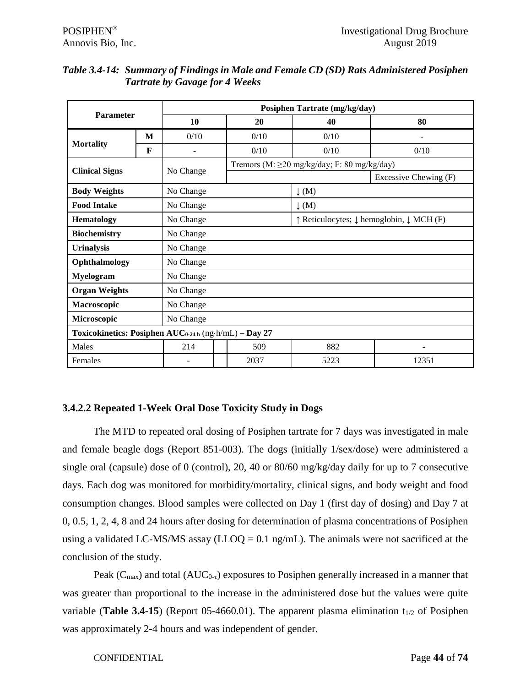| <b>Parameter</b>                                                  |   |                          |      | Posiphen Tartrate (mg/kg/day)               |                          |  |  |
|-------------------------------------------------------------------|---|--------------------------|------|---------------------------------------------|--------------------------|--|--|
|                                                                   |   | 10                       | 20   | 40                                          | 80                       |  |  |
|                                                                   | M | 0/10                     | 0/10 | 0/10                                        | $\overline{\phantom{a}}$ |  |  |
| <b>Mortality</b>                                                  | F | $\overline{\phantom{a}}$ | 0/10 | 0/10                                        | 0/10                     |  |  |
| <b>Clinical Signs</b>                                             |   | No Change                |      | Tremors (M: ≥20 mg/kg/day; F: 80 mg/kg/day) |                          |  |  |
|                                                                   |   |                          |      |                                             | Excessive Chewing (F)    |  |  |
| <b>Body Weights</b>                                               |   | No Change                |      | $\downarrow$ (M)                            |                          |  |  |
| <b>Food Intake</b>                                                |   | No Change                |      | $\downarrow$ (M)                            |                          |  |  |
| <b>Hematology</b>                                                 |   | No Change                |      | ↑ Reticulocytes; ↓ hemoglobin, ↓ MCH (F)    |                          |  |  |
| <b>Biochemistry</b>                                               |   | No Change                |      |                                             |                          |  |  |
| <b>Urinalysis</b>                                                 |   | No Change                |      |                                             |                          |  |  |
| Ophthalmology                                                     |   | No Change                |      |                                             |                          |  |  |
| <b>Myelogram</b>                                                  |   | No Change                |      |                                             |                          |  |  |
| <b>Organ Weights</b>                                              |   | No Change                |      |                                             |                          |  |  |
| Macroscopic                                                       |   | No Change                |      |                                             |                          |  |  |
| Microscopic                                                       |   | No Change                |      |                                             |                          |  |  |
| Toxicokinetics: Posiphen AUC <sub>0-24 h</sub> (ng-h/mL) - Day 27 |   |                          |      |                                             |                          |  |  |
| Males                                                             |   | 214                      | 509  | 882                                         |                          |  |  |
| Females                                                           |   |                          | 2037 | 5223                                        | 12351                    |  |  |

#### *Table 3.4-14: Summary of Findings in Male and Female CD (SD) Rats Administered Posiphen Tartrate by Gavage for 4 Weeks*

# **3.4.2.2 Repeated 1-Week Oral Dose Toxicity Study in Dogs**

The MTD to repeated oral dosing of Posiphen tartrate for 7 days was investigated in male and female beagle dogs (Report 851-003). The dogs (initially 1/sex/dose) were administered a single oral (capsule) dose of 0 (control), 20, 40 or 80/60 mg/kg/day daily for up to 7 consecutive days. Each dog was monitored for morbidity/mortality, clinical signs, and body weight and food consumption changes. Blood samples were collected on Day 1 (first day of dosing) and Day 7 at 0, 0.5, 1, 2, 4, 8 and 24 hours after dosing for determination of plasma concentrations of Posiphen using a validated LC-MS/MS assay (LLOQ =  $0.1$  ng/mL). The animals were not sacrificed at the conclusion of the study.

Peak ( $C_{\text{max}}$ ) and total ( $AUC_{0-\tau}$ ) exposures to Posiphen generally increased in a manner that was greater than proportional to the increase in the administered dose but the values were quite variable (**Table 3.4-15**) (Report 05-4660.01). The apparent plasma elimination  $t_{1/2}$  of Posiphen was approximately 2-4 hours and was independent of gender.

CONFIDENTIAL Page **44** of **74**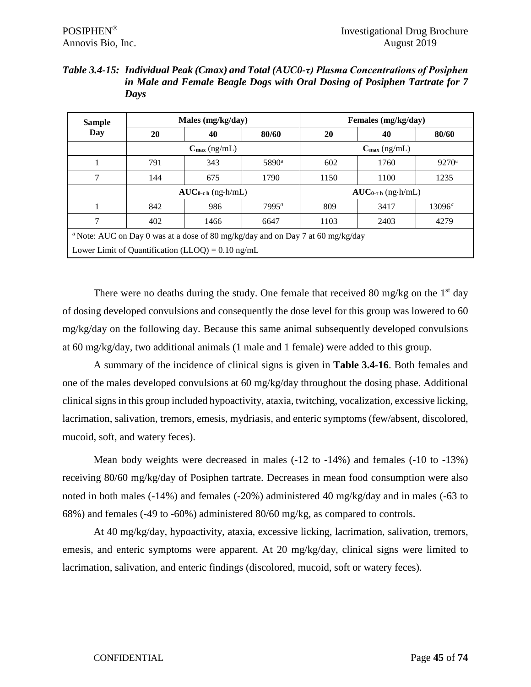| Table 3.4-15: Individual Peak (Cmax) and Total (AUC0-τ) Plasma Concentrations of Posiphen |
|-------------------------------------------------------------------------------------------|
| in Male and Female Beagle Dogs with Oral Dosing of Posiphen Tartrate for 7                |
| Davs                                                                                      |

| <b>Sample</b> |                                                      | Males (mg/kg/day)                                                                                 |                   | Females (mg/kg/day)                   |      |                |  |
|---------------|------------------------------------------------------|---------------------------------------------------------------------------------------------------|-------------------|---------------------------------------|------|----------------|--|
| Day           | 20                                                   | 40                                                                                                | 80/60             | 20                                    | 40   | 80/60          |  |
|               | $C_{\text{max}}$ (ng/mL)<br>$C_{\text{max}}$ (ng/mL) |                                                                                                   |                   |                                       |      |                |  |
|               | 791                                                  | 343                                                                                               | 5890 <sup>a</sup> | 602                                   | 1760 | $9270^{\rm a}$ |  |
| 7             | 144                                                  | 675                                                                                               | 1790              | 1150                                  | 1100 | 1235           |  |
|               |                                                      | $AUC_{0\text{-}t\text{-}h}$ (ng $\cdot$ h/mL)                                                     |                   | $AUC_{0\text{-}t\text{-}h}$ (ng-h/mL) |      |                |  |
|               | 842                                                  | 986                                                                                               | $7995^a$          | 809                                   | 3417 | $13096^a$      |  |
| 7             | 402                                                  | 1466                                                                                              | 6647              | 1103                                  | 2403 | 4279           |  |
|               |                                                      | <sup><i>a</i></sup> Note: AUC on Day 0 was at a dose of 80 mg/kg/day and on Day 7 at 60 mg/kg/day |                   |                                       |      |                |  |
|               |                                                      | Lower Limit of Quantification (LLOQ) = $0.10 \text{ ng/mL}$                                       |                   |                                       |      |                |  |

There were no deaths during the study. One female that received 80 mg/kg on the  $1<sup>st</sup>$  day of dosing developed convulsions and consequently the dose level for this group was lowered to 60 mg/kg/day on the following day. Because this same animal subsequently developed convulsions at 60 mg/kg/day, two additional animals (1 male and 1 female) were added to this group.

A summary of the incidence of clinical signs is given in **Table 3.4-16**. Both females and one of the males developed convulsions at 60 mg/kg/day throughout the dosing phase. Additional clinical signs in this group included hypoactivity, ataxia, twitching, vocalization, excessive licking, lacrimation, salivation, tremors, emesis, mydriasis, and enteric symptoms (few/absent, discolored, mucoid, soft, and watery feces).

Mean body weights were decreased in males (-12 to -14%) and females (-10 to -13%) receiving 80/60 mg/kg/day of Posiphen tartrate. Decreases in mean food consumption were also noted in both males (-14%) and females (-20%) administered 40 mg/kg/day and in males (-63 to 68%) and females (-49 to -60%) administered 80/60 mg/kg, as compared to controls.

At 40 mg/kg/day, hypoactivity, ataxia, excessive licking, lacrimation, salivation, tremors, emesis, and enteric symptoms were apparent. At 20 mg/kg/day, clinical signs were limited to lacrimation, salivation, and enteric findings (discolored, mucoid, soft or watery feces).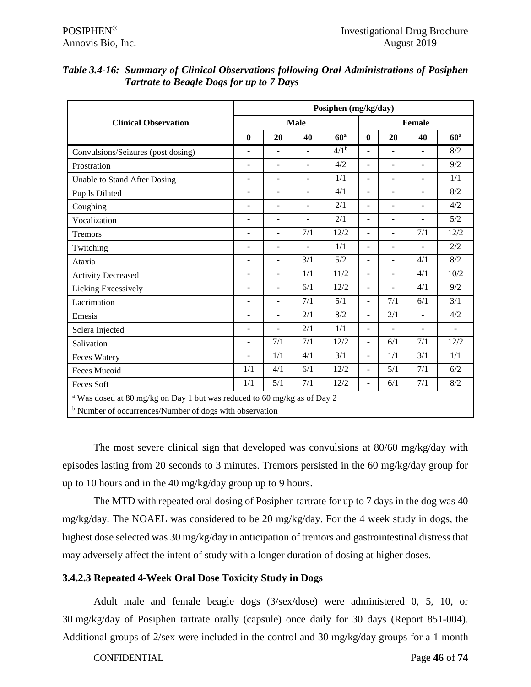|                                                                                     | Posiphen (mg/kg/day)         |                          |                          |                  |                          |                          |                          |                 |  |
|-------------------------------------------------------------------------------------|------------------------------|--------------------------|--------------------------|------------------|--------------------------|--------------------------|--------------------------|-----------------|--|
| <b>Clinical Observation</b>                                                         |                              |                          | <b>Male</b>              |                  |                          |                          | Female                   |                 |  |
|                                                                                     | $\bf{0}$                     | 20                       | 40                       | 60 <sup>a</sup>  | $\bf{0}$                 | 20                       | 40                       | 60 <sup>a</sup> |  |
| Convulsions/Seizures (post dosing)                                                  | $\blacksquare$               | $\blacksquare$           | $\blacksquare$           | 4/1 <sup>b</sup> | $\overline{a}$           | ÷,                       | $\overline{a}$           | 8/2             |  |
| Prostration                                                                         | ÷,                           | $\blacksquare$           | $\blacksquare$           | 4/2              | ÷,                       | ÷,                       | ÷,                       | 9/2             |  |
| Unable to Stand After Dosing                                                        | $\overline{\phantom{0}}$     | $\blacksquare$           | $\overline{\phantom{a}}$ | 1/1              | $\overline{\phantom{0}}$ | $\overline{\phantom{a}}$ | $\overline{\phantom{0}}$ | 1/1             |  |
| <b>Pupils Dilated</b>                                                               | $\overline{\phantom{0}}$     | $\overline{\phantom{a}}$ | $\overline{\phantom{a}}$ | 4/1              | $\overline{a}$           | $\overline{a}$           | $\overline{\phantom{a}}$ | 8/2             |  |
| Coughing                                                                            | $\overline{\phantom{0}}$     | $\sim$                   | $\blacksquare$           | 2/1              | ÷,                       | $\blacksquare$           | $\overline{\phantom{a}}$ | 4/2             |  |
| Vocalization                                                                        | $\blacksquare$               | $\overline{a}$           | ۰                        | 2/1              | $\overline{a}$           | ÷,                       | $\overline{a}$           | 5/2             |  |
| Tremors                                                                             | L.                           | $\overline{a}$           | 7/1                      | 12/2             | $\overline{a}$           | $\overline{a}$           | 7/1                      | 12/2            |  |
| Twitching                                                                           | ÷                            | $\overline{a}$           | ÷.                       | 1/1              | $\overline{a}$           | ÷,                       | ÷.                       | 2/2             |  |
| Ataxia                                                                              | $\overline{\phantom{0}}$     | $\blacksquare$           | 3/1                      | 5/2              | ÷,                       | $\overline{\phantom{0}}$ | 4/1                      | 8/2             |  |
| <b>Activity Decreased</b>                                                           | $\qquad \qquad \blacksquare$ | $\blacksquare$           | 1/1                      | 11/2             | ÷,                       | $\overline{\phantom{a}}$ | 4/1                      | 10/2            |  |
| Licking Excessively                                                                 | ÷,                           | $\overline{\phantom{a}}$ | 6/1                      | 12/2             | $\overline{a}$           | $\overline{\phantom{0}}$ | 4/1                      | 9/2             |  |
| Lacrimation                                                                         | ÷                            | $\overline{a}$           | 7/1                      | 5/1              | $\overline{\phantom{a}}$ | 7/1                      | 6/1                      | 3/1             |  |
| Emesis                                                                              | $\overline{\phantom{0}}$     | $\overline{a}$           | 2/1                      | 8/2              | $\overline{a}$           | 2/1                      | $\blacksquare$           | 4/2             |  |
| Sclera Injected                                                                     | ÷,                           | $\blacksquare$           | 2/1                      | 1/1              | ÷,                       | $\blacksquare$           | $\blacksquare$           | $\blacksquare$  |  |
| Salivation                                                                          | L.                           | 7/1                      | 7/1                      | 12/2             | ÷,                       | 6/1                      | 7/1                      | 12/2            |  |
| <b>Feces Watery</b>                                                                 | ÷,                           | 1/1                      | 4/1                      | 3/1              | ÷,                       | 1/1                      | 3/1                      | 1/1             |  |
| <b>Feces Mucoid</b>                                                                 | 1/1                          | 4/1                      | 6/1                      | 12/2             | $\overline{\phantom{a}}$ | 5/1                      | 7/1                      | 6/2             |  |
| Feces Soft                                                                          | 1/1                          | 5/1                      | 7/1                      | 12/2             | $\overline{a}$           | 6/1                      | 7/1                      | 8/2             |  |
| <sup>a</sup> Was dosed at 80 mg/kg on Day 1 but was reduced to 60 mg/kg as of Day 2 |                              |                          |                          |                  |                          |                          |                          |                 |  |
| <sup>b</sup> Number of occurrences/Number of dogs with observation                  |                              |                          |                          |                  |                          |                          |                          |                 |  |

# *Table 3.4-16: Summary of Clinical Observations following Oral Administrations of Posiphen Tartrate to Beagle Dogs for up to 7 Days*

The most severe clinical sign that developed was convulsions at 80/60 mg/kg/day with episodes lasting from 20 seconds to 3 minutes. Tremors persisted in the 60 mg/kg/day group for up to 10 hours and in the 40 mg/kg/day group up to 9 hours.

The MTD with repeated oral dosing of Posiphen tartrate for up to 7 days in the dog was 40 mg/kg/day. The NOAEL was considered to be 20 mg/kg/day. For the 4 week study in dogs, the highest dose selected was 30 mg/kg/day in anticipation of tremors and gastrointestinal distress that may adversely affect the intent of study with a longer duration of dosing at higher doses.

# **3.4.2.3 Repeated 4-Week Oral Dose Toxicity Study in Dogs**

Adult male and female beagle dogs (3/sex/dose) were administered 0, 5, 10, or 30 mg/kg/day of Posiphen tartrate orally (capsule) once daily for 30 days (Report 851-004). Additional groups of 2/sex were included in the control and 30 mg/kg/day groups for a 1 month

#### CONFIDENTIAL Page **46** of **74**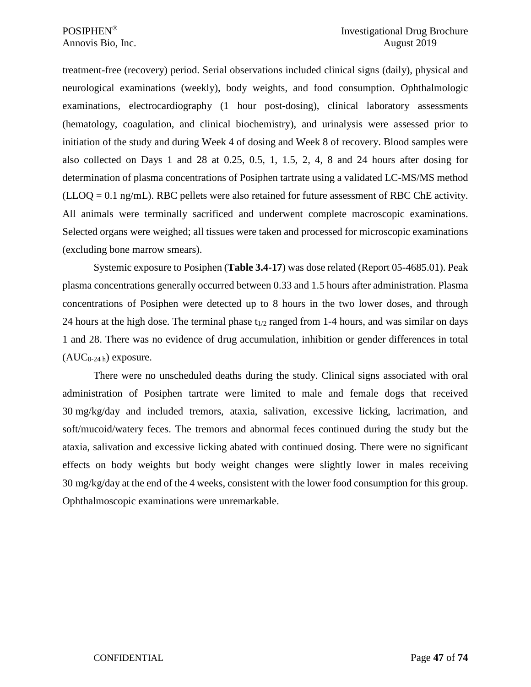treatment-free (recovery) period. Serial observations included clinical signs (daily), physical and neurological examinations (weekly), body weights, and food consumption. Ophthalmologic examinations, electrocardiography (1 hour post-dosing), clinical laboratory assessments (hematology, coagulation, and clinical biochemistry), and urinalysis were assessed prior to initiation of the study and during Week 4 of dosing and Week 8 of recovery. Blood samples were also collected on Days 1 and 28 at 0.25, 0.5, 1, 1.5, 2, 4, 8 and 24 hours after dosing for determination of plasma concentrations of Posiphen tartrate using a validated LC-MS/MS method  $(LLOQ = 0.1$  ng/mL). RBC pellets were also retained for future assessment of RBC ChE activity. All animals were terminally sacrificed and underwent complete macroscopic examinations. Selected organs were weighed; all tissues were taken and processed for microscopic examinations (excluding bone marrow smears).

Systemic exposure to Posiphen (**Table 3.4-17**) was dose related (Report 05-4685.01). Peak plasma concentrations generally occurred between 0.33 and 1.5 hours after administration. Plasma concentrations of Posiphen were detected up to 8 hours in the two lower doses, and through 24 hours at the high dose. The terminal phase  $t_{1/2}$  ranged from 1-4 hours, and was similar on days 1 and 28. There was no evidence of drug accumulation, inhibition or gender differences in total  $(AUC_{0-24h})$  exposure.

There were no unscheduled deaths during the study. Clinical signs associated with oral administration of Posiphen tartrate were limited to male and female dogs that received 30 mg/kg/day and included tremors, ataxia, salivation, excessive licking, lacrimation, and soft/mucoid/watery feces. The tremors and abnormal feces continued during the study but the ataxia, salivation and excessive licking abated with continued dosing. There were no significant effects on body weights but body weight changes were slightly lower in males receiving 30 mg/kg/day at the end of the 4 weeks, consistent with the lower food consumption for this group. Ophthalmoscopic examinations were unremarkable.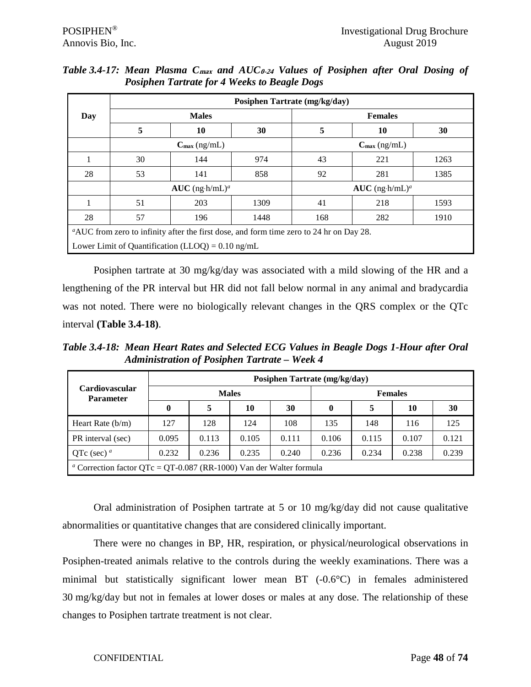|     | Posiphen Tartrate (mg/kg/day) |                                                                                         |      |                              |                          |      |  |  |  |  |
|-----|-------------------------------|-----------------------------------------------------------------------------------------|------|------------------------------|--------------------------|------|--|--|--|--|
| Day |                               | <b>Males</b>                                                                            |      |                              | <b>Females</b>           |      |  |  |  |  |
|     | 5                             | 10                                                                                      | 30   | 5                            | 10                       | 30   |  |  |  |  |
|     |                               | $C_{\text{max}}$ (ng/mL)                                                                |      |                              | $C_{\text{max}}$ (ng/mL) |      |  |  |  |  |
|     | 30                            | 144                                                                                     | 974  | 43                           | 221                      | 1263 |  |  |  |  |
| 28  | 53                            | 141                                                                                     | 858  | 92                           | 281                      | 1385 |  |  |  |  |
|     |                               | $AUC$ (ng·h/mL) <sup>a</sup>                                                            |      | $AUC$ (ng·h/mL) <sup>a</sup> |                          |      |  |  |  |  |
|     | 51                            | 203                                                                                     | 1309 | 41                           | 218                      | 1593 |  |  |  |  |
| 28  | 57                            | 196                                                                                     | 1448 | 168                          | 282                      | 1910 |  |  |  |  |
|     |                               | "AUC from zero to infinity after the first dose, and form time zero to 24 hr on Day 28. |      |                              |                          |      |  |  |  |  |
|     |                               | Lower Limit of Quantification (LLOQ) = $0.10 \text{ ng/mL}$                             |      |                              |                          |      |  |  |  |  |

*Table 3.4-17: Mean Plasma C***max** *and AUC***0-24** *Values of Posiphen after Oral Dosing of Posiphen Tartrate for 4 Weeks to Beagle Dogs*

Posiphen tartrate at 30 mg/kg/day was associated with a mild slowing of the HR and a lengthening of the PR interval but HR did not fall below normal in any animal and bradycardia was not noted. There were no biologically relevant changes in the QRS complex or the QTc interval **(Table 3.4-18)**.

*Table 3.4-18: Mean Heart Rates and Selected ECG Values in Beagle Dogs 1-Hour after Oral Administration of Posiphen Tartrate – Week 4* 

| <b>Cardiovascular</b><br><b>Parameter</b>                                             |          | Posiphen Tartrate (mg/kg/day) |              |       |                |       |       |       |  |  |
|---------------------------------------------------------------------------------------|----------|-------------------------------|--------------|-------|----------------|-------|-------|-------|--|--|
|                                                                                       |          |                               | <b>Males</b> |       | <b>Females</b> |       |       |       |  |  |
|                                                                                       | $\bf{0}$ | 5                             | 10           | 30    | $\bf{0}$       |       | 10    | 30    |  |  |
| Heart Rate $(b/m)$                                                                    | 127      | 128                           | 124          | 108   | 135            | 148   | 116   | 125   |  |  |
| PR interval (sec)                                                                     | 0.095    | 0.113                         | 0.105        | 0.111 | 0.106          | 0.115 | 0.107 | 0.121 |  |  |
| QTc (sec) $^a$                                                                        | 0.232    | 0.236                         | 0.235        | 0.240 | 0.236          | 0.234 | 0.238 | 0.239 |  |  |
| <sup><i>a</i></sup> Correction factor QTc = QT-0.087 (RR-1000) Van der Walter formula |          |                               |              |       |                |       |       |       |  |  |

Oral administration of Posiphen tartrate at 5 or 10 mg/kg/day did not cause qualitative abnormalities or quantitative changes that are considered clinically important.

There were no changes in BP, HR, respiration, or physical/neurological observations in Posiphen-treated animals relative to the controls during the weekly examinations. There was a minimal but statistically significant lower mean BT (-0.6°C) in females administered 30 mg/kg/day but not in females at lower doses or males at any dose. The relationship of these changes to Posiphen tartrate treatment is not clear.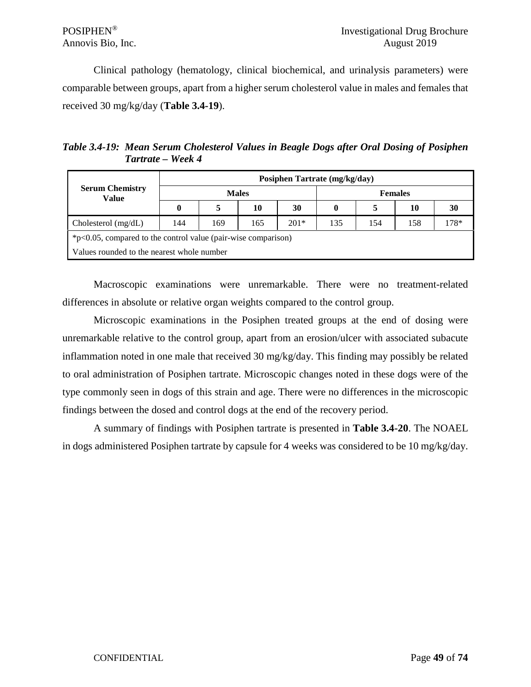Clinical pathology (hematology, clinical biochemical, and urinalysis parameters) were comparable between groups, apart from a higher serum cholesterol value in males and females that received 30 mg/kg/day (**Table 3.4-19**).

*Table 3.4-19: Mean Serum Cholesterol Values in Beagle Dogs after Oral Dosing of Posiphen Tartrate – Week 4* 

| <b>Serum Chemistry</b><br>Value                                  |          | Posiphen Tartrate (mg/kg/day) |     |        |                |     |     |      |  |  |  |  |  |  |  |
|------------------------------------------------------------------|----------|-------------------------------|-----|--------|----------------|-----|-----|------|--|--|--|--|--|--|--|
|                                                                  |          | <b>Males</b>                  |     |        | <b>Females</b> |     |     |      |  |  |  |  |  |  |  |
|                                                                  | $\bf{0}$ | 5                             | 10  | 30     | $\mathbf{0}$   | 5   | 10  | 30   |  |  |  |  |  |  |  |
| Cholesterol $(mg/dL)$                                            | 144      | 169                           | 165 | $201*$ | 135            | 154 | 158 | 178* |  |  |  |  |  |  |  |
| $*p<0.05$ , compared to the control value (pair-wise comparison) |          |                               |     |        |                |     |     |      |  |  |  |  |  |  |  |
| Values rounded to the nearest whole number                       |          |                               |     |        |                |     |     |      |  |  |  |  |  |  |  |

Macroscopic examinations were unremarkable. There were no treatment-related differences in absolute or relative organ weights compared to the control group.

Microscopic examinations in the Posiphen treated groups at the end of dosing were unremarkable relative to the control group, apart from an erosion/ulcer with associated subacute inflammation noted in one male that received 30 mg/kg/day. This finding may possibly be related to oral administration of Posiphen tartrate. Microscopic changes noted in these dogs were of the type commonly seen in dogs of this strain and age. There were no differences in the microscopic findings between the dosed and control dogs at the end of the recovery period.

A summary of findings with Posiphen tartrate is presented in **Table 3.4-20**. The NOAEL in dogs administered Posiphen tartrate by capsule for 4 weeks was considered to be 10 mg/kg/day.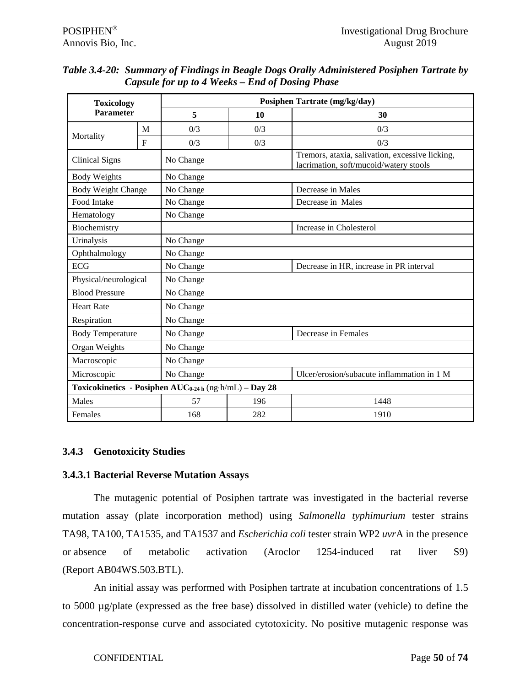| <b>Toxicology</b>         |             |                                                                    | Posiphen Tartrate (mg/kg/day) |                                                                                           |  |  |  |  |  |  |
|---------------------------|-------------|--------------------------------------------------------------------|-------------------------------|-------------------------------------------------------------------------------------------|--|--|--|--|--|--|
| <b>Parameter</b>          |             | 5                                                                  | 10                            | 30                                                                                        |  |  |  |  |  |  |
|                           | M           | 0/3                                                                | 0/3                           | 0/3                                                                                       |  |  |  |  |  |  |
| Mortality                 | $\mathbf F$ | 0/3                                                                | 0/3                           | 0/3                                                                                       |  |  |  |  |  |  |
| <b>Clinical Signs</b>     |             | No Change                                                          |                               | Tremors, ataxia, salivation, excessive licking,<br>lacrimation, soft/mucoid/watery stools |  |  |  |  |  |  |
| <b>Body Weights</b>       |             | No Change                                                          |                               |                                                                                           |  |  |  |  |  |  |
| <b>Body Weight Change</b> |             | No Change                                                          |                               | Decrease in Males                                                                         |  |  |  |  |  |  |
| Food Intake               |             | No Change                                                          |                               | Decrease in Males                                                                         |  |  |  |  |  |  |
| Hematology                |             | No Change                                                          |                               |                                                                                           |  |  |  |  |  |  |
| Biochemistry              |             |                                                                    |                               | Increase in Cholesterol                                                                   |  |  |  |  |  |  |
| Urinalysis                |             | No Change                                                          |                               |                                                                                           |  |  |  |  |  |  |
| Ophthalmology             |             | No Change                                                          |                               |                                                                                           |  |  |  |  |  |  |
| <b>ECG</b>                |             |                                                                    |                               | Decrease in HR, increase in PR interval                                                   |  |  |  |  |  |  |
| Physical/neurological     |             | No Change                                                          |                               |                                                                                           |  |  |  |  |  |  |
| <b>Blood Pressure</b>     |             | No Change                                                          |                               |                                                                                           |  |  |  |  |  |  |
| <b>Heart Rate</b>         |             | No Change                                                          |                               |                                                                                           |  |  |  |  |  |  |
| Respiration               |             | No Change                                                          |                               |                                                                                           |  |  |  |  |  |  |
| <b>Body Temperature</b>   |             | No Change                                                          |                               | Decrease in Females                                                                       |  |  |  |  |  |  |
| Organ Weights             |             | No Change                                                          |                               |                                                                                           |  |  |  |  |  |  |
| Macroscopic               |             | No Change                                                          |                               |                                                                                           |  |  |  |  |  |  |
| Microscopic               |             | No Change                                                          |                               | Ulcer/erosion/subacute inflammation in 1 M                                                |  |  |  |  |  |  |
|                           |             | Toxicokinetics - Posiphen AUC <sub>0-24 h</sub> (ng-h/mL) - Day 28 |                               |                                                                                           |  |  |  |  |  |  |
| Males                     |             | 57                                                                 | 196                           | 1448                                                                                      |  |  |  |  |  |  |
| Females                   |             | 168                                                                | 282                           | 1910                                                                                      |  |  |  |  |  |  |

| Table 3.4-20: Summary of Findings in Beagle Dogs Orally Administered Posiphen Tartrate by |
|-------------------------------------------------------------------------------------------|
| Capsule for up to 4 Weeks – End of Dosing Phase                                           |

# **3.4.3 Genotoxicity Studies**

#### **3.4.3.1 Bacterial Reverse Mutation Assays**

The mutagenic potential of Posiphen tartrate was investigated in the bacterial reverse mutation assay (plate incorporation method) using *Salmonella typhimurium* tester strains TA98, TA100, TA1535, and TA1537 and *Escherichia coli* tester strain WP2 *uvr*A in the presence or absence of metabolic activation (Aroclor 1254-induced rat liver S9) (Report AB04WS.503.BTL).

An initial assay was performed with Posiphen tartrate at incubation concentrations of 1.5 to 5000 µg/plate (expressed as the free base) dissolved in distilled water (vehicle) to define the concentration-response curve and associated cytotoxicity. No positive mutagenic response was

CONFIDENTIAL Page **50** of **74**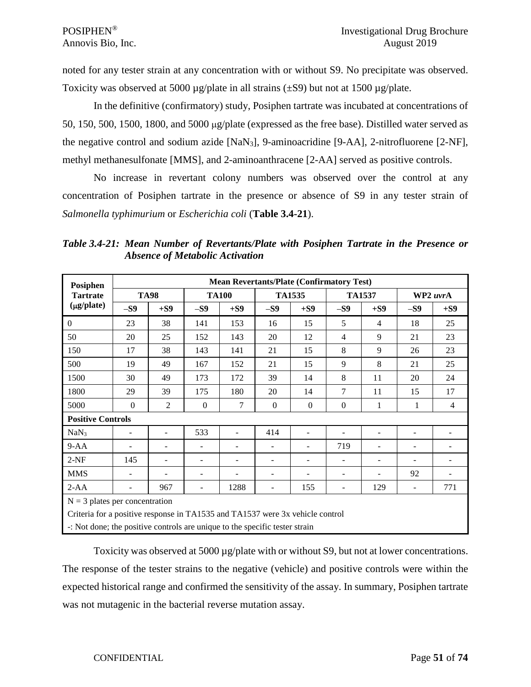noted for any tester strain at any concentration with or without S9. No precipitate was observed. Toxicity was observed at 5000  $\mu$ g/plate in all strains ( $\pm$ S9) but not at 1500  $\mu$ g/plate.

In the definitive (confirmatory) study, Posiphen tartrate was incubated at concentrations of 50, 150, 500, 1500, 1800, and 5000 µg/plate (expressed as the free base). Distilled water served as the negative control and sodium azide [NaN3], 9-aminoacridine [9-AA], 2-nitrofluorene [2-NF], methyl methanesulfonate [MMS], and 2-aminoanthracene [2-AA] served as positive controls.

No increase in revertant colony numbers was observed over the control at any concentration of Posiphen tartrate in the presence or absence of S9 in any tester strain of *Salmonella typhimurium* or *Escherichia coli* (**Table 3.4-21**).

*Table 3.4-21: Mean Number of Revertants/Plate with Posiphen Tartrate in the Presence or Absence of Metabolic Activation*

| Posiphen                                                                      |                          |                          |                          | <b>Mean Revertants/Plate (Confirmatory Test)</b> |              |                |                |                          |                          |                |
|-------------------------------------------------------------------------------|--------------------------|--------------------------|--------------------------|--------------------------------------------------|--------------|----------------|----------------|--------------------------|--------------------------|----------------|
| <b>Tartrate</b>                                                               |                          | <b>TA98</b>              |                          | <b>TA100</b>                                     |              | <b>TA1535</b>  |                | <b>TA1537</b>            |                          | WP2 uvrA       |
| (µg/plate)                                                                    | $-S9$                    | $+S9$                    | $-S9$                    | $+S9$                                            | $-S9$        | $+S9$          | $-S9$          | $+S9$                    | $-S9$                    | $+S9$          |
| $\overline{0}$                                                                | 23                       | 38                       | 141                      | 153                                              | 16           | 15             | 5              | 4                        | 18                       | 25             |
| 50                                                                            | 20                       | 25                       | 152                      | 143                                              | 20           | 12             | $\overline{4}$ | 9                        | 21                       | 23             |
| 150                                                                           | 17                       | 38                       | 143                      | 141                                              | 21           | 15             | 8              | 9                        | 26                       | 23             |
| 500                                                                           | 19                       | 49                       | 167                      | 152                                              | 21           | 15             | 9              | 8                        | 21                       | 25             |
| 1500                                                                          | 30                       | 49                       | 173                      | 172                                              | 39           | 14             | 8              | 11                       | 20                       | 24             |
| 1800                                                                          | 29                       | 39                       | 175                      | 180                                              | 20           | 14             | 7              | 11                       | 15                       | 17             |
| 5000                                                                          | $\mathbf{0}$             | 2                        | $\mathbf{0}$             | 7                                                | $\mathbf{0}$ | $\overline{0}$ | $\overline{0}$ | 1                        | 1                        | $\overline{4}$ |
| <b>Positive Controls</b>                                                      |                          |                          |                          |                                                  |              |                |                |                          |                          |                |
| NaN <sub>3</sub>                                                              | $\overline{\phantom{0}}$ |                          | 533                      |                                                  | 414          |                |                | $\overline{\phantom{m}}$ |                          |                |
| $9 - AA$                                                                      | $\overline{\phantom{a}}$ | $\overline{\phantom{a}}$ | $\overline{\phantom{0}}$ | $\qquad \qquad -$                                |              | ۰              | 719            | $\overline{\phantom{m}}$ | $\overline{\phantom{0}}$ |                |
| $2-NF$                                                                        | 145                      | $\overline{\phantom{a}}$ |                          | $\blacksquare$                                   |              | ۰              |                | $\overline{\phantom{m}}$ |                          |                |
| <b>MMS</b>                                                                    | $\overline{\phantom{0}}$ |                          |                          |                                                  |              |                | -              | ۰                        | 92                       |                |
| $2-AA$                                                                        |                          | 967                      |                          | 1288                                             |              | 155            |                | 129                      | $\overline{\phantom{a}}$ | 771            |
| $N = 3$ plates per concentration                                              |                          |                          |                          |                                                  |              |                |                |                          |                          |                |
| Criteria for a positive response in TA1535 and TA1537 were 3x vehicle control |                          |                          |                          |                                                  |              |                |                |                          |                          |                |
| -: Not done; the positive controls are unique to the specific tester strain   |                          |                          |                          |                                                  |              |                |                |                          |                          |                |

Toxicity was observed at 5000 µg/plate with or without S9, but not at lower concentrations. The response of the tester strains to the negative (vehicle) and positive controls were within the expected historical range and confirmed the sensitivity of the assay. In summary, Posiphen tartrate was not mutagenic in the bacterial reverse mutation assay.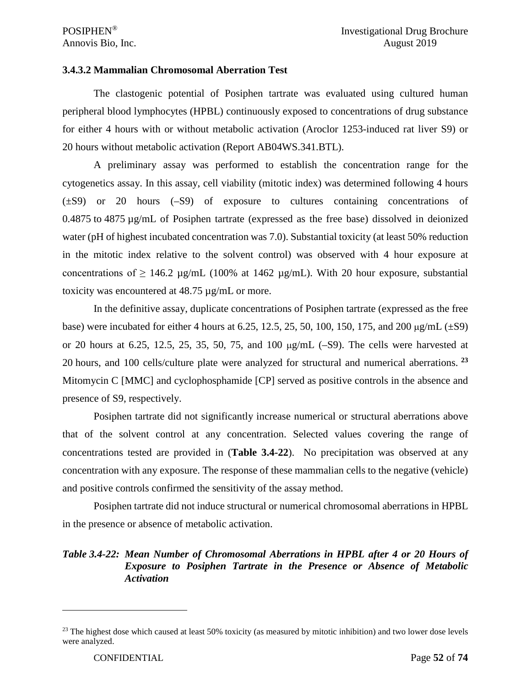#### **3.4.3.2 Mammalian Chromosomal Aberration Test**

The clastogenic potential of Posiphen tartrate was evaluated using cultured human peripheral blood lymphocytes (HPBL) continuously exposed to concentrations of drug substance for either 4 hours with or without metabolic activation (Aroclor 1253-induced rat liver S9) or 20 hours without metabolic activation (Report AB04WS.341.BTL).

A preliminary assay was performed to establish the concentration range for the cytogenetics assay. In this assay, cell viability (mitotic index) was determined following 4 hours (±S9) or 20 hours (–S9) of exposure to cultures containing concentrations of 0.4875 to 4875 µg/mL of Posiphen tartrate (expressed as the free base) dissolved in deionized water (pH of highest incubated concentration was 7.0). Substantial toxicity (at least 50% reduction in the mitotic index relative to the solvent control) was observed with 4 hour exposure at concentrations of  $\geq 146.2$  µg/mL (100% at 1462 µg/mL). With 20 hour exposure, substantial toxicity was encountered at 48.75 µg/mL or more.

In the definitive assay, duplicate concentrations of Posiphen tartrate (expressed as the free base) were incubated for either 4 hours at 6.25, 12.5, 25, 50, 100, 150, 175, and 200  $\mu$ g/mL ( $\pm$ S9) or 20 hours at 6.25, 12.5, 25, 35, 50, 75, and 100  $\mu$ g/mL (-S9). The cells were harvested at 20 hours, and 100 cells/culture plate were analyzed for structural and numerical aberrations. **[23](#page-51-0)** Mitomycin C [MMC] and cyclophosphamide [CP] served as positive controls in the absence and presence of S9, respectively.

Posiphen tartrate did not significantly increase numerical or structural aberrations above that of the solvent control at any concentration. Selected values covering the range of concentrations tested are provided in (**Table 3.4-22**). No precipitation was observed at any concentration with any exposure. The response of these mammalian cells to the negative (vehicle) and positive controls confirmed the sensitivity of the assay method.

Posiphen tartrate did not induce structural or numerical chromosomal aberrations in HPBL in the presence or absence of metabolic activation.

#### *Table 3.4-22: Mean Number of Chromosomal Aberrations in HPBL after 4 or 20 Hours of Exposure to Posiphen Tartrate in the Presence or Absence of Metabolic Activation*

<span id="page-51-0"></span> $^{23}$  The highest dose which caused at least 50% toxicity (as measured by mitotic inhibition) and two lower dose levels were analyzed.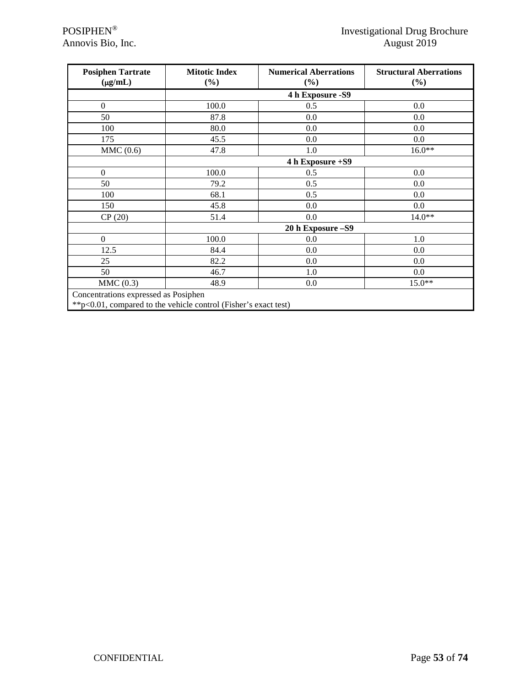| <b>Posiphen Tartrate</b><br>$(\mu g/mL)$ | <b>Mitotic Index</b><br>$(\%)$ | <b>Numerical Aberrations</b><br>$(\%)$ | <b>Structural Aberrations</b><br>(%) |  |  |  |  |  |
|------------------------------------------|--------------------------------|----------------------------------------|--------------------------------------|--|--|--|--|--|
|                                          |                                | 4 h Exposure - S9                      |                                      |  |  |  |  |  |
| $\boldsymbol{0}$                         | 100.0                          | 0.5                                    | 0.0                                  |  |  |  |  |  |
| 50                                       | 87.8                           | 0.0                                    | 0.0                                  |  |  |  |  |  |
| 100                                      | 80.0                           | 0.0                                    | 0.0                                  |  |  |  |  |  |
| 175                                      | 45.5                           | 0.0                                    | 0.0                                  |  |  |  |  |  |
| MMC(0.6)                                 | 47.8                           | 1.0                                    | $16.0**$                             |  |  |  |  |  |
|                                          | 4 h Exposure +S9               |                                        |                                      |  |  |  |  |  |
| $\overline{0}$                           | 100.0                          | 0.5                                    | 0.0                                  |  |  |  |  |  |
| 50                                       | 79.2                           | 0.5                                    | 0.0                                  |  |  |  |  |  |
| 100                                      | 68.1                           | 0.5                                    | 0.0                                  |  |  |  |  |  |
| 150                                      | 45.8                           | 0.0                                    | 0.0                                  |  |  |  |  |  |
| CP(20)                                   | 51.4                           | 0.0                                    | $14.0**$                             |  |  |  |  |  |
|                                          |                                | 20 h Exposure - S9                     |                                      |  |  |  |  |  |
| $\boldsymbol{0}$                         | 100.0                          | $0.0\,$                                | 1.0                                  |  |  |  |  |  |
| 12.5                                     | 84.4                           | 0.0                                    | 0.0                                  |  |  |  |  |  |
| 25                                       | 82.2                           | 0.0                                    | 0.0                                  |  |  |  |  |  |
| 50                                       | 46.7                           | 1.0                                    | 0.0                                  |  |  |  |  |  |
| MMC(0.3)                                 | 48.9                           | 0.0                                    | $15.0**$                             |  |  |  |  |  |
| Concentrations expressed as Posiphen     |                                |                                        |                                      |  |  |  |  |  |

\*\*p<0.01, compared to the vehicle control (Fisher's exact test)

 $\overline{\phantom{a}}$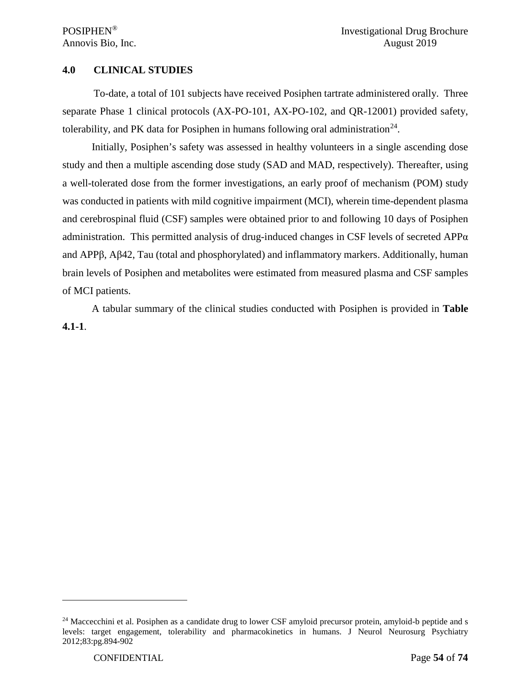#### **4.0 CLINICAL STUDIES**

To-date, a total of 101 subjects have received Posiphen tartrate administered orally. Three separate Phase 1 clinical protocols (AX-PO-101, AX-PO-102, and QR-12001) provided safety, tolerability, and PK data for Posiphen in humans following oral administration<sup>[24](#page-53-0)</sup>.

Initially, Posiphen's safety was assessed in healthy volunteers in a single ascending dose study and then a multiple ascending dose study (SAD and MAD, respectively). Thereafter, using a well-tolerated dose from the former investigations, an early proof of mechanism (POM) study was conducted in patients with mild cognitive impairment (MCI), wherein time-dependent plasma and cerebrospinal fluid (CSF) samples were obtained prior to and following 10 days of Posiphen administration. This permitted analysis of drug-induced changes in CSF levels of secreted  $APP\alpha$ and APPβ, Aβ42, Tau (total and phosphorylated) and inflammatory markers. Additionally, human brain levels of Posiphen and metabolites were estimated from measured plasma and CSF samples of MCI patients.

A tabular summary of the clinical studies conducted with Posiphen is provided in **Table 4.1-1**.

<span id="page-53-0"></span><sup>&</sup>lt;sup>24</sup> Maccecchini et al. Posiphen as a candidate drug to lower CSF amyloid precursor protein, amyloid-b peptide and s levels: target engagement, tolerability and pharmacokinetics in humans. J Neurol Neurosurg Psychiatry 2012;83:pg.894-902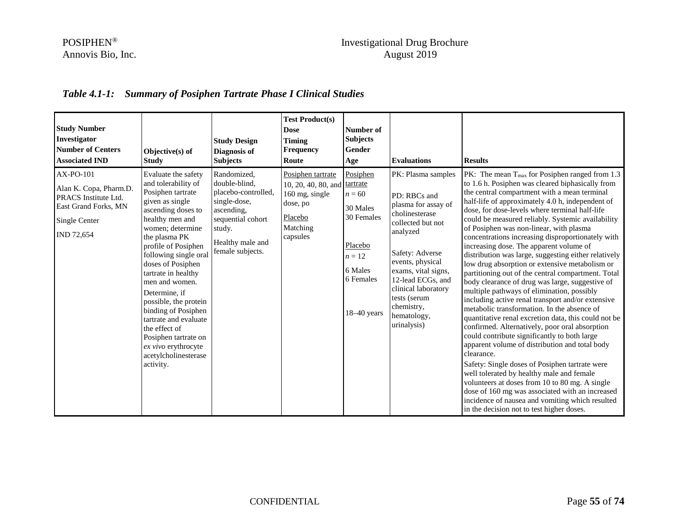### POSIPHEN® Investigational Drug Brochure Annovis Bio, Inc. August 2019

# *Table 4.1-1: Summary of Posiphen Tartrate Phase I Clinical Studies*

| <b>Study Number</b><br>Investigator<br><b>Number of Centers</b><br><b>Associated IND</b>                           | Objective(s) of<br><b>Study</b>                                                                                                                                                                                                                                                                                                                                                                                                                                               | <b>Study Design</b><br>Diagnosis of<br><b>Subjects</b>                                                                                                   | <b>Test Product(s)</b><br><b>Dose</b><br><b>Timing</b><br>Frequency<br>Route                              | Number of<br><b>Subjects</b><br>Gender<br>Age                                                                              | <b>Evaluations</b>                                                                                                                                                                                                                                                                 | <b>Results</b>                                                                                                                                                                                                                                                                                                                                                                                                                                                                                                                                                                                                                                                                                                                                                                                                                                                                                                                                                                                                                                                                                                                                                                                                                                                                                                                                                          |
|--------------------------------------------------------------------------------------------------------------------|-------------------------------------------------------------------------------------------------------------------------------------------------------------------------------------------------------------------------------------------------------------------------------------------------------------------------------------------------------------------------------------------------------------------------------------------------------------------------------|----------------------------------------------------------------------------------------------------------------------------------------------------------|-----------------------------------------------------------------------------------------------------------|----------------------------------------------------------------------------------------------------------------------------|------------------------------------------------------------------------------------------------------------------------------------------------------------------------------------------------------------------------------------------------------------------------------------|-------------------------------------------------------------------------------------------------------------------------------------------------------------------------------------------------------------------------------------------------------------------------------------------------------------------------------------------------------------------------------------------------------------------------------------------------------------------------------------------------------------------------------------------------------------------------------------------------------------------------------------------------------------------------------------------------------------------------------------------------------------------------------------------------------------------------------------------------------------------------------------------------------------------------------------------------------------------------------------------------------------------------------------------------------------------------------------------------------------------------------------------------------------------------------------------------------------------------------------------------------------------------------------------------------------------------------------------------------------------------|
| AX-PO-101<br>Alan K. Copa, Pharm.D.<br>PRACS Institute Ltd.<br>East Grand Forks, MN<br>Single Center<br>IND 72,654 | Evaluate the safety<br>and tolerability of<br>Posiphen tartrate<br>given as single<br>ascending doses to<br>healthy men and<br>women; determine<br>the plasma PK<br>profile of Posiphen<br>following single oral<br>doses of Posiphen<br>tartrate in healthy<br>men and women.<br>Determine, if<br>possible, the protein<br>binding of Posiphen<br>tartrate and evaluate<br>the effect of<br>Posiphen tartrate on<br>ex vivo erythrocyte<br>acetylcholinesterase<br>activity. | Randomized,<br>double-blind.<br>placebo-controlled,<br>single-dose,<br>ascending,<br>sequential cohort<br>study.<br>Healthy male and<br>female subjects. | Posiphen tartrate<br>10, 20, 40, 80, and<br>160 mg, single<br>dose, po<br>Placebo<br>Matching<br>capsules | Posiphen<br>tartrate<br>$n = 60$<br>30 Males<br>30 Females<br>Placebo<br>$n=12$<br>6 Males<br>6 Females<br>$18 - 40$ years | PK: Plasma samples<br>PD: RBCs and<br>plasma for assay of<br>cholinesterase<br>collected but not<br>analyzed<br>Safety: Adverse<br>events, physical<br>exams, vital signs,<br>12-lead ECGs, and<br>clinical laboratory<br>tests (serum<br>chemistry,<br>hematology,<br>urinalysis) | PK: The mean $T_{\text{max}}$ for Posiphen ranged from 1.3<br>to 1.6 h. Posiphen was cleared biphasically from<br>the central compartment with a mean terminal<br>half-life of approximately 4.0 h, independent of<br>dose, for dose-levels where terminal half-life<br>could be measured reliably. Systemic availability<br>of Posiphen was non-linear, with plasma<br>concentrations increasing disproportionately with<br>increasing dose. The apparent volume of<br>distribution was large, suggesting either relatively<br>low drug absorption or extensive metabolism or<br>partitioning out of the central compartment. Total<br>body clearance of drug was large, suggestive of<br>multiple pathways of elimination, possibly<br>including active renal transport and/or extensive<br>metabolic transformation. In the absence of<br>quantitative renal excretion data, this could not be<br>confirmed. Alternatively, poor oral absorption<br>could contribute significantly to both large<br>apparent volume of distribution and total body<br>clearance.<br>Safety: Single doses of Posiphen tartrate were<br>well tolerated by healthy male and female<br>volunteers at doses from 10 to 80 mg. A single<br>dose of 160 mg was associated with an increased<br>incidence of nausea and vomiting which resulted<br>in the decision not to test higher doses. |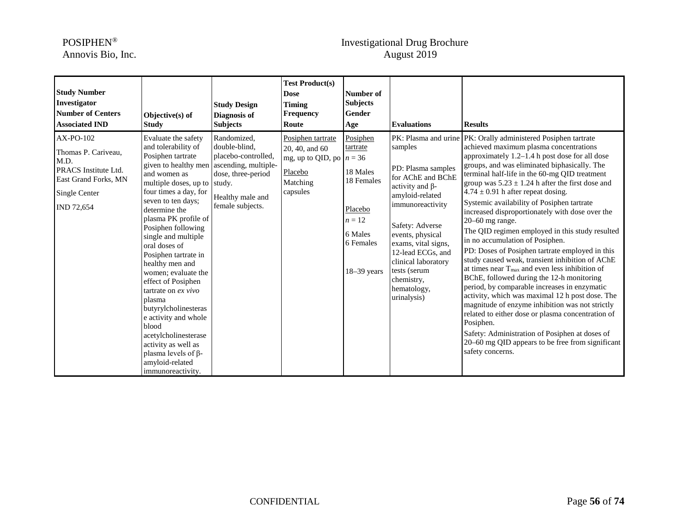## POSIPHEN® Investigational Drug Brochure Annovis Bio, Inc. August 2019

| <b>Study Number</b><br>Investigator<br><b>Number of Centers</b><br><b>Associated IND</b>                                | Objective(s) of<br><b>Study</b>                                                                                                                                                                                                                                                                                                                                                                                                                                                                                                                                                                                             | <b>Study Design</b><br>Diagnosis of<br><b>Subjects</b>                                                            | <b>Test Product(s)</b><br><b>Dose</b><br><b>Timing</b><br><b>Frequency</b><br>Route                  | Number of<br><b>Subjects</b><br><b>Gender</b><br>Age                                                         | <b>Evaluations</b>                                                                                                                                                                                                                                                                        | <b>Results</b>                                                                                                                                                                                                                                                                                                                                                                                                                                                                                                                                                                                                                                                                                                                                                                                                                                                                                                                                                                                                                                                                                                                                 |
|-------------------------------------------------------------------------------------------------------------------------|-----------------------------------------------------------------------------------------------------------------------------------------------------------------------------------------------------------------------------------------------------------------------------------------------------------------------------------------------------------------------------------------------------------------------------------------------------------------------------------------------------------------------------------------------------------------------------------------------------------------------------|-------------------------------------------------------------------------------------------------------------------|------------------------------------------------------------------------------------------------------|--------------------------------------------------------------------------------------------------------------|-------------------------------------------------------------------------------------------------------------------------------------------------------------------------------------------------------------------------------------------------------------------------------------------|------------------------------------------------------------------------------------------------------------------------------------------------------------------------------------------------------------------------------------------------------------------------------------------------------------------------------------------------------------------------------------------------------------------------------------------------------------------------------------------------------------------------------------------------------------------------------------------------------------------------------------------------------------------------------------------------------------------------------------------------------------------------------------------------------------------------------------------------------------------------------------------------------------------------------------------------------------------------------------------------------------------------------------------------------------------------------------------------------------------------------------------------|
| AX-PO-102<br>Thomas P. Cariveau,<br>M.D.<br>PRACS Institute Ltd.<br>East Grand Forks, MN<br>Single Center<br>IND 72,654 | Evaluate the safety<br>and tolerability of<br>Posiphen tartrate<br>given to healthy men ascending, multiple-<br>and women as<br>multiple doses, up to study.<br>four times a day, for<br>seven to ten days;<br>determine the<br>plasma PK profile of<br>Posiphen following<br>single and multiple<br>oral doses of<br>Posiphen tartrate in<br>healthy men and<br>women; evaluate the<br>effect of Posiphen<br>tartrate on $ex$ vivo<br>plasma<br>butyrylcholinesteras<br>e activity and whole<br>blood<br>acetylcholinesterase<br>activity as well as<br>plasma levels of $\beta$ -<br>amyloid-related<br>immunoreactivity. | Randomized,<br>double-blind,<br>placebo-controlled,<br>dose, three-period<br>Healthy male and<br>female subjects. | Posiphen tartrate<br>20, 40, and 60<br>mg, up to QID, po $n = 36$<br>Placebo<br>Matching<br>capsules | Posiphen<br>tartrate<br>18 Males<br>18 Females<br>Placebo<br>$n=12$<br>6 Males<br>6 Females<br>$18-39$ years | samples<br>PD: Plasma samples<br>for AChE and BChE<br>activity and $\beta$ -<br>amyloid-related<br>immunoreactivity<br>Safety: Adverse<br>events, physical<br>exams, vital signs,<br>12-lead ECGs, and<br>clinical laboratory<br>tests (serum<br>chemistry,<br>hematology,<br>urinalysis) | PK: Plasma and urine   PK: Orally administered Posiphen tartrate<br>achieved maximum plasma concentrations<br>approximately 1.2-1.4 h post dose for all dose<br>groups, and was eliminated biphasically. The<br>terminal half-life in the 60-mg QID treatment<br>group was $5.23 \pm 1.24$ h after the first dose and<br>$4.74 \pm 0.91$ h after repeat dosing.<br>Systemic availability of Posiphen tartrate<br>increased disproportionately with dose over the<br>$20-60$ mg range.<br>The QID regimen employed in this study resulted<br>in no accumulation of Posiphen.<br>PD: Doses of Posiphen tartrate employed in this<br>study caused weak, transient inhibition of AChE<br>at times near $T_{\text{max}}$ and even less inhibition of<br>BChE, followed during the 12-h monitoring<br>period, by comparable increases in enzymatic<br>activity, which was maximal 12 h post dose. The<br>magnitude of enzyme inhibition was not strictly<br>related to either dose or plasma concentration of<br>Posiphen.<br>Safety: Administration of Posiphen at doses of<br>20–60 mg QID appears to be free from significant<br>safety concerns. |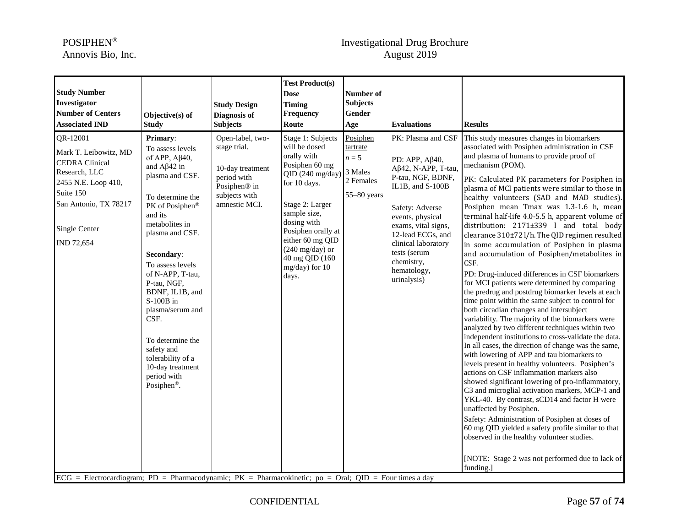## POSIPHEN® Investigational Drug Brochure Annovis Bio, Inc. August 2019

| <b>Study Number</b><br>Investigator<br><b>Number of Centers</b><br><b>Associated IND</b>                                                                                                                                                                                            | Objective(s) of<br><b>Study</b>                                                                                                                                                                                                                                                                                                                                                                                                           | <b>Study Design</b><br>Diagnosis of<br><b>Subjects</b>                                                                            | <b>Test Product(s)</b><br><b>Dose</b><br><b>Timing</b><br><b>Frequency</b><br>Route                                                                                                                                                                                                   | Number of<br><b>Subjects</b><br>Gender<br>Age                 | <b>Evaluations</b>                                                                                                                                                                                                                                                                | <b>Results</b>                                                                                                                                                                                                                                                                                                                                                                                                                                                                                                                                                                                                                                                                                                                                                                                                                                                                                                                                                                                                                                                                                                                                                                                                                                                                                                                                                                                                                                                                                                                                                                                                                                 |
|-------------------------------------------------------------------------------------------------------------------------------------------------------------------------------------------------------------------------------------------------------------------------------------|-------------------------------------------------------------------------------------------------------------------------------------------------------------------------------------------------------------------------------------------------------------------------------------------------------------------------------------------------------------------------------------------------------------------------------------------|-----------------------------------------------------------------------------------------------------------------------------------|---------------------------------------------------------------------------------------------------------------------------------------------------------------------------------------------------------------------------------------------------------------------------------------|---------------------------------------------------------------|-----------------------------------------------------------------------------------------------------------------------------------------------------------------------------------------------------------------------------------------------------------------------------------|------------------------------------------------------------------------------------------------------------------------------------------------------------------------------------------------------------------------------------------------------------------------------------------------------------------------------------------------------------------------------------------------------------------------------------------------------------------------------------------------------------------------------------------------------------------------------------------------------------------------------------------------------------------------------------------------------------------------------------------------------------------------------------------------------------------------------------------------------------------------------------------------------------------------------------------------------------------------------------------------------------------------------------------------------------------------------------------------------------------------------------------------------------------------------------------------------------------------------------------------------------------------------------------------------------------------------------------------------------------------------------------------------------------------------------------------------------------------------------------------------------------------------------------------------------------------------------------------------------------------------------------------|
| QR-12001<br>Mark T. Leibowitz, MD<br><b>CEDRA</b> Clinical<br>Research, LLC<br>2455 N.E. Loop 410,<br>Suite 150<br>San Antonio, TX 78217<br>Single Center<br>IND 72,654<br>$ECG$ = Electrocardiogram; PD = Pharmacodynamic; PK = Pharmacokinetic; po = Oral; QID = Four times a day | Primary:<br>To assess levels<br>of APP, $A\beta$ 40,<br>and $A\beta42$ in<br>plasma and CSF.<br>To determine the<br>PK of Posiphen®<br>and its<br>metabolites in<br>plasma and CSF.<br>Secondary:<br>To assess levels<br>of N-APP, T-tau,<br>P-tau, NGF,<br>BDNF, IL1B, and<br>S-100B in<br>plasma/serum and<br>CSF.<br>To determine the<br>safety and<br>tolerability of a<br>10-day treatment<br>period with<br>Posiphen <sup>®</sup> . | Open-label, two-<br>stage trial.<br>10-day treatment<br>period with<br>Posiphen <sup>®</sup> in<br>subjects with<br>amnestic MCI. | Stage 1: Subjects<br>will be dosed<br>orally with<br>Posiphen 60 mg<br>QID (240 mg/day) 3 Males<br>for 10 days.<br>Stage 2: Larger<br>sample size,<br>dosing with<br>Posiphen orally at<br>either 60 mg QID<br>$(240 \text{ mg/day})$ or<br>40 mg QID (160<br>mg/day) for 10<br>days. | Posiphen<br>tartrate<br>$n=5$<br>2 Females<br>$55 - 80$ years | PK: Plasma and CSF<br>PD: APP, Aβ40,<br>$A\beta$ 42, N-APP, T-tau,<br>P-tau, NGF, BDNF,<br>IL1B, and S-100B<br>Safety: Adverse<br>events, physical<br>exams, vital signs,<br>12-lead ECGs, and<br>clinical laboratory<br>tests (serum<br>chemistry,<br>hematology,<br>urinalysis) | This study measures changes in biomarkers<br>associated with Posiphen administration in CSF<br>and plasma of humans to provide proof of<br>mechanism (POM).<br>PK: Calculated PK parameters for Posiphen in<br>plasma of MCI patients were similar to those in<br>healthy volunteers (SAD and MAD studies).<br>Posiphen mean Tmax was 1.3-1.6 h, mean<br>terminal half-life 4.0-5.5 h, apparent volume of<br>distribution: 2171±339 l and total body<br>clearance 310±72l/h. The QID regimen resulted<br>in some accumulation of Posiphen in plasma<br>and accumulation of Posiphen/metabolites in<br>CSF.<br>PD: Drug-induced differences in CSF biomarkers<br>for MCI patients were determined by comparing<br>the predrug and postdrug biomarker levels at each<br>time point within the same subject to control for<br>both circadian changes and intersubject<br>variability. The majority of the biomarkers were<br>analyzed by two different techniques within two<br>independent institutions to cross-validate the data.<br>In all cases, the direction of change was the same,<br>with lowering of APP and tau biomarkers to<br>levels present in healthy volunteers. Posiphen's<br>actions on CSF inflammation markers also<br>showed significant lowering of pro-inflammatory,<br>C3 and microglial activation markers, MCP-1 and<br>YKL-40. By contrast, sCD14 and factor H were<br>unaffected by Posiphen.<br>Safety: Administration of Posiphen at doses of<br>60 mg QID yielded a safety profile similar to that<br>observed in the healthy volunteer studies.<br>[NOTE: Stage 2 was not performed due to lack of<br>funding.] |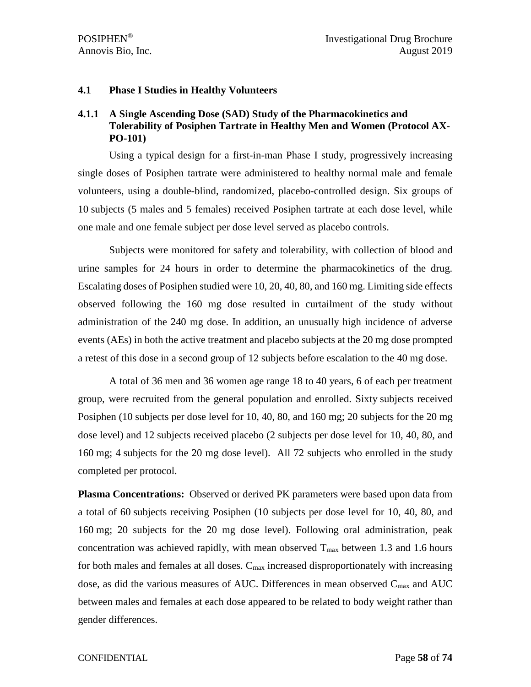#### **4.1 Phase I Studies in Healthy Volunteers**

# **4.1.1 A Single Ascending Dose (SAD) Study of the Pharmacokinetics and Tolerability of Posiphen Tartrate in Healthy Men and Women (Protocol AX-PO-101)**

Using a typical design for a first-in-man Phase I study, progressively increasing single doses of Posiphen tartrate were administered to healthy normal male and female volunteers, using a double-blind, randomized, placebo-controlled design. Six groups of 10 subjects (5 males and 5 females) received Posiphen tartrate at each dose level, while one male and one female subject per dose level served as placebo controls.

Subjects were monitored for safety and tolerability, with collection of blood and urine samples for 24 hours in order to determine the pharmacokinetics of the drug. Escalating doses of Posiphen studied were 10, 20, 40, 80, and 160 mg. Limiting side effects observed following the 160 mg dose resulted in curtailment of the study without administration of the 240 mg dose. In addition, an unusually high incidence of adverse events (AEs) in both the active treatment and placebo subjects at the 20 mg dose prompted a retest of this dose in a second group of 12 subjects before escalation to the 40 mg dose.

A total of 36 men and 36 women age range 18 to 40 years, 6 of each per treatment group, were recruited from the general population and enrolled. Sixty subjects received Posiphen (10 subjects per dose level for 10, 40, 80, and 160 mg; 20 subjects for the 20 mg dose level) and 12 subjects received placebo (2 subjects per dose level for 10, 40, 80, and 160 mg; 4 subjects for the 20 mg dose level). All 72 subjects who enrolled in the study completed per protocol.

**Plasma Concentrations:** Observed or derived PK parameters were based upon data from a total of 60 subjects receiving Posiphen (10 subjects per dose level for 10, 40, 80, and 160 mg; 20 subjects for the 20 mg dose level). Following oral administration, peak concentration was achieved rapidly, with mean observed  $T_{\text{max}}$  between 1.3 and 1.6 hours for both males and females at all doses.  $C_{\text{max}}$  increased disproportionately with increasing dose, as did the various measures of AUC. Differences in mean observed  $C_{\text{max}}$  and AUC between males and females at each dose appeared to be related to body weight rather than gender differences.

#### CONFIDENTIAL Page **58** of **74**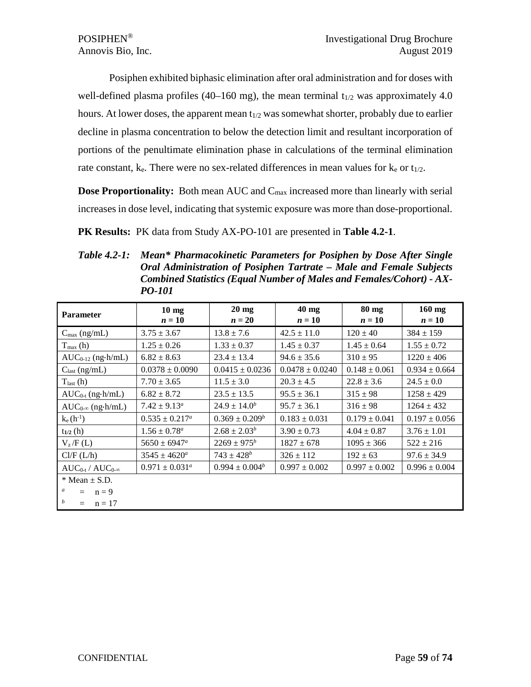Posiphen exhibited biphasic elimination after oral administration and for doses with well-defined plasma profiles (40–160 mg), the mean terminal  $t_{1/2}$  was approximately 4.0 hours. At lower doses, the apparent mean  $t_{1/2}$  was somewhat shorter, probably due to earlier decline in plasma concentration to below the detection limit and resultant incorporation of portions of the penultimate elimination phase in calculations of the terminal elimination rate constant,  $k_e$ . There were no sex-related differences in mean values for  $k_e$  or  $t_{1/2}$ .

**Dose Proportionality:** Both mean AUC and C<sub>max</sub> increased more than linearly with serial increases in dose level, indicating that systemic exposure was more than dose-proportional.

**PK Results:** PK data from Study AX-PO-101 are presented in **Table 4.2-1**.

*Table 4.2-1: Mean\* Pharmacokinetic Parameters for Posiphen by Dose After Single Oral Administration of Posiphen Tartrate – Male and Female Subjects Combined Statistics (Equal Number of Males and Females/Cohort) - AX-PO-101*

| <b>Parameter</b>                                                                                 | $10 \text{ mg}$<br>$n=10$ | $20 \text{ mg}$<br>$n=20$ | $40$ mg<br>$n=10$   | 80 mg<br>$n=10$   | $160$ mg<br>$n=10$ |
|--------------------------------------------------------------------------------------------------|---------------------------|---------------------------|---------------------|-------------------|--------------------|
| $C_{\text{max}}$ (ng/mL)                                                                         | $3.75 \pm 3.67$           | $13.8 \pm 7.6$            | $42.5 \pm 11.0$     | $120 \pm 40$      | $384 \pm 159$      |
| $T_{max}(h)$                                                                                     | $1.25 \pm 0.26$           | $1.33 \pm 0.37$           | $1.45 \pm 0.37$     | $1.45 \pm 0.64$   | $1.55 \pm 0.72$    |
| $AUC_{0-12}$ (ng·h/mL)                                                                           | $6.82 \pm 8.63$           | $23.4 \pm 13.4$           | $94.6 \pm 35.6$     | $310 \pm 95$      | $1220 \pm 406$     |
| $C_{last}$ (ng/mL)                                                                               | $0.0378 \pm 0.0090$       | $0.0415 \pm 0.0236$       | $0.0478 \pm 0.0240$ | $0.148 \pm 0.061$ | $0.934 \pm 0.664$  |
| $T_{last}(h)$                                                                                    | $7.70 \pm 3.65$           | $11.5 \pm 3.0$            | $20.3 \pm 4.5$      | $22.8 \pm 3.6$    | $24.5 \pm 0.0$     |
| $AUC_{0-t}$ (ng $\cdot$ h/mL)                                                                    | $6.82 \pm 8.72$           | $23.5 \pm 13.5$           | $95.5 \pm 36.1$     | $315 \pm 98$      | $1258 \pm 429$     |
| $AUC_{0-\infty}$ (ng·h/mL)                                                                       | $7.42 \pm 9.13^a$         | $24.9 \pm 14.0^b$         | $95.7 \pm 36.1$     | $316 \pm 98$      | $1264 \pm 432$     |
| $k_e(h^{-1})$                                                                                    | $0.535 \pm 0.217^a$       | $0.369 \pm 0.209^b$       | $0.183 \pm 0.031$   | $0.179 \pm 0.041$ | $0.197 \pm 0.056$  |
| $t_{1/2}$ (h)                                                                                    | $1.56 \pm 0.78^a$         | $2.68 \pm 2.03^b$         | $3.90 \pm 0.73$     | $4.04 \pm 0.87$   | $3.76 \pm 1.01$    |
| $V_z/F(L)$                                                                                       | $5650 \pm 6947^a$         | $2269 \pm 975^b$          | $1827 \pm 678$      | $1095 \pm 366$    | $522 \pm 216$      |
| Cl/F (L/h)                                                                                       | $3545 \pm 4620^a$         | $743 \pm 428^b$           | $326 \pm 112$       | $192 \pm 63$      | $97.6 \pm 34.9$    |
| $AUC_{0-t}/AUC_{0-\infty}$                                                                       | $0.971 \pm 0.031^{\circ}$ | $0.994 \pm 0.004^b$       | $0.997 \pm 0.002$   | $0.997 \pm 0.002$ | $0.996 \pm 0.004$  |
| $*$ Mean $\pm$ S.D.<br>$\boldsymbol{a}$<br>$n = 9$<br>$=$<br>$\boldsymbol{b}$<br>$n = 17$<br>$=$ |                           |                           |                     |                   |                    |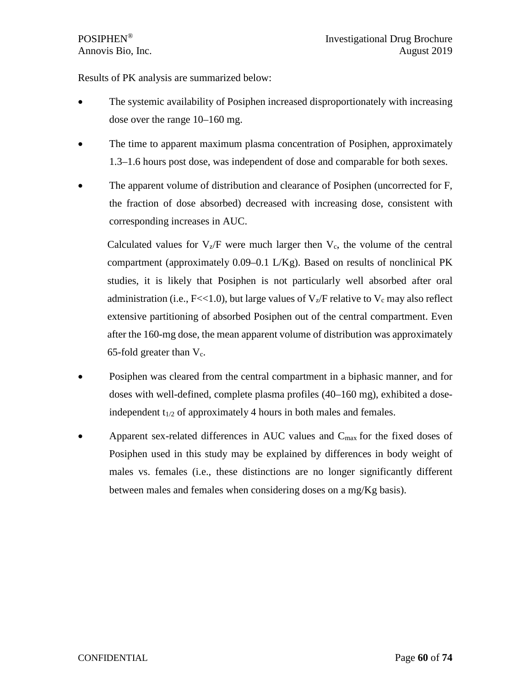Results of PK analysis are summarized below:

- The systemic availability of Posiphen increased disproportionately with increasing dose over the range 10–160 mg.
- The time to apparent maximum plasma concentration of Posiphen, approximately 1.3–1.6 hours post dose, was independent of dose and comparable for both sexes.
- The apparent volume of distribution and clearance of Posiphen (uncorrected for F, the fraction of dose absorbed) decreased with increasing dose, consistent with corresponding increases in AUC.

Calculated values for  $V_z/F$  were much larger then  $V_c$ , the volume of the central compartment (approximately 0.09–0.1 L/Kg). Based on results of nonclinical PK studies, it is likely that Posiphen is not particularly well absorbed after oral administration (i.e., F<<1.0), but large values of  $V_z/F$  relative to  $V_c$  may also reflect extensive partitioning of absorbed Posiphen out of the central compartment. Even after the 160-mg dose, the mean apparent volume of distribution was approximately 65-fold greater than  $V_c$ .

- Posiphen was cleared from the central compartment in a biphasic manner, and for doses with well-defined, complete plasma profiles (40–160 mg), exhibited a doseindependent  $t_{1/2}$  of approximately 4 hours in both males and females.
- Apparent sex-related differences in AUC values and  $C_{\text{max}}$  for the fixed doses of Posiphen used in this study may be explained by differences in body weight of males vs. females (i.e., these distinctions are no longer significantly different between males and females when considering doses on a mg/Kg basis).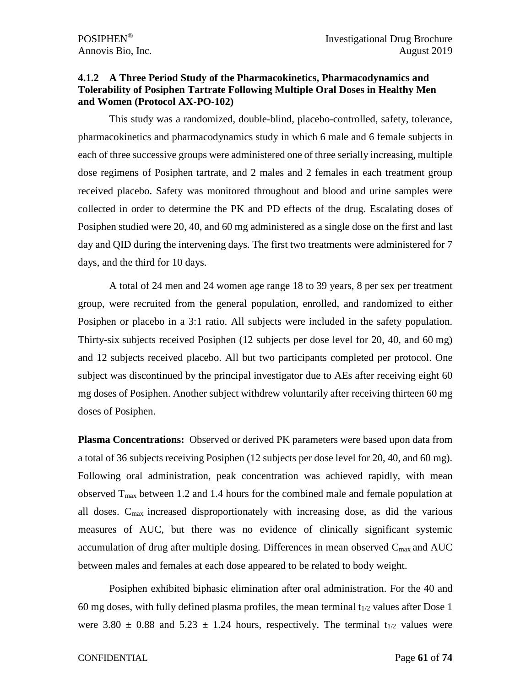### **4.1.2 A Three Period Study of the Pharmacokinetics, Pharmacodynamics and Tolerability of Posiphen Tartrate Following Multiple Oral Doses in Healthy Men and Women (Protocol AX-PO-102)**

This study was a randomized, double-blind, placebo-controlled, safety, tolerance, pharmacokinetics and pharmacodynamics study in which 6 male and 6 female subjects in each of three successive groups were administered one of three serially increasing, multiple dose regimens of Posiphen tartrate, and 2 males and 2 females in each treatment group received placebo. Safety was monitored throughout and blood and urine samples were collected in order to determine the PK and PD effects of the drug. Escalating doses of Posiphen studied were 20, 40, and 60 mg administered as a single dose on the first and last day and QID during the intervening days. The first two treatments were administered for 7 days, and the third for 10 days.

A total of 24 men and 24 women age range 18 to 39 years, 8 per sex per treatment group, were recruited from the general population, enrolled, and randomized to either Posiphen or placebo in a 3:1 ratio. All subjects were included in the safety population. Thirty-six subjects received Posiphen (12 subjects per dose level for 20, 40, and 60 mg) and 12 subjects received placebo. All but two participants completed per protocol. One subject was discontinued by the principal investigator due to AEs after receiving eight 60 mg doses of Posiphen. Another subject withdrew voluntarily after receiving thirteen 60 mg doses of Posiphen.

**Plasma Concentrations:** Observed or derived PK parameters were based upon data from a total of 36 subjects receiving Posiphen (12 subjects per dose level for 20, 40, and 60 mg). Following oral administration, peak concentration was achieved rapidly, with mean observed  $T_{\text{max}}$  between 1.2 and 1.4 hours for the combined male and female population at all doses. Cmax increased disproportionately with increasing dose, as did the various measures of AUC, but there was no evidence of clinically significant systemic accumulation of drug after multiple dosing. Differences in mean observed  $C_{\text{max}}$  and  $AUC$ between males and females at each dose appeared to be related to body weight.

Posiphen exhibited biphasic elimination after oral administration. For the 40 and 60 mg doses, with fully defined plasma profiles, the mean terminal  $t_{1/2}$  values after Dose 1 were 3.80  $\pm$  0.88 and 5.23  $\pm$  1.24 hours, respectively. The terminal t<sub>1/2</sub> values were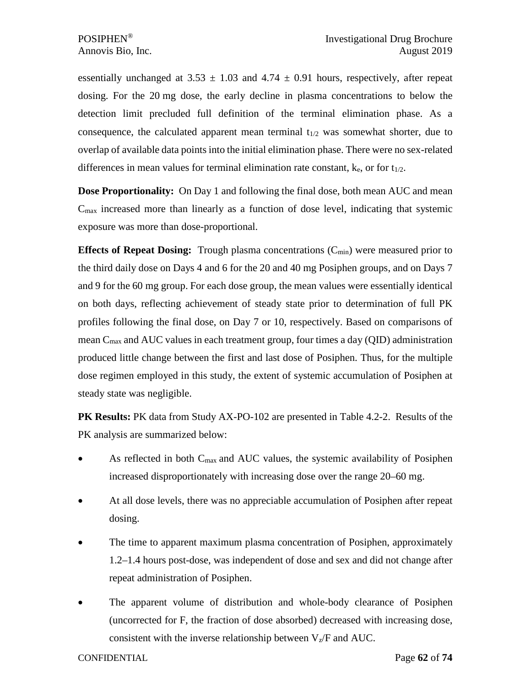essentially unchanged at  $3.53 \pm 1.03$  and  $4.74 \pm 0.91$  hours, respectively, after repeat dosing. For the 20 mg dose, the early decline in plasma concentrations to below the detection limit precluded full definition of the terminal elimination phase. As a consequence, the calculated apparent mean terminal  $t_{1/2}$  was somewhat shorter, due to overlap of available data points into the initial elimination phase. There were no sex-related differences in mean values for terminal elimination rate constant,  $k_e$ , or for  $t_{1/2}$ .

**Dose Proportionality:** On Day 1 and following the final dose, both mean AUC and mean  $C_{\text{max}}$  increased more than linearly as a function of dose level, indicating that systemic exposure was more than dose-proportional.

**Effects of Repeat Dosing:** Trough plasma concentrations (C<sub>min</sub>) were measured prior to the third daily dose on Days 4 and 6 for the 20 and 40 mg Posiphen groups, and on Days 7 and 9 for the 60 mg group. For each dose group, the mean values were essentially identical on both days, reflecting achievement of steady state prior to determination of full PK profiles following the final dose, on Day 7 or 10, respectively. Based on comparisons of mean  $C_{\text{max}}$  and AUC values in each treatment group, four times a day (QID) administration produced little change between the first and last dose of Posiphen. Thus, for the multiple dose regimen employed in this study, the extent of systemic accumulation of Posiphen at steady state was negligible.

**PK Results:** PK data from Study AX-PO-102 are presented in Table 4.2-2. Results of the PK analysis are summarized below:

- As reflected in both  $C_{\text{max}}$  and AUC values, the systemic availability of Posiphen increased disproportionately with increasing dose over the range 20–60 mg.
- At all dose levels, there was no appreciable accumulation of Posiphen after repeat dosing.
- The time to apparent maximum plasma concentration of Posiphen, approximately 1.2–1.4 hours post-dose, was independent of dose and sex and did not change after repeat administration of Posiphen.
- The apparent volume of distribution and whole-body clearance of Posiphen (uncorrected for F, the fraction of dose absorbed) decreased with increasing dose, consistent with the inverse relationship between  $V_z/F$  and AUC.

CONFIDENTIAL Page **62** of **74**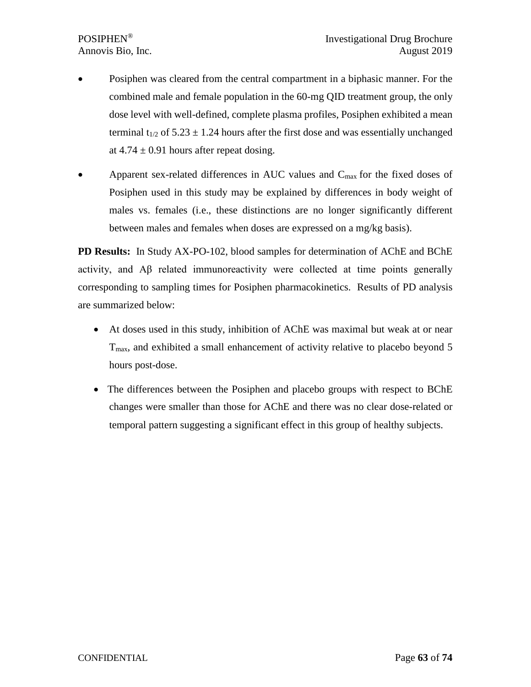- Posiphen was cleared from the central compartment in a biphasic manner. For the combined male and female population in the 60-mg QID treatment group, the only dose level with well-defined, complete plasma profiles, Posiphen exhibited a mean terminal  $t_{1/2}$  of 5.23  $\pm$  1.24 hours after the first dose and was essentially unchanged at  $4.74 \pm 0.91$  hours after repeat dosing.
- Apparent sex-related differences in AUC values and C<sub>max</sub> for the fixed doses of Posiphen used in this study may be explained by differences in body weight of males vs. females (i.e., these distinctions are no longer significantly different between males and females when doses are expressed on a mg/kg basis).

**PD Results:** In Study AX-PO-102, blood samples for determination of AChE and BChE activity, and Aβ related immunoreactivity were collected at time points generally corresponding to sampling times for Posiphen pharmacokinetics. Results of PD analysis are summarized below:

- At doses used in this study, inhibition of AChE was maximal but weak at or near Tmax, and exhibited a small enhancement of activity relative to placebo beyond 5 hours post-dose.
- The differences between the Posiphen and placebo groups with respect to BChE changes were smaller than those for AChE and there was no clear dose-related or temporal pattern suggesting a significant effect in this group of healthy subjects.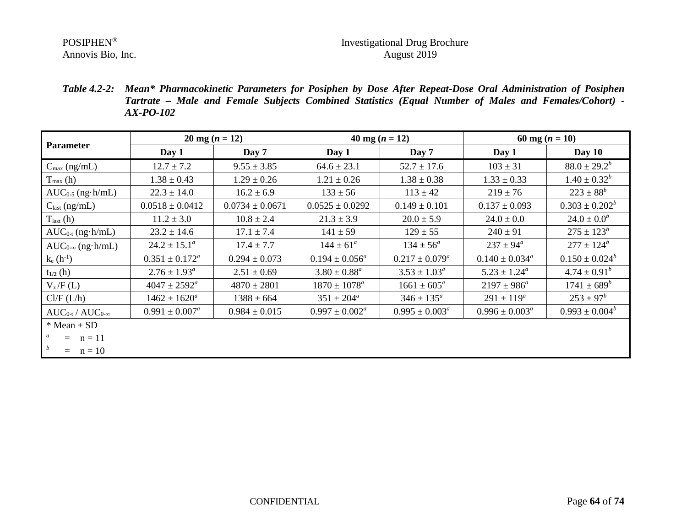Annovis Bio, Inc.

# POSIPHEN<sup>®</sup><br>Annovis Bio, Inc. Annovis Bio, Inc. Annovis Bio, Inc.

*Table 4.2-2: Mean\* Pharmacokinetic Parameters for Posiphen by Dose After Repeat-Dose Oral Administration of Posiphen Tartrate – Male and Female Subjects Combined Statistics (Equal Number of Males and Females/Cohort) - AX-PO-102*

| <b>Parameter</b>           | $20 \text{ mg} (n = 12)$  |                     | 40 mg $(n = 12)$          |                       | 60 mg $(n = 10)$          |                     |
|----------------------------|---------------------------|---------------------|---------------------------|-----------------------|---------------------------|---------------------|
|                            | Day 1                     | Day 7               | Day 1                     | Day 7                 | Day 1                     | Day $10$            |
| $C_{\text{max}}$ (ng/mL)   | $12.7 \pm 7.2$            | $9.55 \pm 3.85$     | $64.6 \pm 23.1$           | $52.7 \pm 17.6$       | $103 \pm 31$              | $88.0 \pm 29.2^b$   |
| $T_{\text{max}}(h)$        | $1.38 \pm 0.43$           | $1.29 \pm 0.26$     | $1.21 \pm 0.26$           | $1.38 \pm 0.38$       | $1.33 \pm 0.33$           | $1.40 \pm 0.32^b$   |
| $AUC_{0.5}$ (ng $h/mL$ )   | $22.3 \pm 14.0$           | $16.2 \pm 6.9$      | $133 \pm 56$              | $113 \pm 42$          | $219 \pm 76$              | $223 \pm 88^b$      |
| $C_{last}$ (ng/mL)         | $0.0518 \pm 0.0412$       | $0.0734 \pm 0.0671$ | $0.0525 \pm 0.0292$       | $0.149 \pm 0.101$     | $0.137 \pm 0.093$         | $0.303 \pm 0.202^b$ |
| $T_{last}(h)$              | $11.2 \pm 3.0$            | $10.8 \pm 2.4$      | $21.3 \pm 3.9$            | $20.0 \pm 5.9$        | $24.0 \pm 0.0$            | $24.0 \pm 0.0^b$    |
| $AUC_{0-t}$ (ng·h/mL)      | $23.2 \pm 14.6$           | $17.1 \pm 7.4$      | $141 \pm 59$              | $129 \pm 55$          | $240 \pm 91$              | $275 \pm 123^b$     |
| $AUC_{0-\infty}$ (ng·h/mL) | $24.2 \pm 15.1^a$         | $17.4 \pm 7.7$      | $144 \pm 61^a$            | $134 \pm 56^a$        | $237 \pm 94^a$            | $277 \pm 124^b$     |
| $k_e(h^{-1})$              | $0.351 \pm 0.172^{\circ}$ | $0.294 \pm 0.073$   | $0.194 \pm 0.056^a$       | $0.217 \pm 0.079^a$   | $0.140 \pm 0.034^{\circ}$ | $0.150 \pm 0.024^b$ |
| $t_{1/2}$ (h)              | $2.76 \pm 1.93^{\circ}$   | $2.51 \pm 0.69$     | $3.80 \pm 0.88^a$         | $3.53 \pm 1.03^a$     | $5.23 \pm 1.24^a$         | $4.74 \pm 0.91^b$   |
| $V_z/F(L)$                 | $4047 \pm 2592^{\circ}$   | $4870 \pm 2801$     | $1870 \pm 1078^a$         | $1661 \pm 605^a$      | $2197 \pm 986^a$          | $1741 \pm 689^b$    |
| Cl/F (L/h)                 | $1462 \pm 1620^a$         | $1388 \pm 664$      | $351 \pm 204^{\circ}$     | $346 \pm 135^{\circ}$ | $291 \pm 119^a$           | $253 \pm 97^b$      |
| $AUC_{0-t}/AUC_{0-\infty}$ | $0.991 \pm 0.007^a$       | $0.984 \pm 0.015$   | $0.997 \pm 0.002^{\circ}$ | $0.995 \pm 0.003^a$   | $0.996 \pm 0.003^{\circ}$ | $0.993 \pm 0.004^b$ |
| $*$ Mean $\pm$ SD          |                           |                     |                           |                       |                           |                     |
| $=$ $n = 11$               |                           |                     |                           |                       |                           |                     |
| b<br>$=$ $n = 10$          |                           |                     |                           |                       |                           |                     |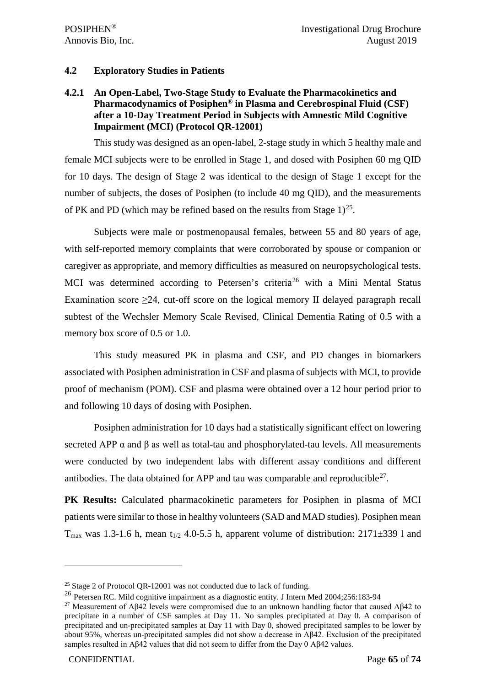### **4.2 Exploratory Studies in Patients**

# **4.2.1 An Open-Label, Two-Stage Study to Evaluate the Pharmacokinetics and Pharmacodynamics of Posiphen® in Plasma and Cerebrospinal Fluid (CSF) after a 10-Day Treatment Period in Subjects with Amnestic Mild Cognitive Impairment (MCI) (Protocol QR-12001)**

This study was designed as an open-label, 2-stage study in which 5 healthy male and female MCI subjects were to be enrolled in Stage 1, and dosed with Posiphen 60 mg QID for 10 days. The design of Stage 2 was identical to the design of Stage 1 except for the number of subjects, the doses of Posiphen (to include 40 mg QID), and the measurements of PK and PD (which may be refined based on the results from Stage  $1$ )<sup>[25](#page-64-0)</sup>.

Subjects were male or postmenopausal females, between 55 and 80 years of age, with self-reported memory complaints that were corroborated by spouse or companion or caregiver as appropriate, and memory difficulties as measured on neuropsychological tests. MCI was determined according to Petersen's criteria<sup>[26](#page-64-1)</sup> with a Mini Mental Status Examination score  $\geq 24$ , cut-off score on the logical memory II delayed paragraph recall subtest of the Wechsler Memory Scale Revised, Clinical Dementia Rating of 0.5 with a memory box score of 0.5 or 1.0.

This study measured PK in plasma and CSF, and PD changes in biomarkers associated with Posiphen administration in CSF and plasma of subjects with MCI, to provide proof of mechanism (POM). CSF and plasma were obtained over a 12 hour period prior to and following 10 days of dosing with Posiphen.

Posiphen administration for 10 days had a statistically significant effect on lowering secreted APP  $\alpha$  and  $\beta$  as well as total-tau and phosphorylated-tau levels. All measurements were conducted by two independent labs with different assay conditions and different antibodies. The data obtained for APP and tau was comparable and reproducible<sup>27</sup>.

**PK Results:** Calculated pharmacokinetic parameters for Posiphen in plasma of MCI patients were similar to those in healthy volunteers (SAD and MAD studies). Posiphen mean  $T_{\text{max}}$  was 1.3-1.6 h, mean t<sub>1/2</sub> 4.0-5.5 h, apparent volume of distribution: 2171 $\pm$ 339 l and

<span id="page-64-0"></span> $25$  Stage 2 of Protocol OR-12001 was not conducted due to lack of funding.

<span id="page-64-1"></span><sup>26</sup> Petersen RC. Mild cognitive impairment as a diagnostic entity. J Intern Med 2004;256:183-94

<span id="page-64-2"></span><sup>&</sup>lt;sup>27</sup> Measurement of Aβ42 levels were compromised due to an unknown handling factor that caused Aβ42 to precipitate in a number of CSF samples at Day 11. No samples precipitated at Day 0. A comparison of precipitated and un-precipitated samples at Day 11 with Day 0, showed precipitated samples to be lower by about 95%, whereas un-precipitated samples did not show a decrease in Aβ42. Exclusion of the precipitated samples resulted in Aβ42 values that did not seem to differ from the Day 0 Aβ42 values.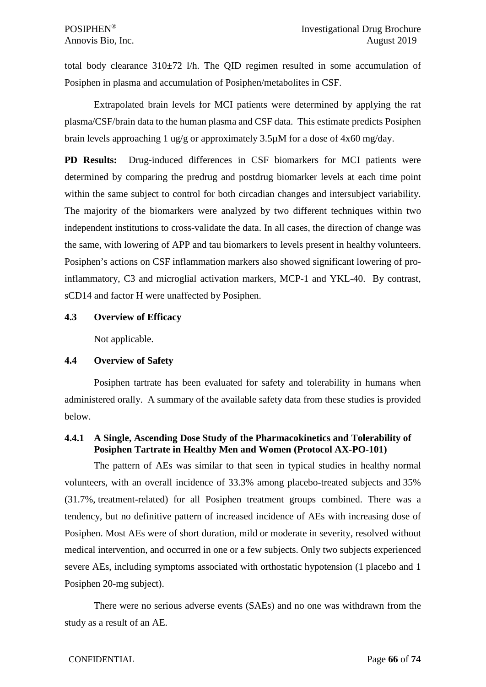total body clearance  $310\pm72$  l/h. The QID regimen resulted in some accumulation of Posiphen in plasma and accumulation of Posiphen/metabolites in CSF.

Extrapolated brain levels for MCI patients were determined by applying the rat plasma/CSF/brain data to the human plasma and CSF data. This estimate predicts Posiphen brain levels approaching 1 ug/g or approximately 3.5µM for a dose of 4x60 mg/day.

**PD Results:** Drug-induced differences in CSF biomarkers for MCI patients were determined by comparing the predrug and postdrug biomarker levels at each time point within the same subject to control for both circadian changes and intersubject variability. The majority of the biomarkers were analyzed by two different techniques within two independent institutions to cross-validate the data. In all cases, the direction of change was the same, with lowering of APP and tau biomarkers to levels present in healthy volunteers. Posiphen's actions on CSF inflammation markers also showed significant lowering of proinflammatory, C3 and microglial activation markers, MCP-1 and YKL-40. By contrast, sCD14 and factor H were unaffected by Posiphen.

#### **4.3 Overview of Efficacy**

Not applicable.

# **4.4 Overview of Safety**

Posiphen tartrate has been evaluated for safety and tolerability in humans when administered orally. A summary of the available safety data from these studies is provided below.

# **4.4.1 A Single, Ascending Dose Study of the Pharmacokinetics and Tolerability of Posiphen Tartrate in Healthy Men and Women (Protocol AX-PO-101)**

The pattern of AEs was similar to that seen in typical studies in healthy normal volunteers, with an overall incidence of 33.3% among placebo-treated subjects and 35% (31.7%, treatment-related) for all Posiphen treatment groups combined. There was a tendency, but no definitive pattern of increased incidence of AEs with increasing dose of Posiphen. Most AEs were of short duration, mild or moderate in severity, resolved without medical intervention, and occurred in one or a few subjects. Only two subjects experienced severe AEs, including symptoms associated with orthostatic hypotension (1 placebo and 1 Posiphen 20-mg subject).

There were no serious adverse events (SAEs) and no one was withdrawn from the study as a result of an AE.

# CONFIDENTIAL Page **66** of **74**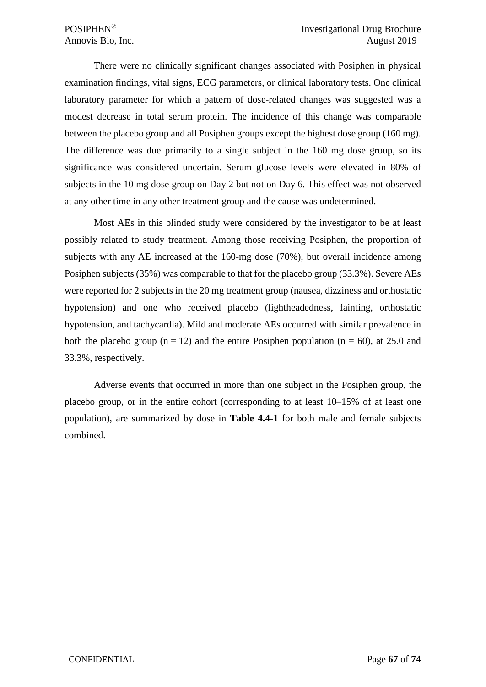There were no clinically significant changes associated with Posiphen in physical examination findings, vital signs, ECG parameters, or clinical laboratory tests. One clinical laboratory parameter for which a pattern of dose-related changes was suggested was a modest decrease in total serum protein. The incidence of this change was comparable between the placebo group and all Posiphen groups except the highest dose group (160 mg). The difference was due primarily to a single subject in the 160 mg dose group, so its significance was considered uncertain. Serum glucose levels were elevated in 80% of subjects in the 10 mg dose group on Day 2 but not on Day 6. This effect was not observed at any other time in any other treatment group and the cause was undetermined.

Most AEs in this blinded study were considered by the investigator to be at least possibly related to study treatment. Among those receiving Posiphen, the proportion of subjects with any AE increased at the 160-mg dose (70%), but overall incidence among Posiphen subjects (35%) was comparable to that for the placebo group (33.3%). Severe AEs were reported for 2 subjects in the 20 mg treatment group (nausea, dizziness and orthostatic hypotension) and one who received placebo (lightheadedness, fainting, orthostatic hypotension, and tachycardia). Mild and moderate AEs occurred with similar prevalence in both the placebo group ( $n = 12$ ) and the entire Posiphen population ( $n = 60$ ), at 25.0 and 33.3%, respectively.

Adverse events that occurred in more than one subject in the Posiphen group, the placebo group, or in the entire cohort (corresponding to at least 10–15% of at least one population), are summarized by dose in **Table 4.4-1** for both male and female subjects combined.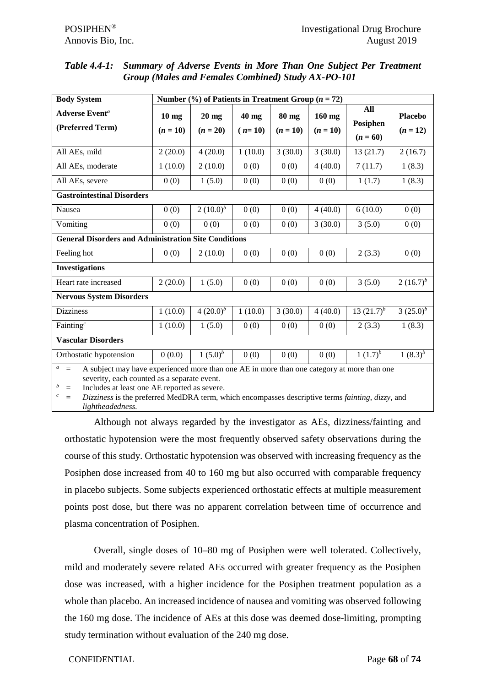| Table 4.4-1: Summary of Adverse Events in More Than One Subject Per Treatment |
|-------------------------------------------------------------------------------|
| <b>Group (Males and Females Combined) Study AX-PO-101</b>                     |

| <b>Body System</b>                                                                                                                                                                                                                                                                                                                                                                     | Number $\left(\frac{0}{0}\right)$ of Patients in Treatment Group $(n = 72)$ |                       |                   |                       |                        |                               |                              |
|----------------------------------------------------------------------------------------------------------------------------------------------------------------------------------------------------------------------------------------------------------------------------------------------------------------------------------------------------------------------------------------|-----------------------------------------------------------------------------|-----------------------|-------------------|-----------------------|------------------------|-------------------------------|------------------------------|
| <b>Adverse Event<sup>a</sup></b><br>(Preferred Term)                                                                                                                                                                                                                                                                                                                                   | $10 \text{ mg}$<br>$(n = 10)$                                               | $20$ mg<br>$(n = 20)$ | 40 mg<br>$(n=10)$ | $80$ mg<br>$(n = 10)$ | $160$ mg<br>$(n = 10)$ | All<br>Posiphen<br>$(n = 60)$ | <b>Placebo</b><br>$(n = 12)$ |
| All AEs, mild                                                                                                                                                                                                                                                                                                                                                                          | 2(20.0)                                                                     | 4(20.0)               | 1(10.0)           | 3(30.0)               | 3(30.0)                | 13(21.7)                      | 2(16.7)                      |
| All AEs, moderate                                                                                                                                                                                                                                                                                                                                                                      | 1(10.0)                                                                     | 2(10.0)               | 0(0)              | 0(0)                  | 4(40.0)                | 7(11.7)                       | 1(8.3)                       |
| All AEs, severe                                                                                                                                                                                                                                                                                                                                                                        | 0(0)                                                                        | 1(5.0)                | 0(0)              | 0(0)                  | 0(0)                   | 1(1.7)                        | 1(8.3)                       |
| <b>Gastrointestinal Disorders</b>                                                                                                                                                                                                                                                                                                                                                      |                                                                             |                       |                   |                       |                        |                               |                              |
| Nausea                                                                                                                                                                                                                                                                                                                                                                                 | 0(0)                                                                        | 2 $(10.0)^b$          | 0(0)              | 0(0)                  | 4(40.0)                | 6(10.0)                       | 0(0)                         |
| Vomiting                                                                                                                                                                                                                                                                                                                                                                               | 0(0)                                                                        | 0(0)                  | 0(0)              | 0(0)                  | 3(30.0)                | 3(5.0)                        | 0(0)                         |
| <b>General Disorders and Administration Site Conditions</b>                                                                                                                                                                                                                                                                                                                            |                                                                             |                       |                   |                       |                        |                               |                              |
| Feeling hot                                                                                                                                                                                                                                                                                                                                                                            | 0(0)                                                                        | 2(10.0)               | 0(0)              | 0(0)                  | 0(0)                   | 2(3.3)                        | 0(0)                         |
| <b>Investigations</b>                                                                                                                                                                                                                                                                                                                                                                  |                                                                             |                       |                   |                       |                        |                               |                              |
| Heart rate increased                                                                                                                                                                                                                                                                                                                                                                   | 2(20.0)                                                                     | 1(5.0)                | 0(0)              | 0(0)                  | 0(0)                   | 3(5.0)                        | 2 $(16.7)^b$                 |
| <b>Nervous System Disorders</b>                                                                                                                                                                                                                                                                                                                                                        |                                                                             |                       |                   |                       |                        |                               |                              |
| <b>Dizziness</b>                                                                                                                                                                                                                                                                                                                                                                       | 1(10.0)                                                                     | $4(20.0)^{b}$         | 1(10.0)           | 3(30.0)               | 4(40.0)                | 13 $(21.7)^b$                 | 3 $(25.0)^{\overline{b}}$    |
| Fainting <sup><math>c</math></sup>                                                                                                                                                                                                                                                                                                                                                     | 1(10.0)                                                                     | 1(5.0)                | 0(0)              | 0(0)                  | 0(0)                   | 2(3.3)                        | 1(8.3)                       |
| <b>Vascular Disorders</b>                                                                                                                                                                                                                                                                                                                                                              |                                                                             |                       |                   |                       |                        |                               |                              |
| Orthostatic hypotension                                                                                                                                                                                                                                                                                                                                                                | 0(0.0)                                                                      | 1 $(5.0)^b$           | 0(0)              | 0(0)                  | 0(0)                   | 1 $(1.7)^b$                   | 1 $(8.3)^b$                  |
| $\mathfrak{a}$<br>A subject may have experienced more than one AE in more than one category at more than one<br>$=$<br>severity, each counted as a separate event.<br>$\boldsymbol{b}$<br>Includes at least one AE reported as severe.<br>$\equiv$<br>$\boldsymbol{c}$<br>Dizziness is the preferred MedDRA term, which encompasses descriptive terms fainting, dizzy, and<br>$\equiv$ |                                                                             |                       |                   |                       |                        |                               |                              |

*lightheadedness.*

Although not always regarded by the investigator as AEs, dizziness/fainting and orthostatic hypotension were the most frequently observed safety observations during the course of this study. Orthostatic hypotension was observed with increasing frequency as the Posiphen dose increased from 40 to 160 mg but also occurred with comparable frequency in placebo subjects. Some subjects experienced orthostatic effects at multiple measurement points post dose, but there was no apparent correlation between time of occurrence and plasma concentration of Posiphen.

Overall, single doses of 10–80 mg of Posiphen were well tolerated. Collectively, mild and moderately severe related AEs occurred with greater frequency as the Posiphen dose was increased, with a higher incidence for the Posiphen treatment population as a whole than placebo. An increased incidence of nausea and vomiting was observed following the 160 mg dose. The incidence of AEs at this dose was deemed dose-limiting, prompting study termination without evaluation of the 240 mg dose.

#### CONFIDENTIAL Page **68** of **74**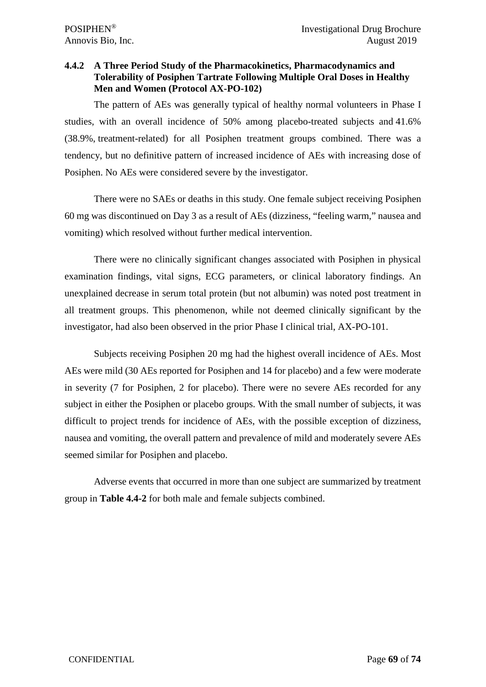# **4.4.2 A Three Period Study of the Pharmacokinetics, Pharmacodynamics and Tolerability of Posiphen Tartrate Following Multiple Oral Doses in Healthy Men and Women (Protocol AX-PO-102)**

The pattern of AEs was generally typical of healthy normal volunteers in Phase I studies, with an overall incidence of 50% among placebo-treated subjects and 41.6% (38.9%, treatment-related) for all Posiphen treatment groups combined. There was a tendency, but no definitive pattern of increased incidence of AEs with increasing dose of Posiphen. No AEs were considered severe by the investigator.

There were no SAEs or deaths in this study. One female subject receiving Posiphen 60 mg was discontinued on Day 3 as a result of AEs (dizziness, "feeling warm," nausea and vomiting) which resolved without further medical intervention.

There were no clinically significant changes associated with Posiphen in physical examination findings, vital signs, ECG parameters, or clinical laboratory findings. An unexplained decrease in serum total protein (but not albumin) was noted post treatment in all treatment groups. This phenomenon, while not deemed clinically significant by the investigator, had also been observed in the prior Phase I clinical trial, AX-PO-101.

Subjects receiving Posiphen 20 mg had the highest overall incidence of AEs. Most AEs were mild (30 AEs reported for Posiphen and 14 for placebo) and a few were moderate in severity (7 for Posiphen, 2 for placebo). There were no severe AEs recorded for any subject in either the Posiphen or placebo groups. With the small number of subjects, it was difficult to project trends for incidence of AEs, with the possible exception of dizziness, nausea and vomiting, the overall pattern and prevalence of mild and moderately severe AEs seemed similar for Posiphen and placebo.

Adverse events that occurred in more than one subject are summarized by treatment group in **Table 4.4-2** for both male and female subjects combined.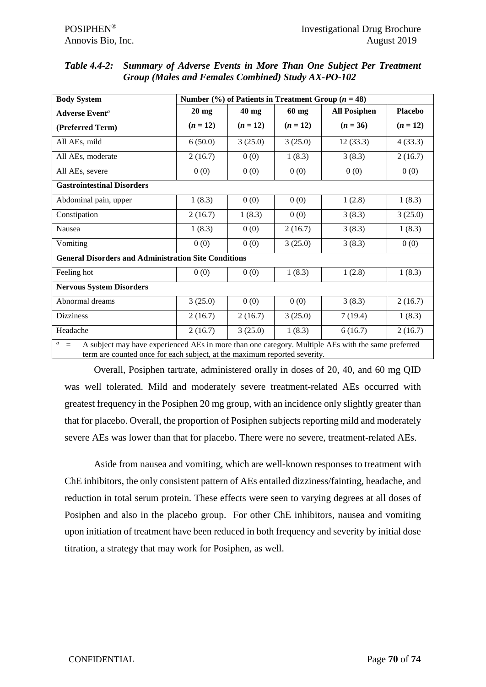| <b>Body System</b>                                                                                                                                                                                 | Number $\frac{6}{6}$ of Patients in Treatment Group ( <i>n</i> = 48) |            |            |                     |                |  |  |
|----------------------------------------------------------------------------------------------------------------------------------------------------------------------------------------------------|----------------------------------------------------------------------|------------|------------|---------------------|----------------|--|--|
| <b>Adverse Event<sup>a</sup></b>                                                                                                                                                                   | $20$ mg                                                              | 40 mg      | $60$ mg    | <b>All Posiphen</b> | <b>Placebo</b> |  |  |
| (Preferred Term)                                                                                                                                                                                   | $(n = 12)$                                                           | $(n = 12)$ | $(n = 12)$ | $(n = 36)$          | $(n = 12)$     |  |  |
| All AEs, mild                                                                                                                                                                                      | 6(50.0)                                                              | 3(25.0)    | 3(25.0)    | 12(33.3)            | 4(33.3)        |  |  |
| All AEs, moderate                                                                                                                                                                                  | 2(16.7)                                                              | 0(0)       | 1(8.3)     | 3(8.3)              | 2(16.7)        |  |  |
| All AEs, severe                                                                                                                                                                                    | 0(0)                                                                 | 0(0)       | 0(0)       | 0(0)                | 0(0)           |  |  |
| <b>Gastrointestinal Disorders</b>                                                                                                                                                                  |                                                                      |            |            |                     |                |  |  |
| Abdominal pain, upper                                                                                                                                                                              | 1(8.3)                                                               | 0(0)       | 0(0)       | 1(2.8)              | 1(8.3)         |  |  |
| Constipation                                                                                                                                                                                       | 2(16.7)                                                              | 1(8.3)     | 0(0)       | 3(8.3)              | 3(25.0)        |  |  |
| Nausea                                                                                                                                                                                             | 1(8.3)                                                               | 0(0)       | 2(16.7)    | 3(8.3)              | 1(8.3)         |  |  |
| Vomiting                                                                                                                                                                                           | 0(0)                                                                 | 0(0)       | 3(25.0)    | 3(8.3)              | 0(0)           |  |  |
| <b>General Disorders and Administration Site Conditions</b>                                                                                                                                        |                                                                      |            |            |                     |                |  |  |
| Feeling hot                                                                                                                                                                                        | 0(0)                                                                 | 0(0)       | 1(8.3)     | 1(2.8)              | 1(8.3)         |  |  |
| <b>Nervous System Disorders</b>                                                                                                                                                                    |                                                                      |            |            |                     |                |  |  |
| Abnormal dreams                                                                                                                                                                                    | 3(25.0)                                                              | 0(0)       | 0(0)       | 3(8.3)              | 2(16.7)        |  |  |
| <b>Dizziness</b>                                                                                                                                                                                   | 2(16.7)                                                              | 2(16.7)    | 3(25.0)    | 7(19.4)             | 1(8.3)         |  |  |
| Headache                                                                                                                                                                                           | 2(16.7)                                                              | 3(25.0)    | 1(8.3)     | 6(16.7)             | 2(16.7)        |  |  |
| $a =$<br>A subject may have experienced AEs in more than one category. Multiple AEs with the same preferred<br>ii waa waxaa ka dhamaa faaraa ah wilataan wanda waxaa tireeyaa aan ama dhaacaadaa i |                                                                      |            |            |                     |                |  |  |

*Table 4.4-2: Summary of Adverse Events in More Than One Subject Per Treatment Group (Males and Females Combined) Study AX-PO-102*

term are counted once for each subject, at the maximum reported severity.

Overall, Posiphen tartrate, administered orally in doses of 20, 40, and 60 mg QID was well tolerated. Mild and moderately severe treatment-related AEs occurred with greatest frequency in the Posiphen 20 mg group, with an incidence only slightly greater than that for placebo. Overall, the proportion of Posiphen subjects reporting mild and moderately severe AEs was lower than that for placebo. There were no severe, treatment-related AEs.

Aside from nausea and vomiting, which are well-known responses to treatment with ChE inhibitors, the only consistent pattern of AEs entailed dizziness/fainting, headache, and reduction in total serum protein. These effects were seen to varying degrees at all doses of Posiphen and also in the placebo group. For other ChE inhibitors, nausea and vomiting upon initiation of treatment have been reduced in both frequency and severity by initial dose titration, a strategy that may work for Posiphen, as well.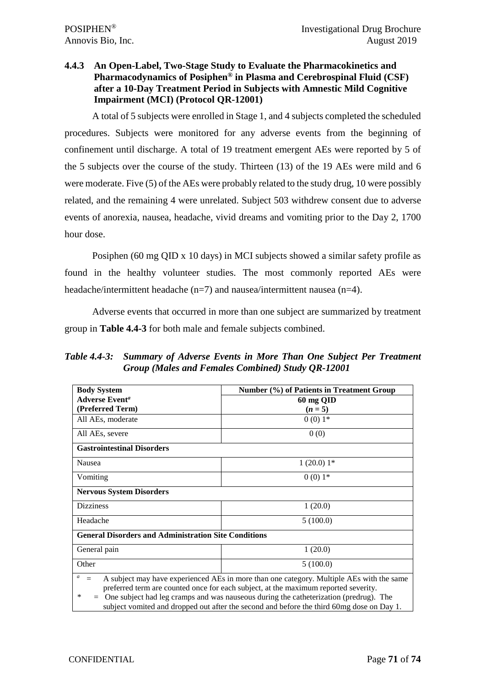# **4.4.3 An Open-Label, Two-Stage Study to Evaluate the Pharmacokinetics and Pharmacodynamics of Posiphen® in Plasma and Cerebrospinal Fluid (CSF) after a 10-Day Treatment Period in Subjects with Amnestic Mild Cognitive Impairment (MCI) (Protocol QR-12001)**

A total of 5 subjects were enrolled in Stage 1, and 4 subjects completed the scheduled procedures. Subjects were monitored for any adverse events from the beginning of confinement until discharge. A total of 19 treatment emergent AEs were reported by 5 of the 5 subjects over the course of the study. Thirteen (13) of the 19 AEs were mild and 6 were moderate. Five (5) of the AEs were probably related to the study drug, 10 were possibly related, and the remaining 4 were unrelated. Subject 503 withdrew consent due to adverse events of anorexia, nausea, headache, vivid dreams and vomiting prior to the Day 2, 1700 hour dose.

Posiphen (60 mg QID x 10 days) in MCI subjects showed a similar safety profile as found in the healthy volunteer studies. The most commonly reported AEs were headache/intermittent headache (n=7) and nausea/intermittent nausea (n=4).

Adverse events that occurred in more than one subject are summarized by treatment group in **Table 4.4-3** for both male and female subjects combined.

*Table 4.4-3: Summary of Adverse Events in More Than One Subject Per Treatment Group (Males and Females Combined) Study QR-12001*

| <b>Body System</b>                                                                                                                                                                                                                                                                                                                                                                            | Number (%) of Patients in Treatment Group |  |  |  |  |
|-----------------------------------------------------------------------------------------------------------------------------------------------------------------------------------------------------------------------------------------------------------------------------------------------------------------------------------------------------------------------------------------------|-------------------------------------------|--|--|--|--|
| <b>Adverse Event<sup>a</sup></b>                                                                                                                                                                                                                                                                                                                                                              | 60 mg QID                                 |  |  |  |  |
| (Preferred Term)                                                                                                                                                                                                                                                                                                                                                                              | $(n=5)$                                   |  |  |  |  |
| All AEs, moderate                                                                                                                                                                                                                                                                                                                                                                             | $0(0)1*$                                  |  |  |  |  |
| All AEs, severe                                                                                                                                                                                                                                                                                                                                                                               | 0(0)                                      |  |  |  |  |
| <b>Gastrointestinal Disorders</b>                                                                                                                                                                                                                                                                                                                                                             |                                           |  |  |  |  |
| Nausea                                                                                                                                                                                                                                                                                                                                                                                        | $1(20.0)$ 1*                              |  |  |  |  |
| Vomiting                                                                                                                                                                                                                                                                                                                                                                                      | $0(0)1*$                                  |  |  |  |  |
| <b>Nervous System Disorders</b>                                                                                                                                                                                                                                                                                                                                                               |                                           |  |  |  |  |
| <b>Dizziness</b>                                                                                                                                                                                                                                                                                                                                                                              | 1(20.0)                                   |  |  |  |  |
| Headache                                                                                                                                                                                                                                                                                                                                                                                      | 5(100.0)                                  |  |  |  |  |
| <b>General Disorders and Administration Site Conditions</b>                                                                                                                                                                                                                                                                                                                                   |                                           |  |  |  |  |
| General pain                                                                                                                                                                                                                                                                                                                                                                                  | 1(20.0)                                   |  |  |  |  |
| Other                                                                                                                                                                                                                                                                                                                                                                                         | 5(100.0)                                  |  |  |  |  |
| a<br>A subject may have experienced AEs in more than one category. Multiple AEs with the same<br>$=$<br>preferred term are counted once for each subject, at the maximum reported severity.<br>One subject had leg cramps and was nauseous during the catheterization (predrug). The<br>∗<br>$=$<br>subject vomited and dropped out after the second and before the third 60mg dose on Day 1. |                                           |  |  |  |  |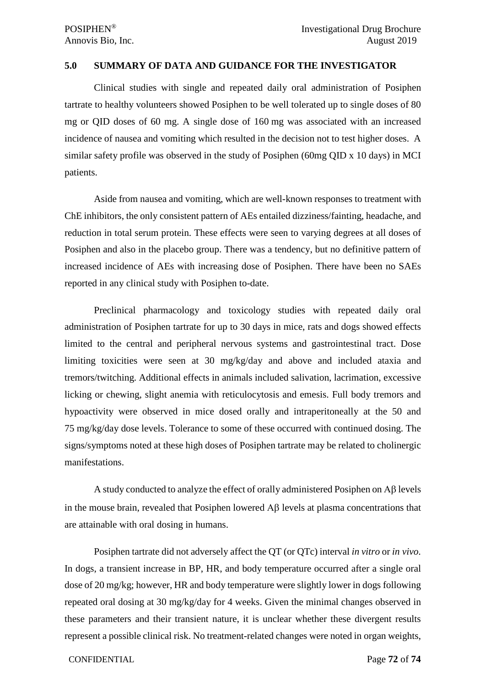#### **5.0 SUMMARY OF DATA AND GUIDANCE FOR THE INVESTIGATOR**

Clinical studies with single and repeated daily oral administration of Posiphen tartrate to healthy volunteers showed Posiphen to be well tolerated up to single doses of 80 mg or QID doses of 60 mg. A single dose of 160 mg was associated with an increased incidence of nausea and vomiting which resulted in the decision not to test higher doses. A similar safety profile was observed in the study of Posiphen (60mg QID x 10 days) in MCI patients.

Aside from nausea and vomiting, which are well-known responses to treatment with ChE inhibitors, the only consistent pattern of AEs entailed dizziness/fainting, headache, and reduction in total serum protein. These effects were seen to varying degrees at all doses of Posiphen and also in the placebo group. There was a tendency, but no definitive pattern of increased incidence of AEs with increasing dose of Posiphen. There have been no SAEs reported in any clinical study with Posiphen to-date.

Preclinical pharmacology and toxicology studies with repeated daily oral administration of Posiphen tartrate for up to 30 days in mice, rats and dogs showed effects limited to the central and peripheral nervous systems and gastrointestinal tract. Dose limiting toxicities were seen at 30 mg/kg/day and above and included ataxia and tremors/twitching. Additional effects in animals included salivation, lacrimation, excessive licking or chewing, slight anemia with reticulocytosis and emesis. Full body tremors and hypoactivity were observed in mice dosed orally and intraperitoneally at the 50 and 75 mg/kg/day dose levels. Tolerance to some of these occurred with continued dosing. The signs/symptoms noted at these high doses of Posiphen tartrate may be related to cholinergic manifestations.

A study conducted to analyze the effect of orally administered Posiphen on Αβ levels in the mouse brain, revealed that Posiphen lowered  $\mathbf{A}\beta$  levels at plasma concentrations that are attainable with oral dosing in humans.

Posiphen tartrate did not adversely affect the QT (or QTc) interval *in vitro* or *in vivo*. In dogs, a transient increase in BP, HR, and body temperature occurred after a single oral dose of 20 mg/kg; however, HR and body temperature were slightly lower in dogs following repeated oral dosing at 30 mg/kg/day for 4 weeks. Given the minimal changes observed in these parameters and their transient nature, it is unclear whether these divergent results represent a possible clinical risk. No treatment-related changes were noted in organ weights,

#### CONFIDENTIAL Page **72** of **74**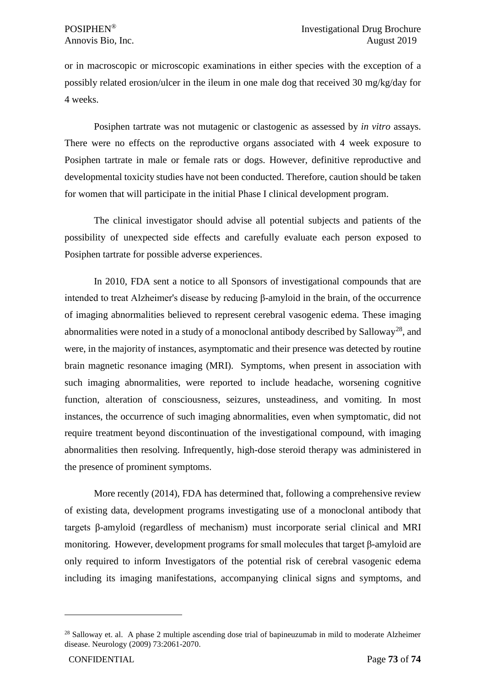or in macroscopic or microscopic examinations in either species with the exception of a possibly related erosion/ulcer in the ileum in one male dog that received 30 mg/kg/day for 4 weeks.

Posiphen tartrate was not mutagenic or clastogenic as assessed by *in vitro* assays. There were no effects on the reproductive organs associated with 4 week exposure to Posiphen tartrate in male or female rats or dogs. However, definitive reproductive and developmental toxicity studies have not been conducted. Therefore, caution should be taken for women that will participate in the initial Phase I clinical development program.

The clinical investigator should advise all potential subjects and patients of the possibility of unexpected side effects and carefully evaluate each person exposed to Posiphen tartrate for possible adverse experiences.

In 2010, FDA sent a notice to all Sponsors of investigational compounds that are intended to treat Alzheimer's disease by reducing β-amyloid in the brain, of the occurrence of imaging abnormalities believed to represent cerebral vasogenic edema. These imaging abnormalities were noted in a study of a monoclonal antibody described by Salloway<sup>[28](#page-72-0)</sup>, and were, in the majority of instances, asymptomatic and their presence was detected by routine brain magnetic resonance imaging (MRI). Symptoms, when present in association with such imaging abnormalities, were reported to include headache, worsening cognitive function, alteration of consciousness, seizures, unsteadiness, and vomiting. In most instances, the occurrence of such imaging abnormalities, even when symptomatic, did not require treatment beyond discontinuation of the investigational compound, with imaging abnormalities then resolving. Infrequently, high-dose steroid therapy was administered in the presence of prominent symptoms.

More recently (2014), FDA has determined that, following a comprehensive review of existing data, development programs investigating use of a monoclonal antibody that targets β-amyloid (regardless of mechanism) must incorporate serial clinical and MRI monitoring. However, development programs for small molecules that target β-amyloid are only required to inform Investigators of the potential risk of cerebral vasogenic edema including its imaging manifestations, accompanying clinical signs and symptoms, and

<span id="page-72-0"></span><sup>&</sup>lt;sup>28</sup> Salloway et. al. A phase 2 multiple ascending dose trial of bapineuzumab in mild to moderate Alzheimer disease. Neurology (2009) 73:2061-2070.